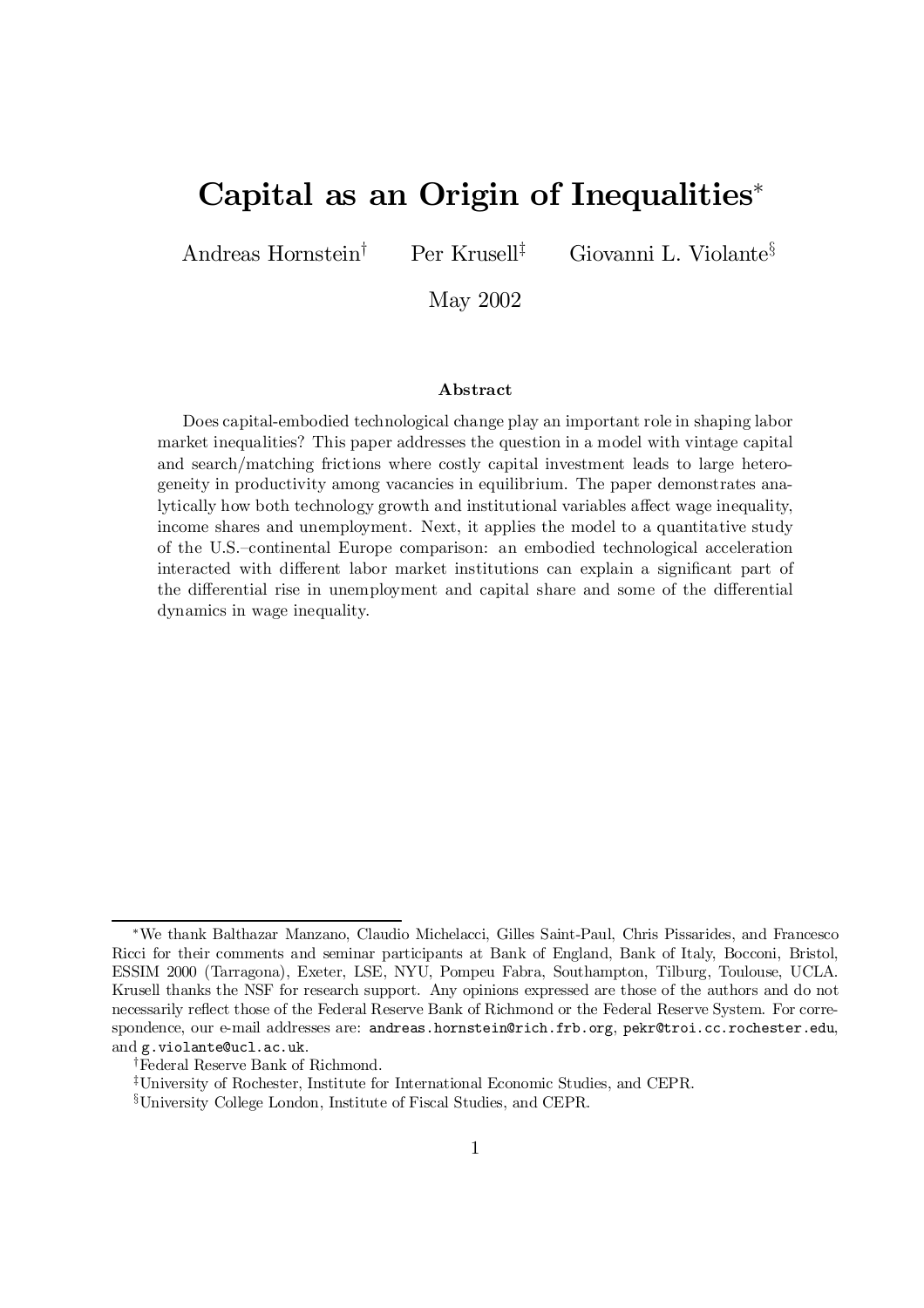# Capital as an Origin of Inequalities\*

Andreas Hornstein

Per Krusell $^{\ddagger}$ 

<sup>‡</sup> Giovanni L. Violante<sup>§</sup>

May 2002

#### Abstract

Does capital-embodied technological change play an important role in shaping labor market inequalities? This paper addresses the question in a model with vintage capital and search/matching frictions where costly capital investment leads to large heterogeneity in productivity among vacancies in equilibrium. The paper demonstrates analytically how both technology growth and institutional variables affect wage inequality, income shares and unemployment. Next, it applies the model to a quantitative study of the U.S.–continental Europe comparison: an embodied technological acceleration interacted with different labor market institutions can explain a significant part of the differential rise in unemployment and capital share and some of the differential dynamics in wage inequality.

<sup>¤</sup>We thank Balthazar Manzano, Claudio Michelacci, Gilles Saint-Paul, Chris Pissarides, and Francesco Ricci for their comments and seminar participants at Bank of England, Bank of Italy, Bocconi, Bristol, ESSIM 2000 (Tarragona), Exeter, LSE, NYU, Pompeu Fabra, Southampton, Tilburg, Toulouse, UCLA. Krusell thanks the NSF for research support. Any opinions expressed are those of the authors and do not necessarily reflect those of the Federal Reserve Bank of Richmond or the Federal Reserve System. For correspondence, our e-mail addresses are: andreas.hornstein@rich.frb.org, pekr@troi.cc.rochester.edu, and g.violante@ucl.ac.uk.

<sup>&</sup>lt;sup>†</sup>Federal Reserve Bank of Richmond.

<sup>&</sup>lt;sup>‡</sup>University of Rochester, Institute for International Economic Studies, and CEPR.

<sup>&</sup>lt;sup>§</sup>University College London, Institute of Fiscal Studies, and CEPR.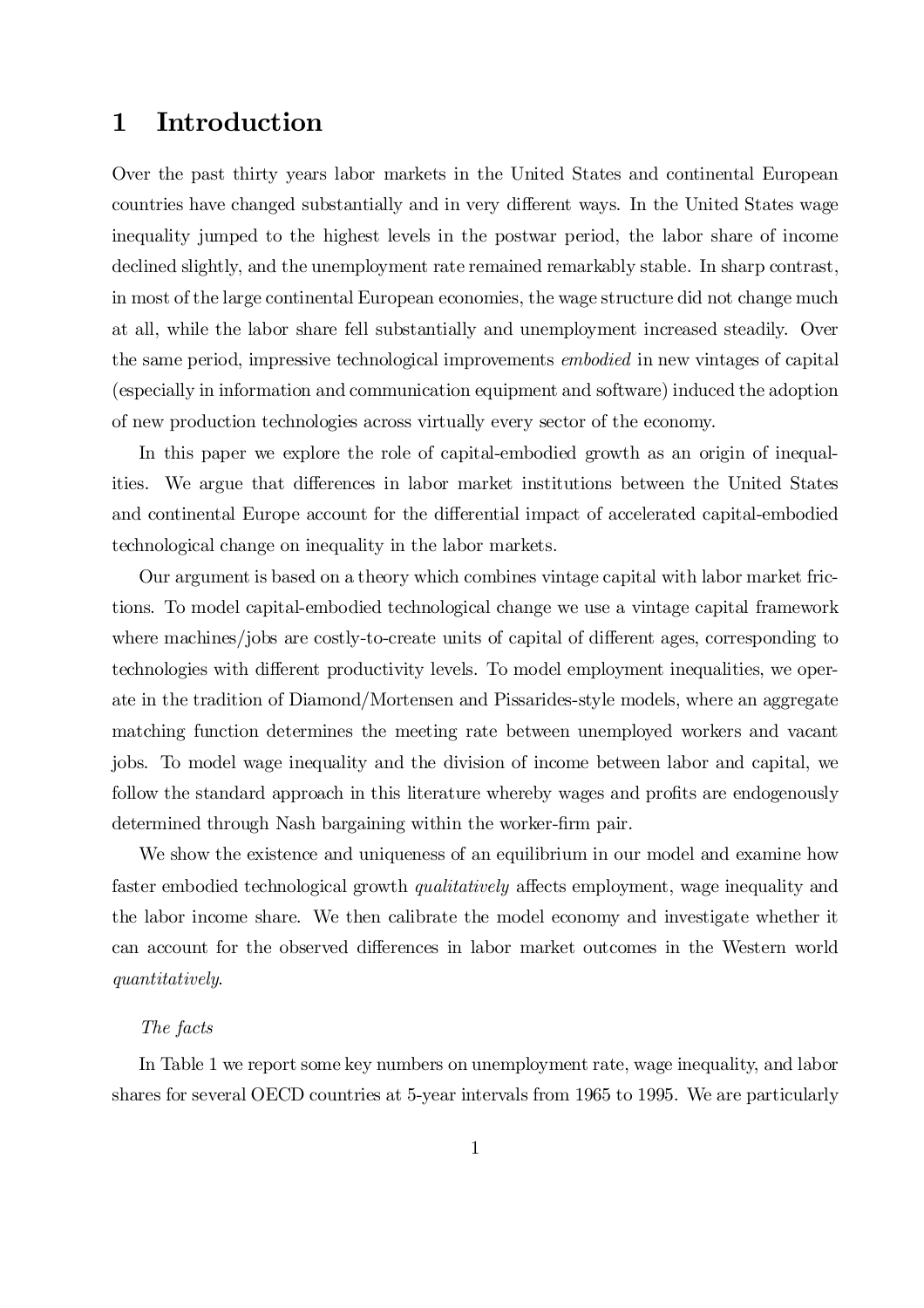# 1 Introduction

Over the past thirty years labor markets in the United States and continental European countries have changed substantially and in very different ways. In the United States wage inequality jumped to the highest levels in the postwar period, the labor share of income declined slightly, and the unemployment rate remained remarkably stable. In sharp contrast, in most of the large continental European economies, the wage structure did not change much at all, while the labor share fell substantially and unemployment increased steadily. Over the same period, impressive technological improvements embodied in new vintages of capital (especially in information and communication equipment and software) induced the adoption of new production technologies across virtually every sector of the economy.

In this paper we explore the role of capital-embodied growth as an origin of inequalities. We argue that differences in labor market institutions between the United States and continental Europe account for the differential impact of accelerated capital-embodied technological change on inequality in the labor markets.

Our argument is based on a theory which combines vintage capital with labor market frictions. To model capital-embodied technological change we use a vintage capital framework where machines/jobs are costly-to-create units of capital of different ages, corresponding to technologies with different productivity levels. To model employment inequalities, we operate in the tradition of Diamond/Mortensen and Pissarides-style models, where an aggregate matching function determines the meeting rate between unemployed workers and vacant jobs. To model wage inequality and the division of income between labor and capital, we follow the standard approach in this literature whereby wages and profits are endogenously determined through Nash bargaining within the worker-firm pair.

We show the existence and uniqueness of an equilibrium in our model and examine how faster embodied technological growth *qualitatively* affects employment, wage inequality and the labor income share. We then calibrate the model economy and investigate whether it can account for the observed differences in labor market outcomes in the Western world quantitatively.

### The facts

In Table 1 we report some key numbers on unemployment rate, wage inequality, and labor shares for several OECD countries at 5-year intervals from 1965 to 1995. We are particularly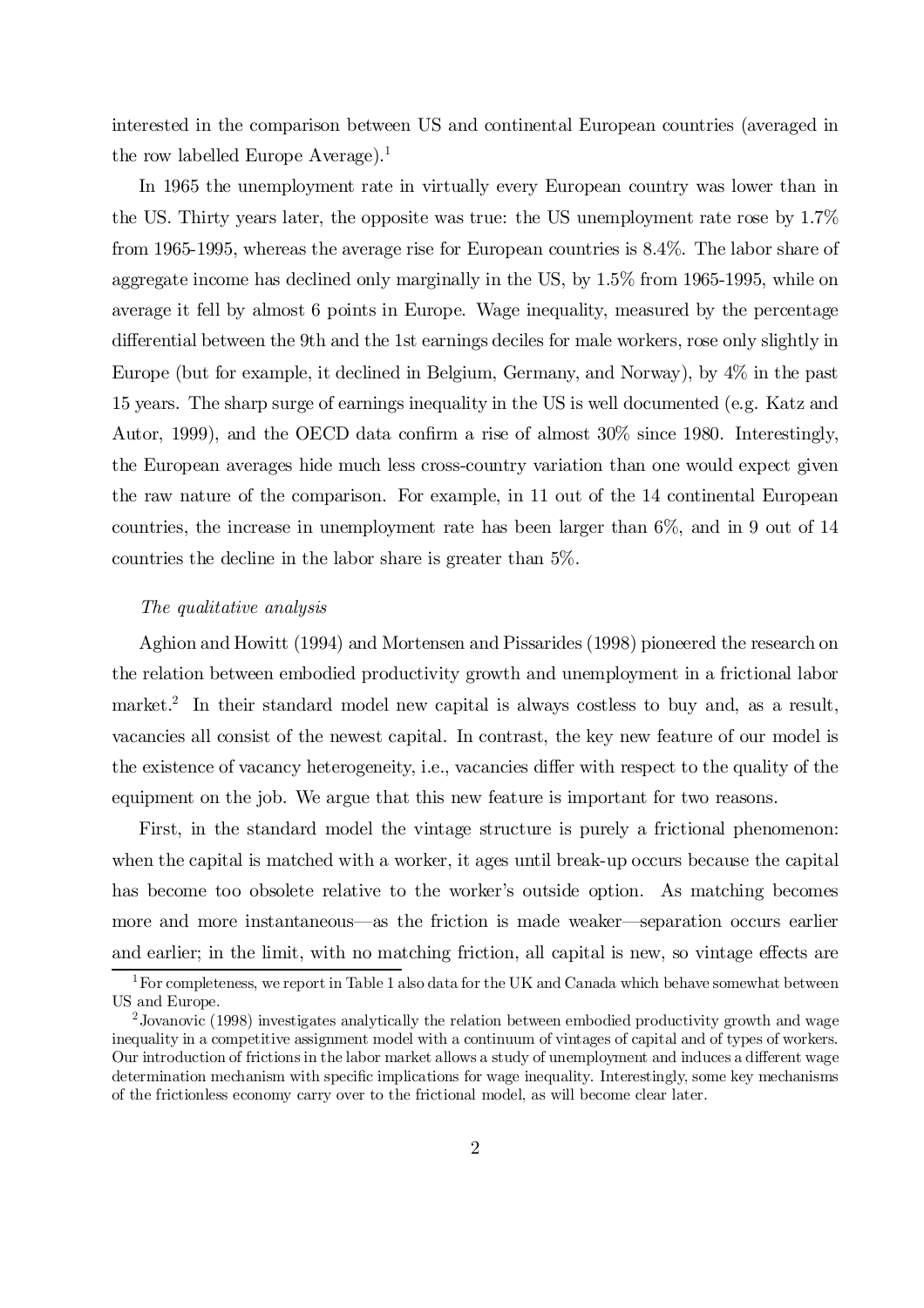interested in the comparison between US and continental European countries (averaged in the row labelled Europe Average). 1

In 1965 the unemployment rate in virtually every European country was lower than in the US. Thirty years later, the opposite was true: the US unemployment rate rose by 1.7% from 1965-1995, whereas the average rise for European countries is 8.4%. The labor share of aggregate income has declined only marginally in the US, by 1.5% from 1965-1995, while on average it fell by almost 6 points in Europe. Wage inequality, measured by the percentage differential between the 9th and the 1st earnings deciles for male workers, rose only slightly in Europe (but for example, it declined in Belgium, Germany, and Norway), by 4% in the past 15 years. The sharp surge of earnings inequality in the US is well documented (e.g. Katz and Autor, 1999), and the OECD data confirm a rise of almost  $30\%$  since 1980. Interestingly, the European averages hide much less cross-country variation than one would expect given the raw nature of the comparison. For example, in 11 out of the 14 continental European countries, the increase in unemployment rate has been larger than 6%, and in 9 out of 14 countries the decline in the labor share is greater than 5%.

#### The qualitative analysis

Aghion and Howitt (1994) and Mortensen and Pissarides (1998) pioneered the research on the relation between embodied productivity growth and unemployment in a frictional labor market.<sup>2</sup> In their standard model new capital is always costless to buy and, as a result, vacancies all consist of the newest capital. In contrast, the key new feature of our model is the existence of vacancy heterogeneity, i.e., vacancies differ with respect to the quality of the equipment on the job. We argue that this new feature is important for two reasons.

First, in the standard model the vintage structure is purely a frictional phenomenon: when the capital is matched with a worker, it ages until break-up occurs because the capital has become too obsolete relative to the worker's outside option. As matching becomes more and more instantaneous—as the friction is made weaker—separation occurs earlier and earlier; in the limit, with no matching friction, all capital is new, so vintage effects are

 $1$  For completeness, we report in Table 1 also data for the UK and Canada which behave somewhat between US and Europe.

<sup>&</sup>lt;sup>2</sup> Jovanovic (1998) investigates analytically the relation between embodied productivity growth and wage inequality in a competitive assignment model with a continuum of vintages of capital and of types of workers. Our introduction of frictions in the labor market allows a study of unemployment and induces a different wage determination mechanism with specific implications for wage inequality. Interestingly, some key mechanisms of the frictionless economy carry over to the frictional model, as will become clear later.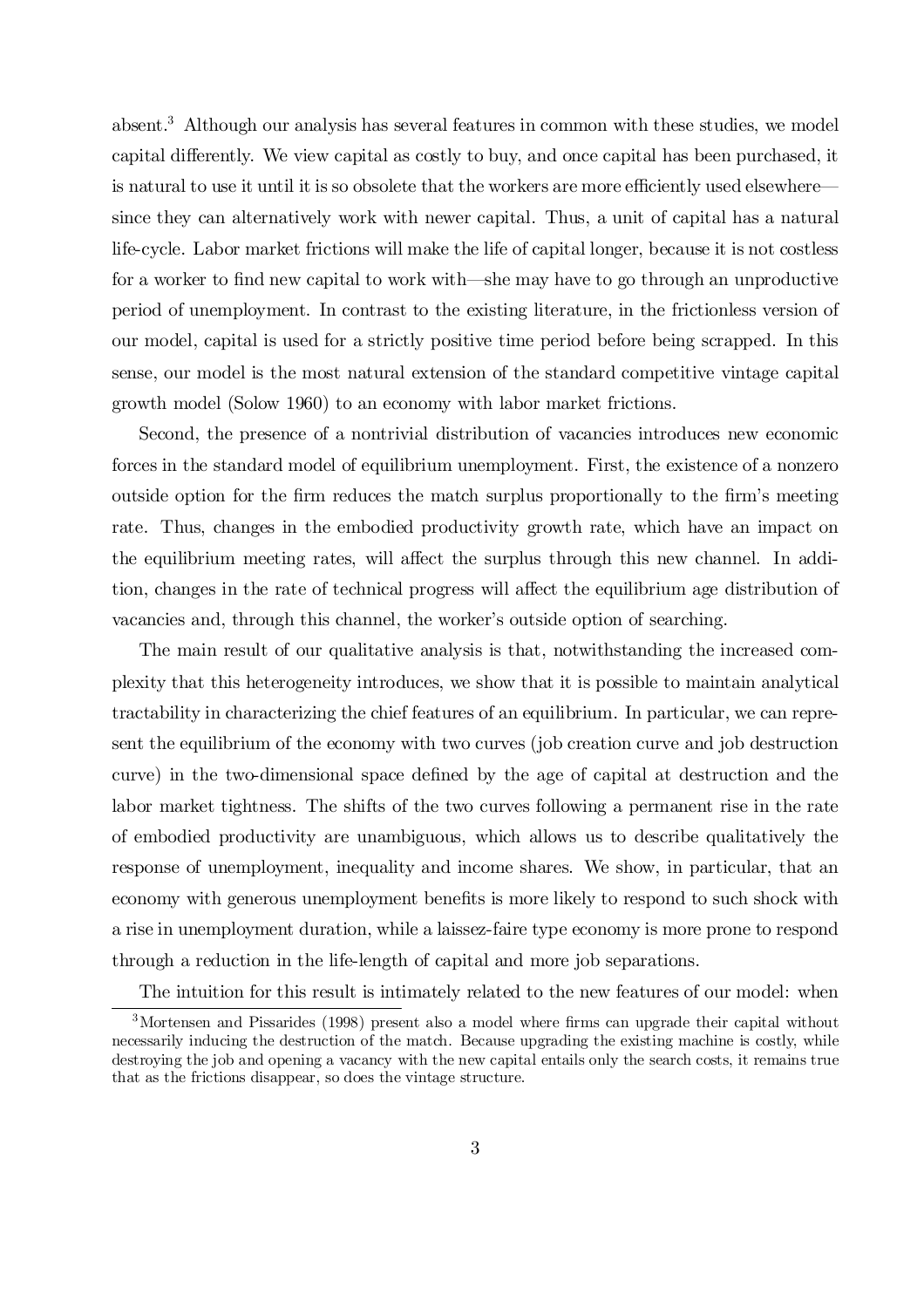absent. <sup>3</sup> Although our analysis has several features in common with these studies, we model capital differently. We view capital as costly to buy, and once capital has been purchased, it is natural to use it until it is so obsolete that the workers are more efficiently used elsewhere since they can alternatively work with newer capital. Thus, a unit of capital has a natural life-cycle. Labor market frictions will make the life of capital longer, because it is not costless for a worker to find new capital to work with—she may have to go through an unproductive period of unemployment. In contrast to the existing literature, in the frictionless version of our model, capital is used for a strictly positive time period before being scrapped. In this sense, our model is the most natural extension of the standard competitive vintage capital growth model (Solow 1960) to an economy with labor market frictions.

Second, the presence of a nontrivial distribution of vacancies introduces new economic forces in the standard model of equilibrium unemployment. First, the existence of a nonzero outside option for the firm reduces the match surplus proportionally to the firm's meeting rate. Thus, changes in the embodied productivity growth rate, which have an impact on the equilibrium meeting rates, will affect the surplus through this new channel. In addition, changes in the rate of technical progress will affect the equilibrium age distribution of vacancies and, through this channel, the worker's outside option of searching.

The main result of our qualitative analysis is that, notwithstanding the increased complexity that this heterogeneity introduces, we show that it is possible to maintain analytical tractability in characterizing the chief features of an equilibrium. In particular, we can represent the equilibrium of the economy with two curves (job creation curve and job destruction curve) in the two-dimensional space defined by the age of capital at destruction and the labor market tightness. The shifts of the two curves following a permanent rise in the rate of embodied productivity are unambiguous, which allows us to describe qualitatively the response of unemployment, inequality and income shares. We show, in particular, that an economy with generous unemployment benefits is more likely to respond to such shock with a rise in unemployment duration, while a laissez-faire type economy is more prone to respond through a reduction in the life-length of capital and more job separations.

The intuition for this result is intimately related to the new features of our model: when

 $3$ Mortensen and Pissarides (1998) present also a model where firms can upgrade their capital without necessarily inducing the destruction of the match. Because upgrading the existing machine is costly, while destroying the job and opening a vacancy with the new capital entails only the search costs, it remains true that as the frictions disappear, so does the vintage structure.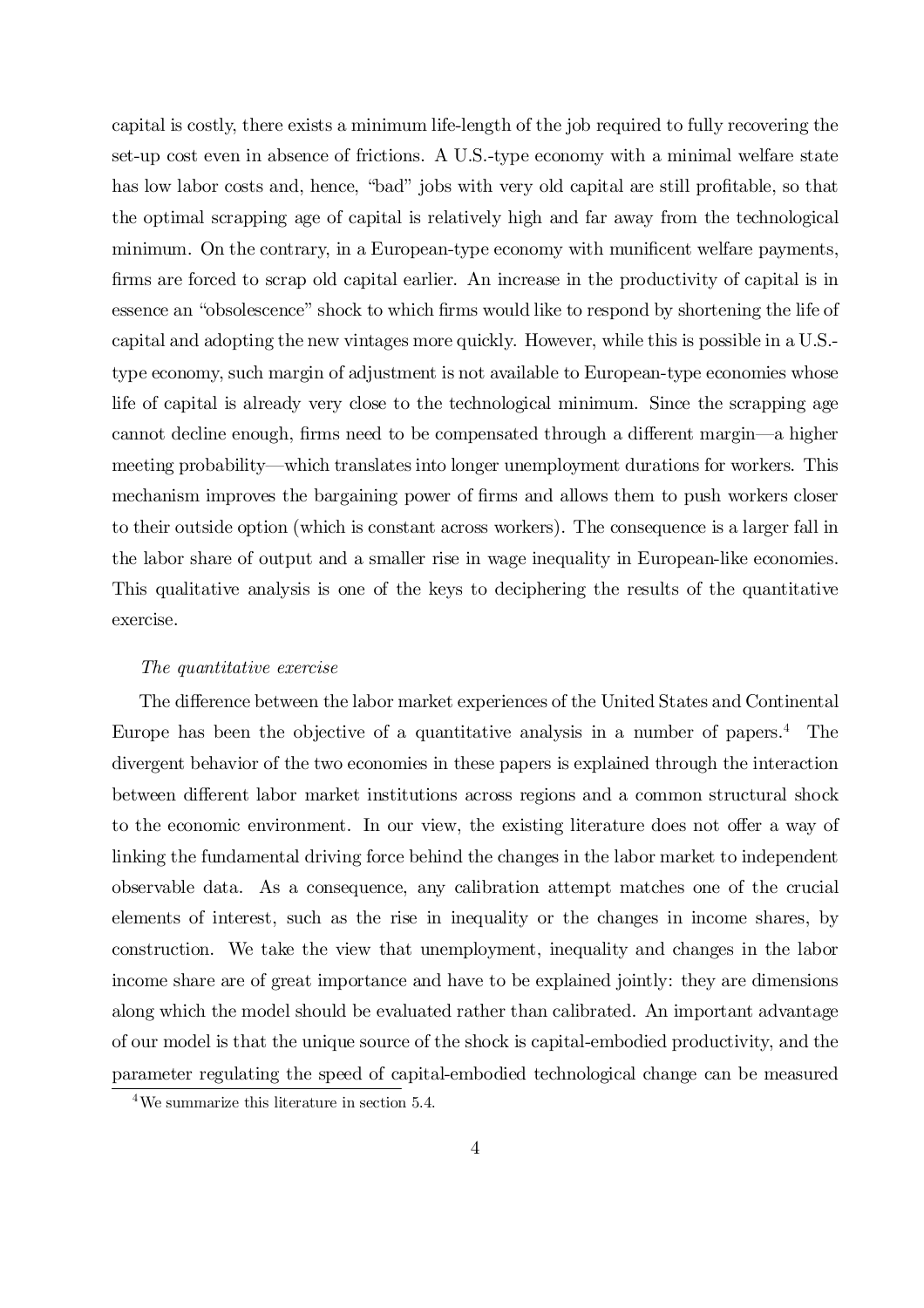capital is costly, there exists a minimum life-length of the job required to fully recovering the set-up cost even in absence of frictions. A U.S.-type economy with a minimal welfare state has low labor costs and, hence, "bad" jobs with very old capital are still profitable, so that the optimal scrapping age of capital is relatively high and far away from the technological minimum. On the contrary, in a European-type economy with munificent welfare payments, firms are forced to scrap old capital earlier. An increase in the productivity of capital is in essence an "obsolescence" shock to which firms would like to respond by shortening the life of capital and adopting the new vintages more quickly. However, while this is possible in a U.S. type economy, such margin of adjustment is not available to European-type economies whose life of capital is already very close to the technological minimum. Since the scrapping age cannot decline enough, firms need to be compensated through a different margin—a higher meeting probability—which translates into longer unemployment durations for workers. This mechanism improves the bargaining power of firms and allows them to push workers closer to their outside option (which is constant across workers). The consequence is a larger fall in the labor share of output and a smaller rise in wage inequality in European-like economies. This qualitative analysis is one of the keys to deciphering the results of the quantitative exercise.

#### The quantitative exercise

The difference between the labor market experiences of the United States and Continental Europe has been the objective of a quantitative analysis in a number of papers. <sup>4</sup> The divergent behavior of the two economies in these papers is explained through the interaction between different labor market institutions across regions and a common structural shock to the economic environment. In our view, the existing literature does not offer a way of linking the fundamental driving force behind the changes in the labor market to independent observable data. As a consequence, any calibration attempt matches one of the crucial elements of interest, such as the rise in inequality or the changes in income shares, by construction. We take the view that unemployment, inequality and changes in the labor income share are of great importance and have to be explained jointly: they are dimensions along which the model should be evaluated rather than calibrated. An important advantage of our model is that the unique source of the shock is capital-embodied productivity, and the parameter regulating the speed of capital-embodied technological change can be measured

<sup>4</sup>We summarize this literature in section 5.4.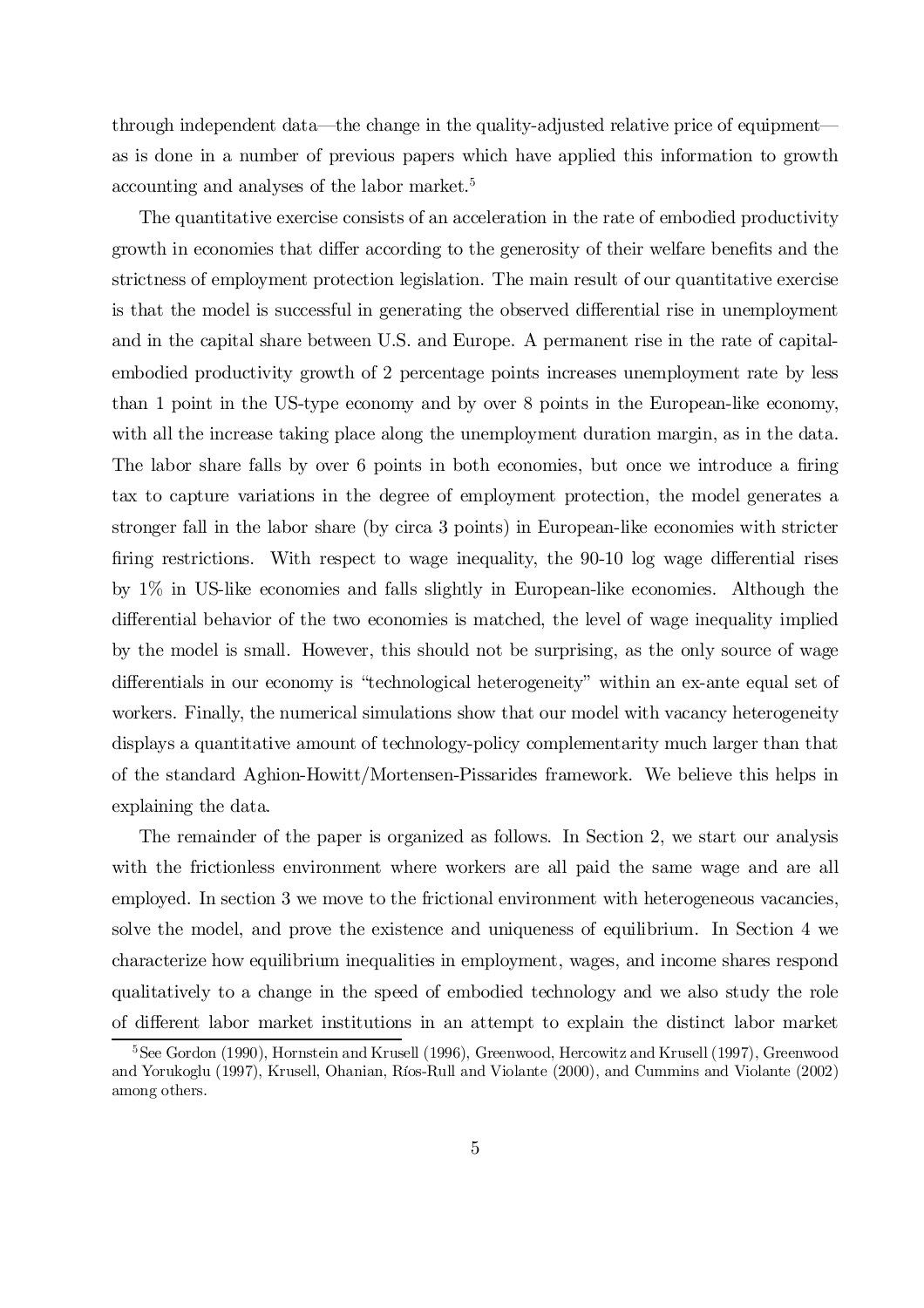through independent data—the change in the quality-adjusted relative price of equipment as is done in a number of previous papers which have applied this information to growth accounting and analyses of the labor market. 5

The quantitative exercise consists of an acceleration in the rate of embodied productivity growth in economies that differ according to the generosity of their welfare benefits and the strictness of employment protection legislation. The main result of our quantitative exercise is that the model is successful in generating the observed differential rise in unemployment and in the capital share between U.S. and Europe. A permanent rise in the rate of capitalembodied productivity growth of 2 percentage points increases unemployment rate by less than 1 point in the US-type economy and by over 8 points in the European-like economy, with all the increase taking place along the unemployment duration margin, as in the data. The labor share falls by over 6 points in both economies, but once we introduce a firing tax to capture variations in the degree of employment protection, the model generates a stronger fall in the labor share (by circa 3 points) in European-like economies with stricter firing restrictions. With respect to wage inequality, the 90-10 log wage differential rises by 1% in US-like economies and falls slightly in European-like economies. Although the differential behavior of the two economies is matched, the level of wage inequality implied by the model is small. However, this should not be surprising, as the only source of wage differentials in our economy is "technological heterogeneity" within an ex-ante equal set of workers. Finally, the numerical simulations show that our model with vacancy heterogeneity displays a quantitative amount of technology-policy complementarity much larger than that of the standard Aghion-Howitt/Mortensen-Pissarides framework. We believe this helps in explaining the data.

The remainder of the paper is organized as follows. In Section 2, we start our analysis with the frictionless environment where workers are all paid the same wage and are all employed. In section 3 we move to the frictional environment with heterogeneous vacancies, solve the model, and prove the existence and uniqueness of equilibrium. In Section 4 we characterize how equilibrium inequalities in employment, wages, and income shares respond qualitatively to a change in the speed of embodied technology and we also study the role of different labor market institutions in an attempt to explain the distinct labor market

<sup>&</sup>lt;sup>5</sup>See Gordon (1990), Hornstein and Krusell (1996), Greenwood, Hercowitz and Krusell (1997), Greenwood and Yorukoglu (1997), Krusell, Ohanian, Ríos-Rull and Violante (2000), and Cummins and Violante (2002) among others.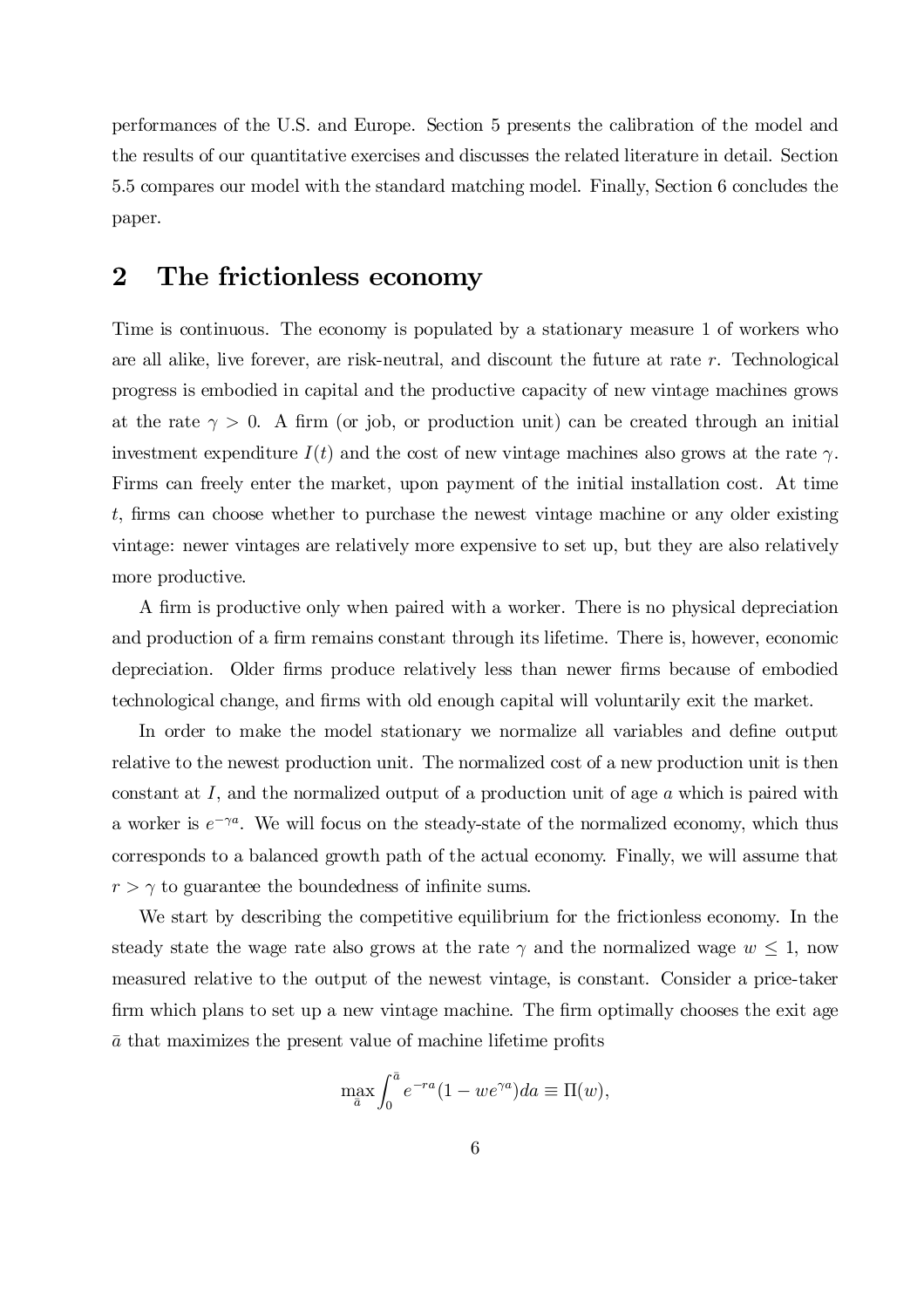performances of the U.S. and Europe. Section 5 presents the calibration of the model and the results of our quantitative exercises and discusses the related literature in detail. Section 5.5 compares our model with the standard matching model. Finally, Section 6 concludes the paper.

### 2 The frictionless economy

Time is continuous. The economy is populated by a stationary measure 1 of workers who are all alike, live forever, are risk-neutral, and discount the future at rate r. Technological progress is embodied in capital and the productive capacity of new vintage machines grows at the rate  $\gamma > 0$ . A firm (or job, or production unit) can be created through an initial investment expenditure  $I(t)$  and the cost of new vintage machines also grows at the rate  $\gamma$ . Firms can freely enter the market, upon payment of the initial installation cost. At time  $t$ , firms can choose whether to purchase the newest vintage machine or any older existing vintage: newer vintages are relatively more expensive to set up, but they are also relatively more productive.

A firm is productive only when paired with a worker. There is no physical depreciation and production of a firm remains constant through its lifetime. There is, however, economic depreciation. Older firms produce relatively less than newer firms because of embodied technological change, and firms with old enough capital will voluntarily exit the market.

In order to make the model stationary we normalize all variables and define output relative to the newest production unit. The normalized cost of a new production unit is then constant at I, and the normalized output of a production unit of age a which is paired with a worker is  $e^{-\gamma a}$ . We will focus on the steady-state of the normalized economy, which thus corresponds to a balanced growth path of the actual economy. Finally, we will assume that  $r > \gamma$  to guarantee the boundedness of infinite sums.

We start by describing the competitive equilibrium for the frictionless economy. In the steady state the wage rate also grows at the rate  $\gamma$  and the normalized wage  $w \leq 1$ , now measured relative to the output of the newest vintage, is constant. Consider a price-taker firm which plans to set up a new vintage machine. The firm optimally chooses the exit age  $\bar{a}$  that maximizes the present value of machine lifetime profits

$$
\max_{\bar{a}} \int_0^{\bar{a}} e^{-ra} (1 - we^{\gamma a}) da \equiv \Pi(w),
$$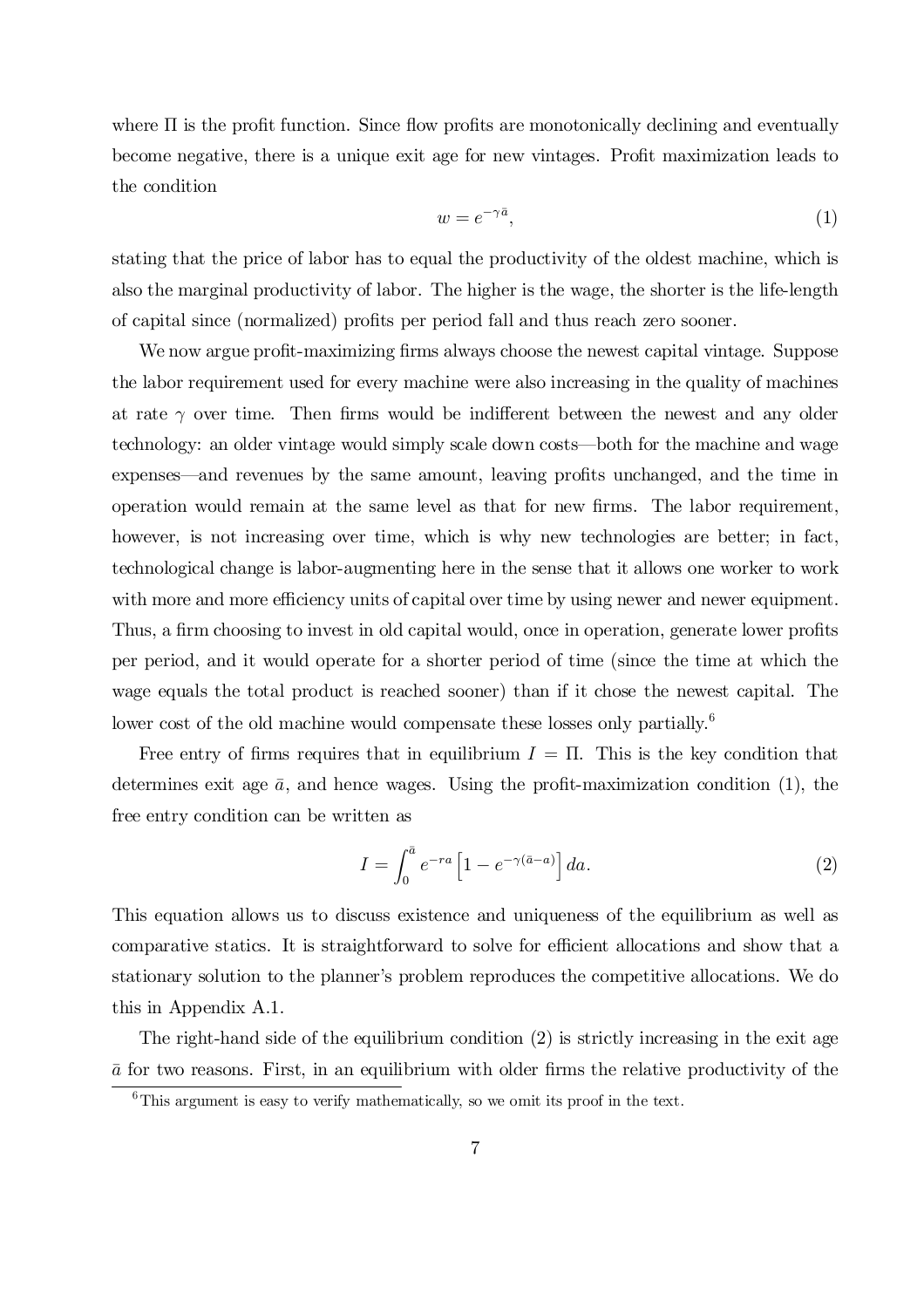where  $\Pi$  is the profit function. Since flow profits are monotonically declining and eventually become negative, there is a unique exit age for new vintages. Profit maximization leads to the condition

$$
w = e^{-\gamma \bar{a}},\tag{1}
$$

stating that the price of labor has to equal the productivity of the oldest machine, which is also the marginal productivity of labor. The higher is the wage, the shorter is the life-length of capital since (normalized) profits per period fall and thus reach zero sooner.

We now argue profit-maximizing firms always choose the newest capital vintage. Suppose the labor requirement used for every machine were also increasing in the quality of machines at rate  $\gamma$  over time. Then firms would be indifferent between the newest and any older technology: an older vintage would simply scale down costs—both for the machine and wage expenses—and revenues by the same amount, leaving profits unchanged, and the time in operation would remain at the same level as that for new firms. The labor requirement, however, is not increasing over time, which is why new technologies are better; in fact, technological change is labor-augmenting here in the sense that it allows one worker to work with more and more efficiency units of capital over time by using newer and newer equipment. Thus, a firm choosing to invest in old capital would, once in operation, generate lower profits per period, and it would operate for a shorter period of time (since the time at which the wage equals the total product is reached sooner) than if it chose the newest capital. The lower cost of the old machine would compensate these losses only partially.<sup>6</sup>

Free entry of firms requires that in equilibrium  $I = \Pi$ . This is the key condition that determines exit age  $\bar{a}$ , and hence wages. Using the profit-maximization condition (1), the free entry condition can be written as

$$
I = \int_0^{\bar{a}} e^{-ra} \left[ 1 - e^{-\gamma(\bar{a}-a)} \right] da.
$$
 (2)

This equation allows us to discuss existence and uniqueness of the equilibrium as well as comparative statics. It is straightforward to solve for efficient allocations and show that a stationary solution to the planner's problem reproduces the competitive allocations. We do this in Appendix A.1.

The right-hand side of the equilibrium condition (2) is strictly increasing in the exit age  $\bar{a}$  for two reasons. First, in an equilibrium with older firms the relative productivity of the

 $6$ This argument is easy to verify mathematically, so we omit its proof in the text.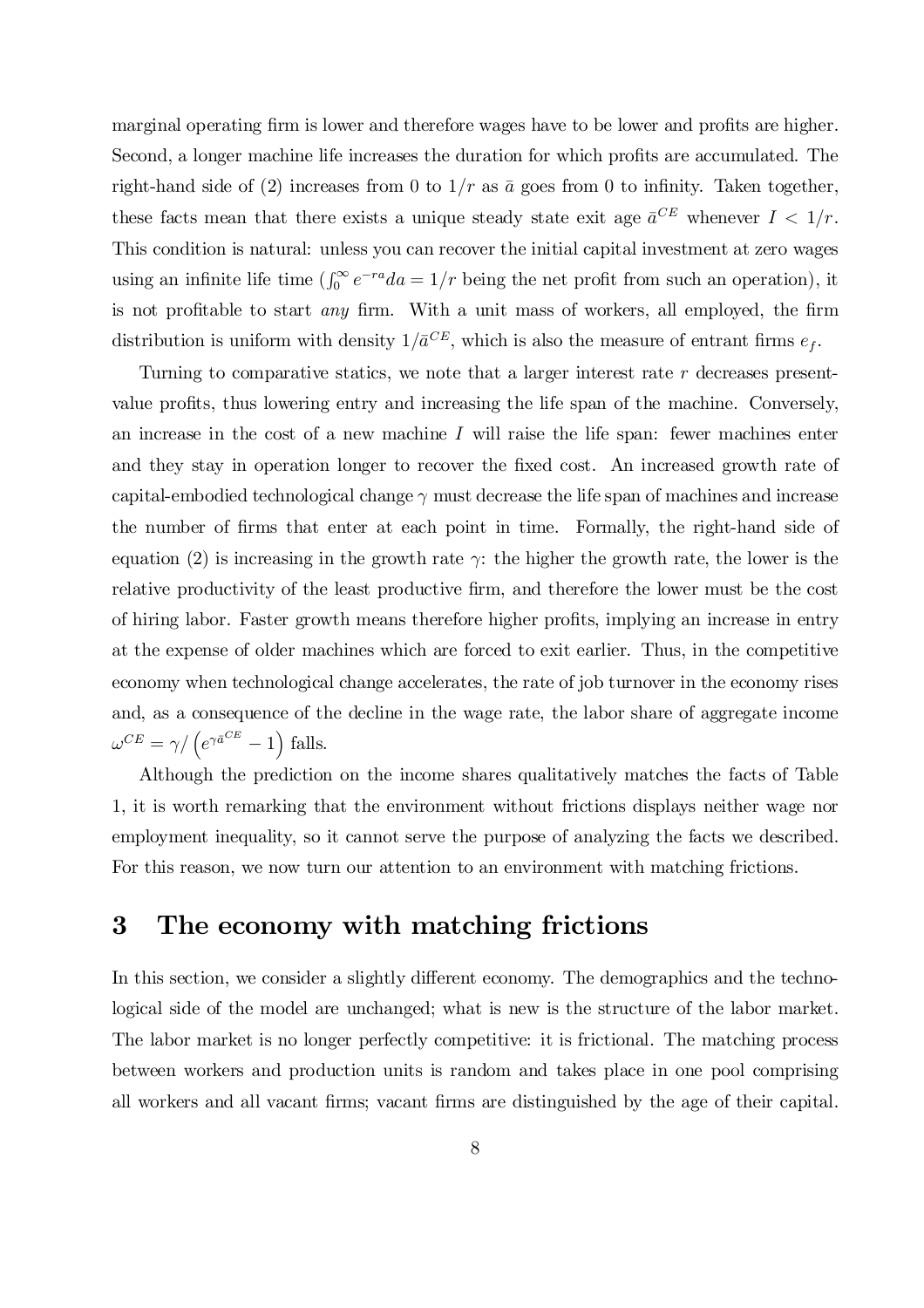marginal operating firm is lower and therefore wages have to be lower and profits are higher. Second, a longer machine life increases the duration for which profits are accumulated. The right-hand side of (2) increases from 0 to  $1/r$  as  $\bar{a}$  goes from 0 to infinity. Taken together, these facts mean that there exists a unique steady state exit age  $\bar{a}^{CE}$  whenever  $I < 1/r$ . This condition is natural: unless you can recover the initial capital investment at zero wages using an infinite life time  $\left(\int_0^\infty e^{-ra}da = 1/r$  being the net profit from such an operation), it is not profitable to start *any* firm. With a unit mass of workers, all employed, the firm distribution is uniform with density  $1/\bar{a}^{CE}$ , which is also the measure of entrant firms  $e_f$ .

Turning to comparative statics, we note that a larger interest rate  $r$  decreases presentvalue profits, thus lowering entry and increasing the life span of the machine. Conversely, an increase in the cost of a new machine  $I$  will raise the life span: fewer machines enter and they stay in operation longer to recover the fixed cost. An increased growth rate of capital-embodied technological change  $\gamma$  must decrease the life span of machines and increase the number of firms that enter at each point in time. Formally, the right-hand side of equation (2) is increasing in the growth rate  $\gamma$ : the higher the growth rate, the lower is the relative productivity of the least productive firm, and therefore the lower must be the cost of hiring labor. Faster growth means therefore higher profits, implying an increase in entry at the expense of older machines which are forced to exit earlier. Thus, in the competitive economy when technological change accelerates, the rate of job turnover in the economy rises and, as a consequence of the decline in the wage rate, the labor share of aggregate income  $\omega^{CE} = \gamma / (e^{\gamma \bar{a}^{CE}} - 1)$  falls.

Although the prediction on the income shares qualitatively matches the facts of Table 1, it is worth remarking that the environment without frictions displays neither wage nor employment inequality, so it cannot serve the purpose of analyzing the facts we described. For this reason, we now turn our attention to an environment with matching frictions.

### 3 The economy with matching frictions

In this section, we consider a slightly different economy. The demographics and the technological side of the model are unchanged; what is new is the structure of the labor market. The labor market is no longer perfectly competitive: it is frictional. The matching process between workers and production units is random and takes place in one pool comprising all workers and all vacant firms; vacant firms are distinguished by the age of their capital.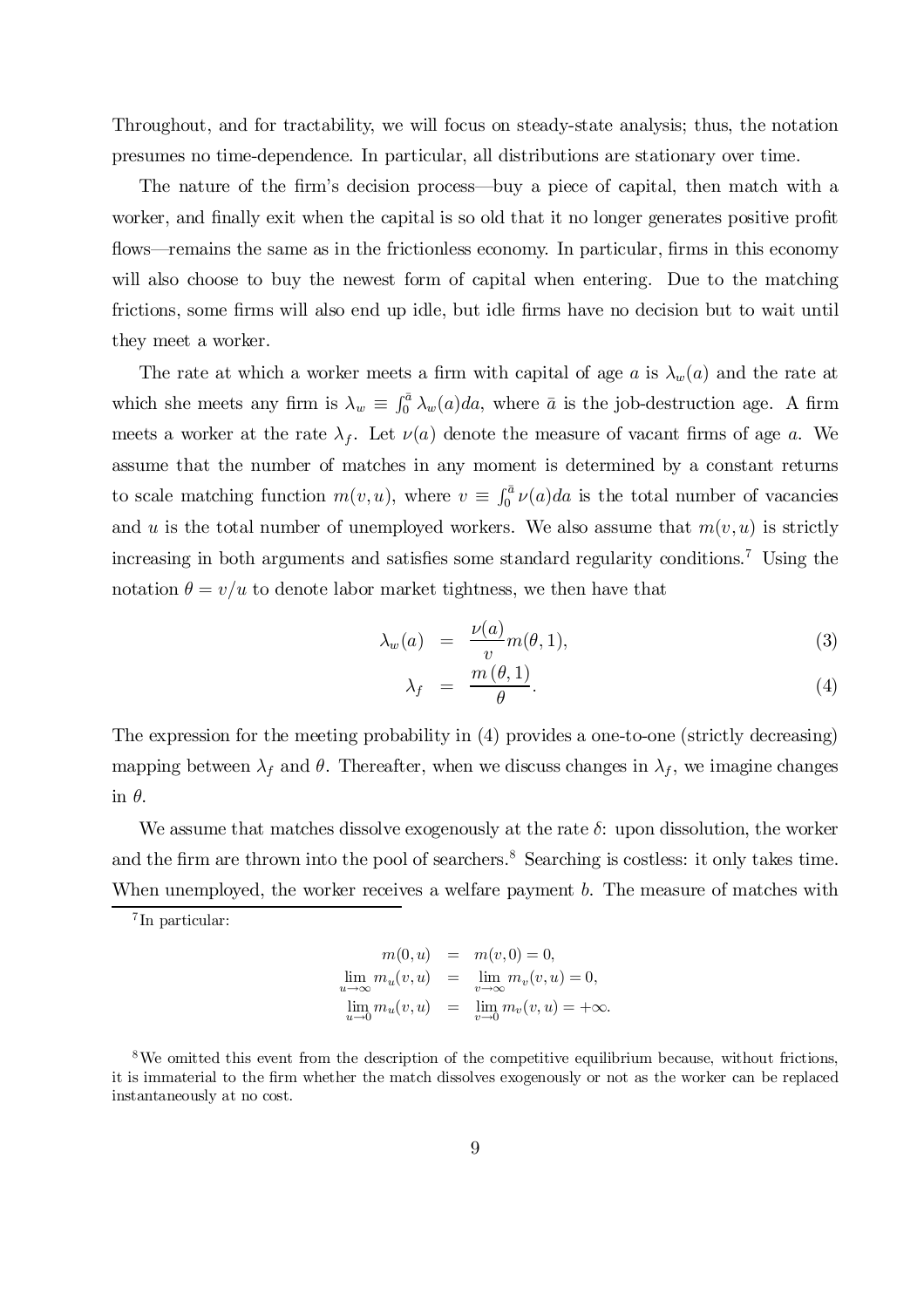Throughout, and for tractability, we will focus on steady-state analysis; thus, the notation presumes no time-dependence. In particular, all distributions are stationary over time.

The nature of the firm's decision process—buy a piece of capital, then match with a worker, and finally exit when the capital is so old that it no longer generates positive profit flows—remains the same as in the frictionless economy. In particular, firms in this economy will also choose to buy the newest form of capital when entering. Due to the matching frictions, some firms will also end up idle, but idle firms have no decision but to wait until they meet a worker.

The rate at which a worker meets a firm with capital of age a is  $\lambda_w(a)$  and the rate at which she meets any firm is  $\lambda_w \equiv \int_0^{\bar{a}} \lambda_w(a)da$ , where  $\bar{a}$  is the job-destruction age. A firm meets a worker at the rate  $\lambda_f$ . Let  $\nu(a)$  denote the measure of vacant firms of age a. We assume that the number of matches in any moment is determined by a constant returns to scale matching function  $m(v, u)$ , where  $v \equiv \int_0^{\bar{a}} v(a)da$  is the total number of vacancies and u is the total number of unemployed workers. We also assume that  $m(v, u)$  is strictly increasing in both arguments and satisfies some standard regularity conditions.<sup>7</sup> Using the notation  $\theta = v/u$  to denote labor market tightness, we then have that

$$
\lambda_w(a) = \frac{\nu(a)}{v} m(\theta, 1), \tag{3}
$$

$$
\lambda_f = \frac{m(\theta, 1)}{\theta}.\tag{4}
$$

The expression for the meeting probability in (4) provides a one-to-one (strictly decreasing) mapping between  $\lambda_f$  and  $\theta$ . Thereafter, when we discuss changes in  $\lambda_f$ , we imagine changes in  $\theta$ .

We assume that matches dissolve exogenously at the rate  $\delta$ : upon dissolution, the worker and the firm are thrown into the pool of searchers.<sup>8</sup> Searching is costless: it only takes time. When unemployed, the worker receives a welfare payment b. The measure of matches with

7 In particular:

$$
m(0, u) = m(v, 0) = 0,
$$
  
\n
$$
\lim_{u \to \infty} m_u(v, u) = \lim_{v \to \infty} m_v(v, u) = 0,
$$
  
\n
$$
\lim_{u \to 0} m_u(v, u) = \lim_{v \to 0} m_v(v, u) = +\infty.
$$

 $8$ We omitted this event from the description of the competitive equilibrium because, without frictions, it is immaterial to the firm whether the match dissolves exogenously or not as the worker can be replaced instantaneously at no cost.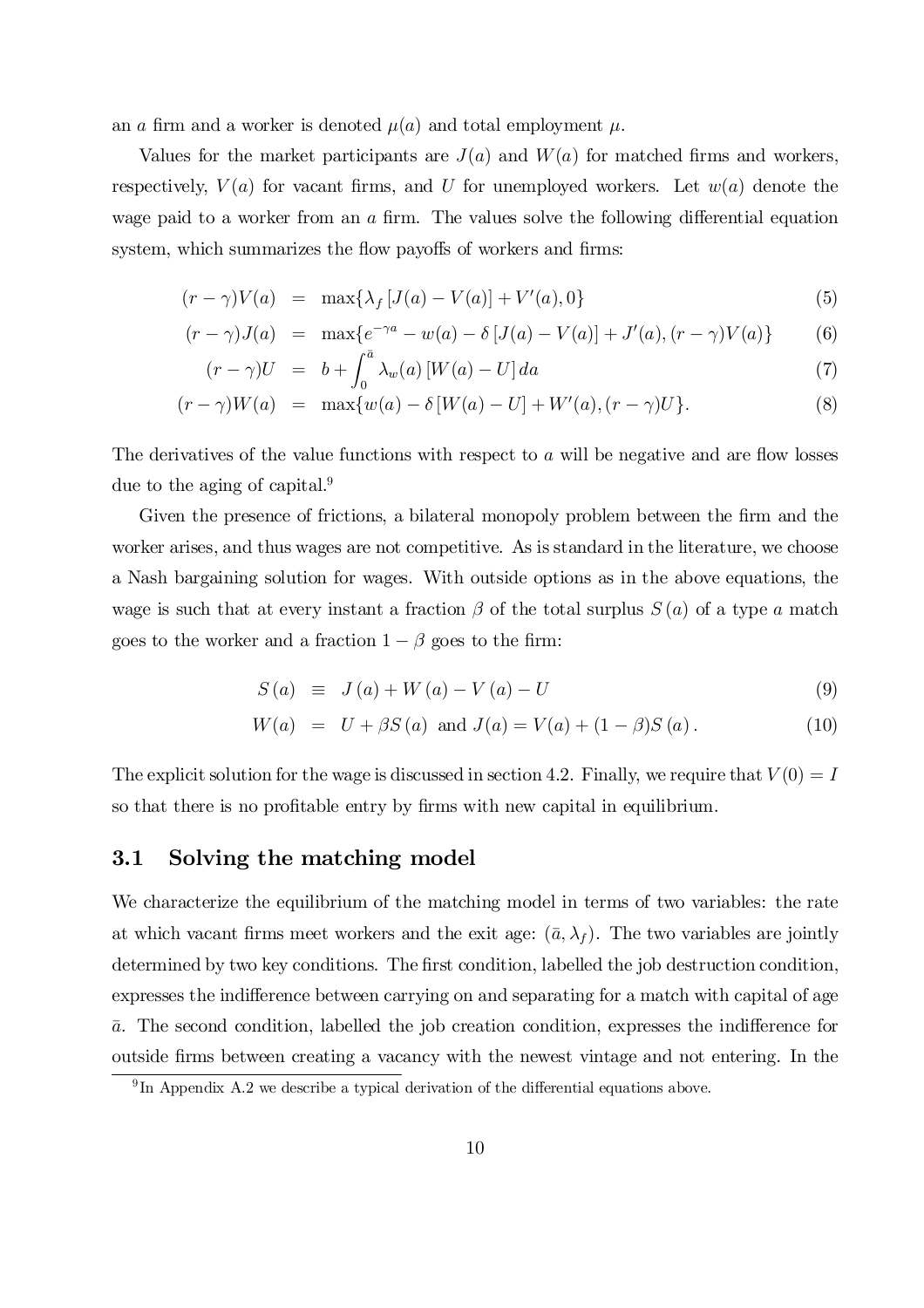an a firm and a worker is denoted  $\mu(a)$  and total employment  $\mu$ .

Values for the market participants are  $J(a)$  and  $W(a)$  for matched firms and workers, respectively,  $V(a)$  for vacant firms, and U for unemployed workers. Let  $w(a)$  denote the wage paid to a worker from an  $a$  firm. The values solve the following differential equation system, which summarizes the flow payoffs of workers and firms:

$$
(r - \gamma)V(a) = \max\{\lambda_f [J(a) - V(a)] + V'(a), 0\}
$$
\n(5)

$$
(r - \gamma)J(a) = \max \{ e^{-\gamma a} - w(a) - \delta [J(a) - V(a)] + J'(a), (r - \gamma)V(a) \}
$$
 (6)

$$
(r - \gamma)U = b + \int_0^{\bar{a}} \lambda_w(a) \left[ W(a) - U \right] da \tag{7}
$$

$$
(r - \gamma)W(a) = \max\{w(a) - \delta[W(a) - U] + W'(a), (r - \gamma)U\}.
$$
 (8)

The derivatives of the value functions with respect to  $a$  will be negative and are flow losses due to the aging of capital.<sup>9</sup>

Given the presence of frictions, a bilateral monopoly problem between the firm and the worker arises, and thus wages are not competitive. As is standard in the literature, we choose a Nash bargaining solution for wages. With outside options as in the above equations, the wage is such that at every instant a fraction  $\beta$  of the total surplus  $S(a)$  of a type a match goes to the worker and a fraction  $1 - \beta$  goes to the firm:

$$
S(a) \equiv J(a) + W(a) - V(a) - U \tag{9}
$$

$$
W(a) = U + \beta S(a) \text{ and } J(a) = V(a) + (1 - \beta)S(a). \tag{10}
$$

The explicit solution for the wage is discussed in section 4.2. Finally, we require that  $V(0) = I$ so that there is no profitable entry by firms with new capital in equilibrium.

### 3.1 Solving the matching model

We characterize the equilibrium of the matching model in terms of two variables: the rate at which vacant firms meet workers and the exit age:  $(\bar{a}, \lambda_f)$ . The two variables are jointly determined by two key conditions. The first condition, labelled the job destruction condition, expresses the indifference between carrying on and separating for a match with capital of age  $\bar{a}$ . The second condition, labelled the job creation condition, expresses the indifference for outside firms between creating a vacancy with the newest vintage and not entering. In the

 $9 \text{ In Appendix A.2 we describe a typical derivation of the differential equations above.}$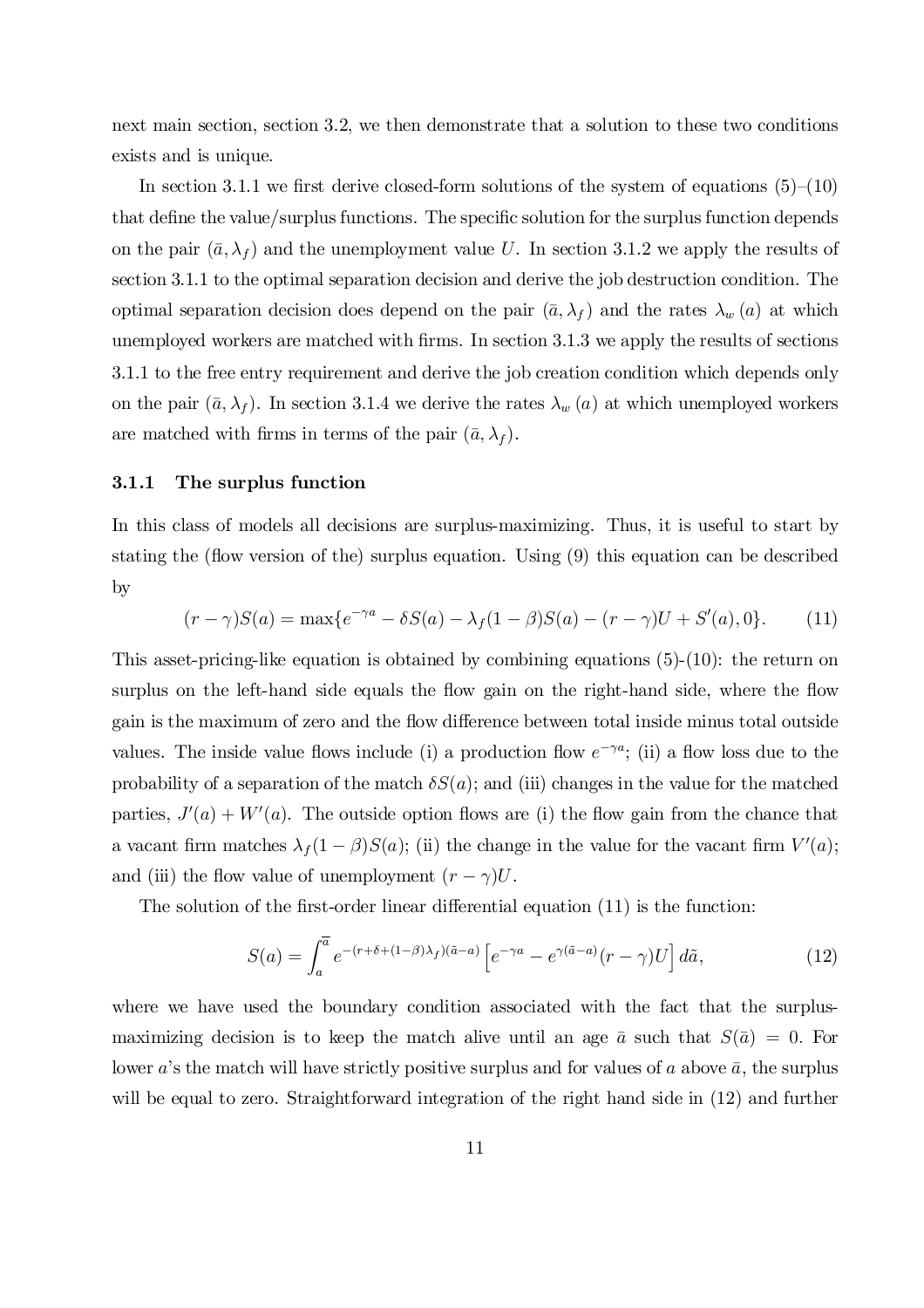next main section, section 3.2, we then demonstrate that a solution to these two conditions exists and is unique.

In section 3.1.1 we first derive closed-form solutions of the system of equations  $(5)-(10)$ that define the value/surplus functions. The specific solution for the surplus function depends on the pair  $(\bar{a}, \lambda_f)$  and the unemployment value U. In section 3.1.2 we apply the results of section 3.1.1 to the optimal separation decision and derive the job destruction condition. The optimal separation decision does depend on the pair  $(\bar{a}, \lambda_f)$  and the rates  $\lambda_w(a)$  at which unemployed workers are matched with firms. In section  $3.1.3$  we apply the results of sections 3.1.1 to the free entry requirement and derive the job creation condition which depends only on the pair  $(\bar{a}, \lambda_f)$ . In section 3.1.4 we derive the rates  $\lambda_w(a)$  at which unemployed workers are matched with firms in terms of the pair  $(\bar{a}, \lambda_f)$ .

#### 3.1.1 The surplus function

In this class of models all decisions are surplus-maximizing. Thus, it is useful to start by stating the (flow version of the) surplus equation. Using  $(9)$  this equation can be described by

$$
(r - \gamma)S(a) = \max\{e^{-\gamma a} - \delta S(a) - \lambda_f(1 - \beta)S(a) - (r - \gamma)U + S'(a), 0\}.
$$
 (11)

This asset-pricing-like equation is obtained by combining equations (5)-(10): the return on surplus on the left-hand side equals the flow gain on the right-hand side, where the flow gain is the maximum of zero and the flow difference between total inside minus total outside values. The inside value flows include (i) a production flow  $e^{-\gamma a}$ ; (ii) a flow loss due to the probability of a separation of the match  $\delta S(a)$ ; and (iii) changes in the value for the matched parties,  $J'(a) + W'(a)$ . The outside option flows are (i) the flow gain from the chance that a vacant firm matches  $\lambda_f (1 - \beta) S(a)$ ; (ii) the change in the value for the vacant firm  $V'(a)$ ; and (iii) the flow value of unemployment  $(r - \gamma)U$ .

The solution of the first-order linear differential equation  $(11)$  is the function:

$$
S(a) = \int_{a}^{\overline{a}} e^{-(r+\delta+(1-\beta)\lambda_f)(\tilde{a}-a)} \left[ e^{-\gamma a} - e^{\gamma(\tilde{a}-a)}(r-\gamma)U \right] d\tilde{a},\tag{12}
$$

where we have used the boundary condition associated with the fact that the surplusmaximizing decision is to keep the match alive until an age  $\bar{a}$  such that  $S(\bar{a}) = 0$ . For lower a's the match will have strictly positive surplus and for values of a above  $\bar{a}$ , the surplus will be equal to zero. Straightforward integration of the right hand side in  $(12)$  and further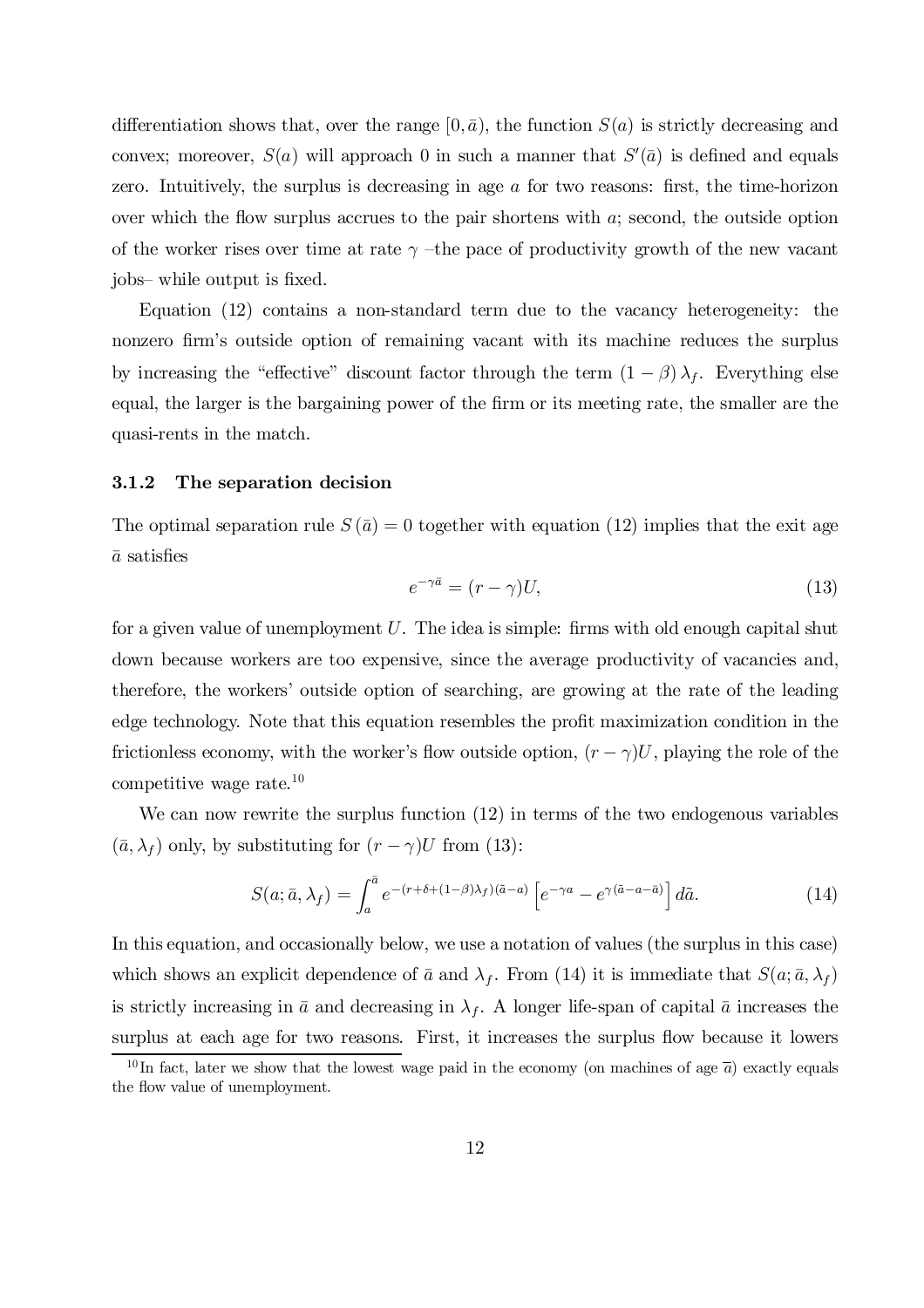differentiation shows that, over the range  $[0,\bar{a})$ , the function  $S(a)$  is strictly decreasing and convex; moreover,  $S(a)$  will approach 0 in such a manner that  $S'(\bar{a})$  is defined and equals zero. Intuitively, the surplus is decreasing in age  $\alpha$  for two reasons: first, the time-horizon over which the flow surplus accrues to the pair shortens with  $a$ ; second, the outside option of the worker rises over time at rate  $\gamma$  –the pace of productivity growth of the new vacant jobs– while output is fixed.

Equation (12) contains a non-standard term due to the vacancy heterogeneity: the nonzero firm's outside option of remaining vacant with its machine reduces the surplus by increasing the "effective" discount factor through the term  $(1 - \beta) \lambda_f$ . Everything else equal, the larger is the bargaining power of the firm or its meeting rate, the smaller are the quasi-rents in the match.

#### 3.1.2 The separation decision

The optimal separation rule  $S(\bar{a})=0$  together with equation (12) implies that the exit age  $\bar{a}$  satisfies

$$
e^{-\gamma \bar{a}} = (r - \gamma)U,\tag{13}
$$

for a given value of unemployment  $U$ . The idea is simple: firms with old enough capital shut down because workers are too expensive, since the average productivity of vacancies and, therefore, the workers' outside option of searching, are growing at the rate of the leading edge technology. Note that this equation resembles the profit maximization condition in the frictionless economy, with the worker's flow outside option,  $(r - \gamma)U$ , playing the role of the competitive wage rate.<sup>10</sup>

We can now rewrite the surplus function (12) in terms of the two endogenous variables  $(\bar{a}, \lambda_f)$  only, by substituting for  $(r - \gamma)U$  from (13):

$$
S(a; \bar{a}, \lambda_f) = \int_a^{\bar{a}} e^{-(r+\delta + (1-\beta)\lambda_f)(\bar{a}-a)} \left[ e^{-\gamma a} - e^{\gamma(\tilde{a}-a-\bar{a})} \right] d\tilde{a}.
$$
 (14)

In this equation, and occasionally below, we use a notation of values (the surplus in this case) which shows an explicit dependence of  $\bar{a}$  and  $\lambda_f$ . From (14) it is immediate that  $S(a; \bar{a}, \lambda_f)$ is strictly increasing in  $\bar{a}$  and decreasing in  $\lambda_f$ . A longer life-span of capital  $\bar{a}$  increases the surplus at each age for two reasons. First, it increases the surplus flow because it lowers

<sup>&</sup>lt;sup>10</sup>In fact, later we show that the lowest wage paid in the economy (on machines of age  $\bar{a}$ ) exactly equals the flow value of unemployment.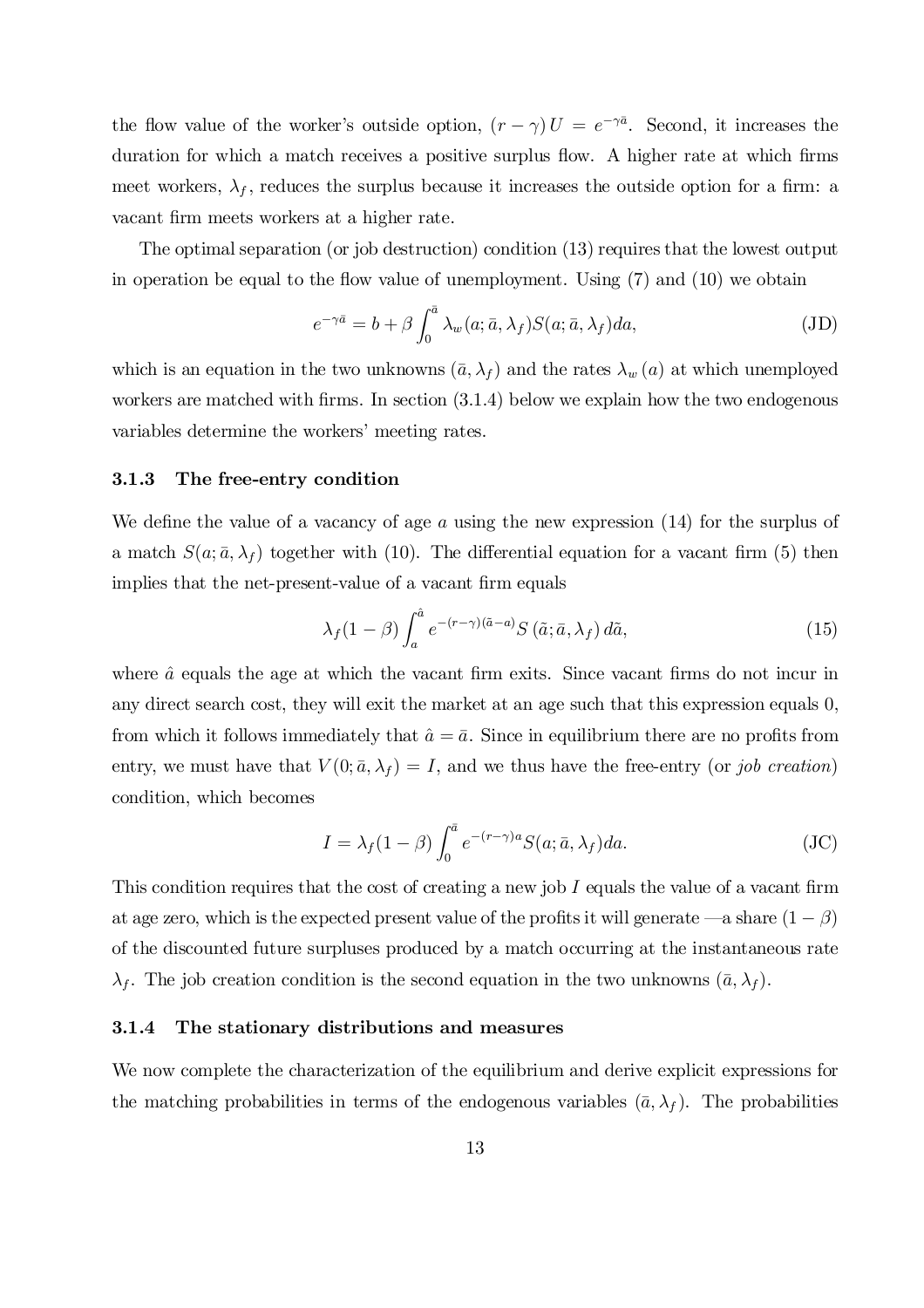the flow value of the worker's outside option,  $(r - \gamma) U = e^{-\gamma \bar{a}}$ . Second, it increases the duration for which a match receives a positive surplus flow. A higher rate at which firms meet workers,  $\lambda_f$ , reduces the surplus because it increases the outside option for a firm: a vacant firm meets workers at a higher rate.

The optimal separation (or job destruction) condition (13) requires that the lowest output in operation be equal to the flow value of unemployment. Using  $(7)$  and  $(10)$  we obtain

$$
e^{-\gamma \bar{a}} = b + \beta \int_0^{\bar{a}} \lambda_w(a; \bar{a}, \lambda_f) S(a; \bar{a}, \lambda_f) da,
$$
 (JD)

which is an equation in the two unknowns  $(\bar{a}, \lambda_f)$  and the rates  $\lambda_w(a)$  at which unemployed workers are matched with firms. In section  $(3.1.4)$  below we explain how the two endogenous variables determine the workers' meeting rates.

#### 3.1.3 The free-entry condition

We define the value of a vacancy of age a using the new expression  $(14)$  for the surplus of a match  $S(a; \bar{a}, \lambda_f)$  together with (10). The differential equation for a vacant firm (5) then implies that the net-present-value of a vacant firm equals

$$
\lambda_f (1 - \beta) \int_a^{\hat{a}} e^{-(r - \gamma)(\tilde{a} - a)} S(\tilde{a}; \bar{a}, \lambda_f) d\tilde{a}, \qquad (15)
$$

where  $\hat{a}$  equals the age at which the vacant firm exits. Since vacant firms do not incur in any direct search cost, they will exit the market at an age such that this expression equals 0, from which it follows immediately that  $\hat{a} = \bar{a}$ . Since in equilibrium there are no profits from entry, we must have that  $V(0; \bar{a}, \lambda_f) = I$ , and we thus have the free-entry (or job creation) condition, which becomes

$$
I = \lambda_f (1 - \beta) \int_0^{\bar{a}} e^{-(r - \gamma)a} S(a; \bar{a}, \lambda_f) da.
$$
 (JC)

This condition requires that the cost of creating a new job  $I$  equals the value of a vacant firm at age zero, which is the expected present value of the profits it will generate —a share  $(1 - \beta)$ of the discounted future surpluses produced by a match occurring at the instantaneous rate  $\lambda_f$ . The job creation condition is the second equation in the two unknowns  $(\bar{a}, \lambda_f)$ .

#### 3.1.4 The stationary distributions and measures

We now complete the characterization of the equilibrium and derive explicit expressions for the matching probabilities in terms of the endogenous variables  $(\bar{a}, \lambda_f)$ . The probabilities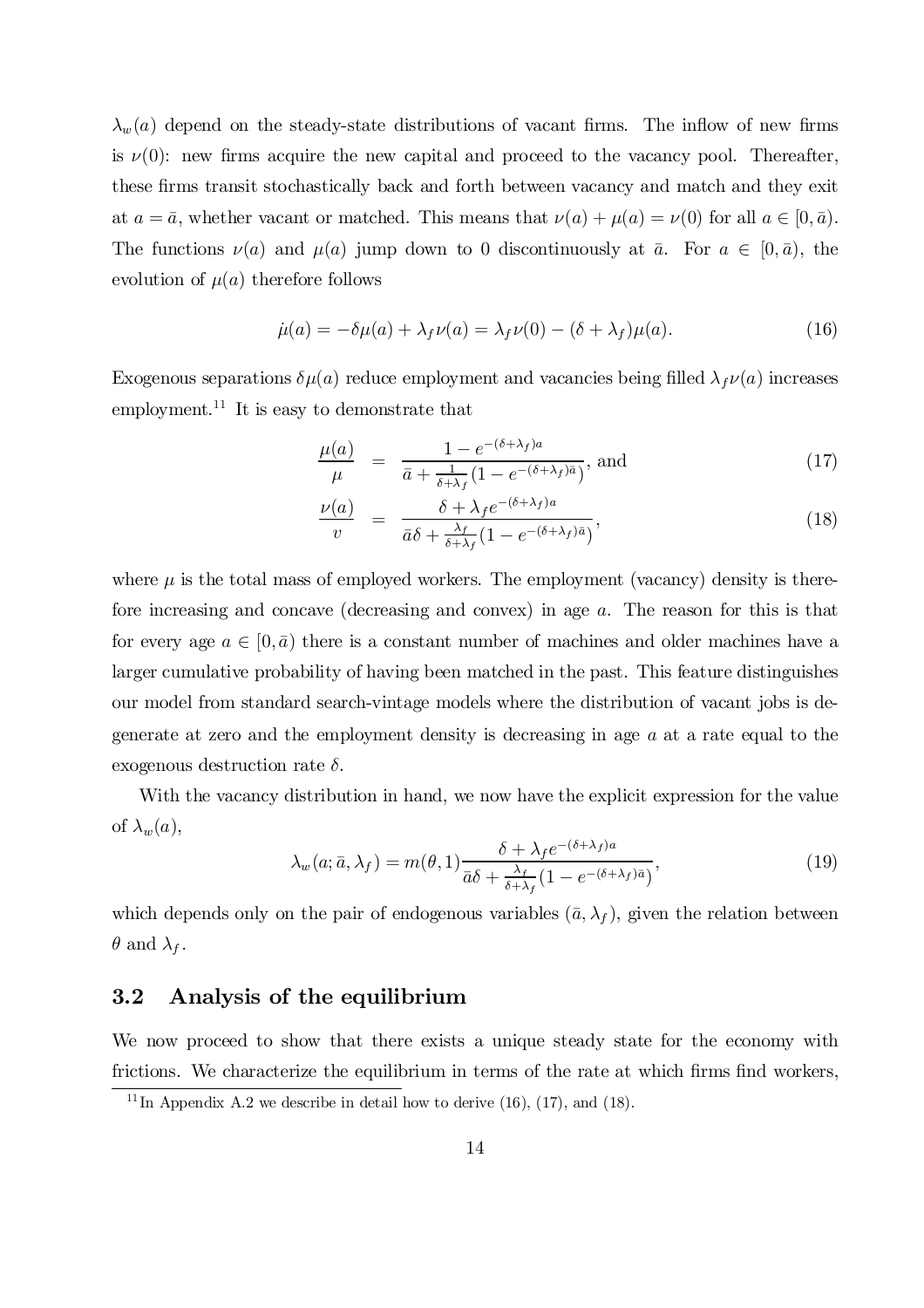$\lambda_w(a)$  depend on the steady-state distributions of vacant firms. The inflow of new firms is  $\nu(0)$ : new firms acquire the new capital and proceed to the vacancy pool. Thereafter, these firms transit stochastically back and forth between vacancy and match and they exit at  $a = \bar{a}$ , whether vacant or matched. This means that  $\nu(a) + \mu(a) = \nu(0)$  for all  $a \in [0, \bar{a})$ . The functions  $\nu(a)$  and  $\mu(a)$  jump down to 0 discontinuously at  $\bar{a}$ . For  $a \in [0,\bar{a})$ , the evolution of  $\mu(a)$  therefore follows

$$
\dot{\mu}(a) = -\delta\mu(a) + \lambda_f \nu(a) = \lambda_f \nu(0) - (\delta + \lambda_f)\mu(a). \tag{16}
$$

Exogenous separations  $\delta \mu(a)$  reduce employment and vacancies being filled  $\lambda_f \nu(a)$  increases employment.<sup>11</sup> It is easy to demonstrate that

$$
\frac{\mu(a)}{\mu} = \frac{1 - e^{-(\delta + \lambda_f)a}}{\bar{a} + \frac{1}{\delta + \lambda_f} (1 - e^{-(\delta + \lambda_f)\bar{a}})}, \text{ and}
$$
\n(17)

$$
\frac{\nu(a)}{v} = \frac{\delta + \lambda_f e^{-(\delta + \lambda_f)a}}{\bar{a}\delta + \frac{\lambda_f}{\delta + \lambda_f} (1 - e^{-(\delta + \lambda_f)\bar{a}})},
$$
\n(18)

where  $\mu$  is the total mass of employed workers. The employment (vacancy) density is therefore increasing and concave (decreasing and convex) in age a. The reason for this is that for every age  $a \in [0,\bar{a})$  there is a constant number of machines and older machines have a larger cumulative probability of having been matched in the past. This feature distinguishes our model from standard search-vintage models where the distribution of vacant jobs is degenerate at zero and the employment density is decreasing in age a at a rate equal to the exogenous destruction rate  $\delta$ .

With the vacancy distribution in hand, we now have the explicit expression for the value of  $\lambda_w(a)$ ,

$$
\lambda_w(a; \bar{a}, \lambda_f) = m(\theta, 1) \frac{\delta + \lambda_f e^{-(\delta + \lambda_f)a}}{\bar{a}\delta + \frac{\lambda_f}{\delta + \lambda_f} (1 - e^{-(\delta + \lambda_f)\bar{a}})},
$$
\n(19)

which depends only on the pair of endogenous variables  $(\bar{a}, \lambda_f)$ , given the relation between  $\theta$  and  $\lambda_f$ .

### 3.2 Analysis of the equilibrium

We now proceed to show that there exists a unique steady state for the economy with frictions. We characterize the equilibrium in terms of the rate at which firms find workers,

<sup>&</sup>lt;sup>11</sup> In Appendix A.2 we describe in detail how to derive  $(16)$ ,  $(17)$ , and  $(18)$ .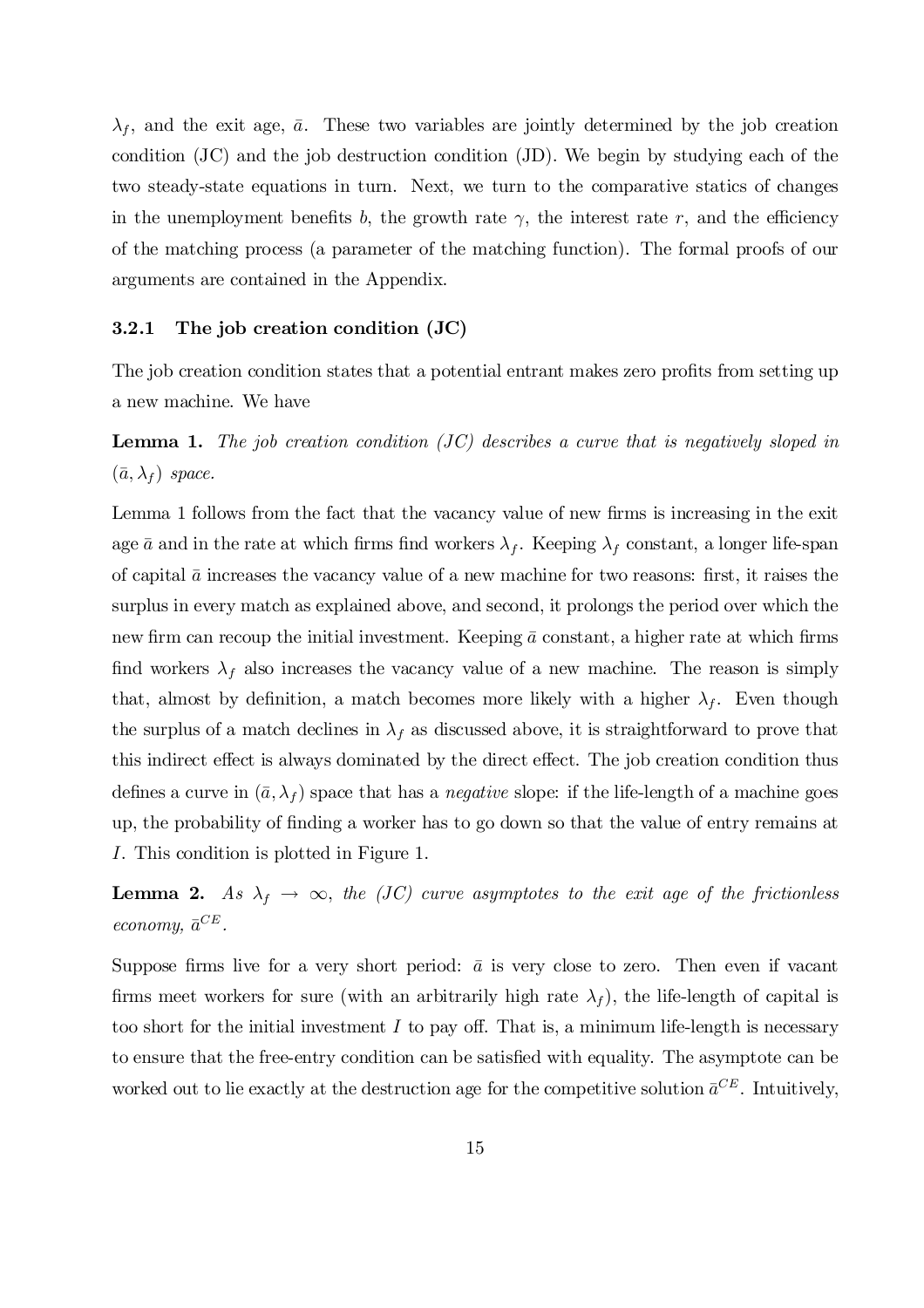$\lambda_f$ , and the exit age,  $\bar{a}$ . These two variables are jointly determined by the job creation condition (JC) and the job destruction condition (JD). We begin by studying each of the two steady-state equations in turn. Next, we turn to the comparative statics of changes in the unemployment benefits b, the growth rate  $\gamma$ , the interest rate r, and the efficiency of the matching process (a parameter of the matching function). The formal proofs of our arguments are contained in the Appendix.

#### 3.2.1 The job creation condition (JC)

The job creation condition states that a potential entrant makes zero profits from setting up a new machine. We have

**Lemma 1.** The job creation condition  $\overline{(JC)}$  describes a curve that is negatively sloped in  $(\bar{a}, \lambda_f)$  space.

Lemma 1 follows from the fact that the vacancy value of new firms is increasing in the exit age  $\bar{a}$  and in the rate at which firms find workers  $\lambda_f$ . Keeping  $\lambda_f$  constant, a longer life-span of capital  $\bar{a}$  increases the vacancy value of a new machine for two reasons: first, it raises the surplus in every match as explained above, and second, it prolongs the period over which the new firm can recoup the initial investment. Keeping  $\bar{a}$  constant, a higher rate at which firms find workers  $\lambda_f$  also increases the vacancy value of a new machine. The reason is simply that, almost by definition, a match becomes more likely with a higher  $\lambda_f$ . Even though the surplus of a match declines in  $\lambda_f$  as discussed above, it is straightforward to prove that this indirect effect is always dominated by the direct effect. The job creation condition thus defines a curve in  $(\bar{a}, \lambda_f)$  space that has a *negative* slope: if the life-length of a machine goes up, the probability of finding a worker has to go down so that the value of entry remains at I. This condition is plotted in Figure 1.

**Lemma 2.** As  $\lambda_f \rightarrow \infty$ , the (JC) curve asymptotes to the exit age of the frictionless economy,  $\bar{a}^{CE}$ .

Suppose firms live for a very short period:  $\bar{a}$  is very close to zero. Then even if vacant firms meet workers for sure (with an arbitrarily high rate  $\lambda_f$ ), the life-length of capital is too short for the initial investment  $I$  to pay off. That is, a minimum life-length is necessary to ensure that the free-entry condition can be satisfied with equality. The asymptote can be worked out to lie exactly at the destruction age for the competitive solution  $\bar{a}^{CE}$ . Intuitively,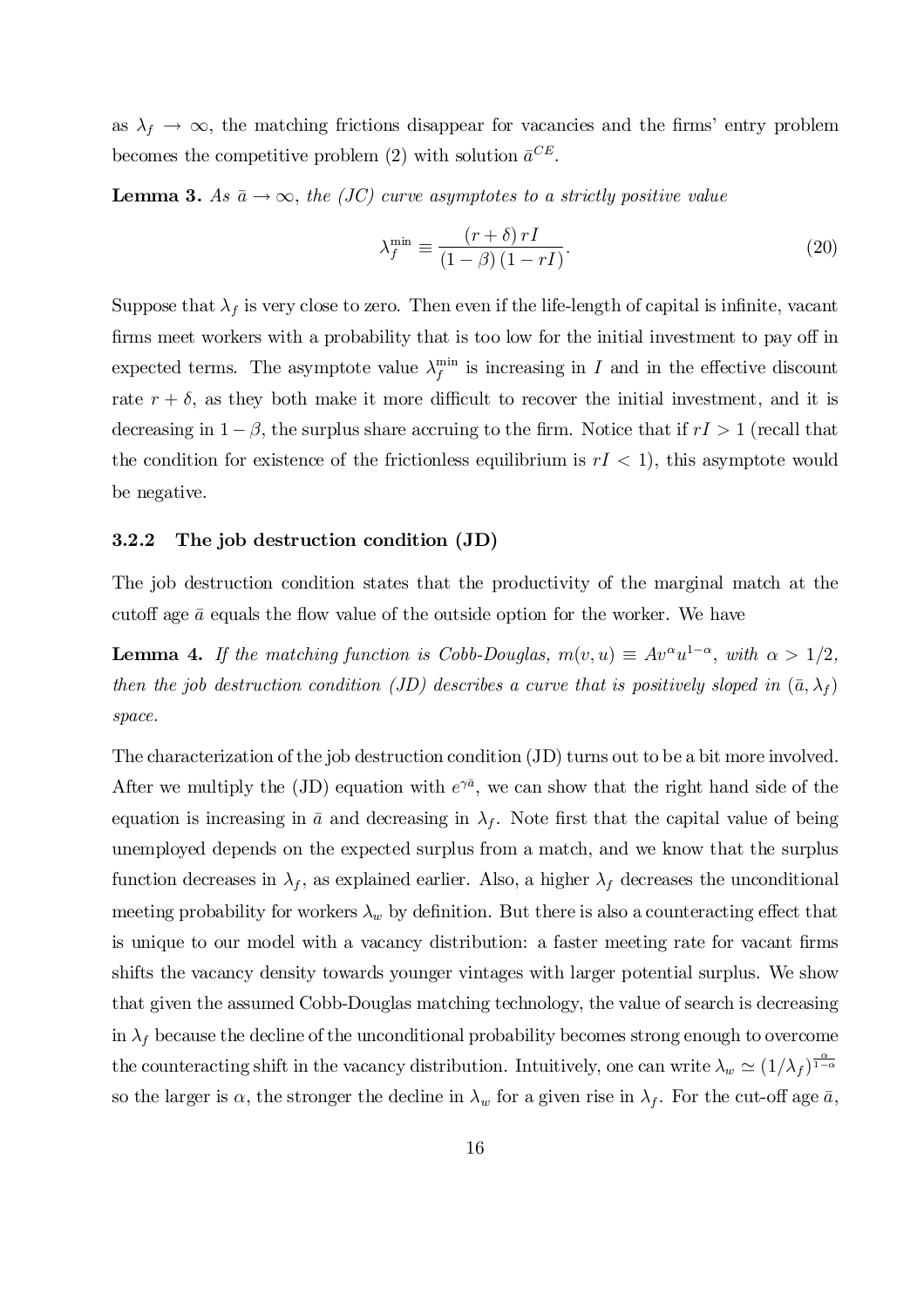as  $\lambda_f \to \infty$ , the matching frictions disappear for vacancies and the firms' entry problem becomes the competitive problem (2) with solution  $\bar{a}^{CE}$ .

**Lemma 3.** As  $\bar{a} \rightarrow \infty$ , the (JC) curve asymptotes to a strictly positive value

$$
\lambda_f^{\min} \equiv \frac{\left(r+\delta\right)rI}{\left(1-\beta\right)\left(1-rI\right)}.\tag{20}
$$

Suppose that  $\lambda_f$  is very close to zero. Then even if the life-length of capital is infinite, vacant firms meet workers with a probability that is too low for the initial investment to pay off in expected terms. The asymptote value  $\lambda_f^{\min}$  $f_f^{\text{min}}$  is increasing in I and in the effective discount rate  $r + \delta$ , as they both make it more difficult to recover the initial investment, and it is decreasing in  $1 - \beta$ , the surplus share accruing to the firm. Notice that if  $rI > 1$  (recall that the condition for existence of the frictionless equilibrium is  $rI < 1$ , this asymptote would be negative.

#### 3.2.2 The job destruction condition (JD)

The job destruction condition states that the productivity of the marginal match at the cutoff age  $\bar{a}$  equals the flow value of the outside option for the worker. We have

**Lemma 4.** If the matching function is Cobb-Douglas,  $m(v, u) \equiv Av^{\alpha}u^{1-\alpha}$ , with  $\alpha > 1/2$ , then the job destruction condition (JD) describes a curve that is positively sloped in  $(\bar{a}, \lambda_f)$ space.

The characterization of the job destruction condition (JD) turns out to be a bit more involved. After we multiply the (JD) equation with  $e^{\gamma \bar{a}}$ , we can show that the right hand side of the equation is increasing in  $\bar{a}$  and decreasing in  $\lambda_f$ . Note first that the capital value of being unemployed depends on the expected surplus from a match, and we know that the surplus function decreases in  $\lambda_f$ , as explained earlier. Also, a higher  $\lambda_f$  decreases the unconditional meeting probability for workers  $\lambda_w$  by definition. But there is also a counteracting effect that is unique to our model with a vacancy distribution: a faster meeting rate for vacant firms shifts the vacancy density towards younger vintages with larger potential surplus. We show that given the assumed Cobb-Douglas matching technology, the value of search is decreasing in  $\lambda_f$  because the decline of the unconditional probability becomes strong enough to overcome the counteracting shift in the vacancy distribution. Intuitively, one can write  $\lambda_w \simeq (1/\lambda_f)^{\frac{\alpha}{1-\alpha}}$ so the larger is  $\alpha$ , the stronger the decline in  $\lambda_w$  for a given rise in  $\lambda_f$ . For the cut-off age  $\bar{a}$ ,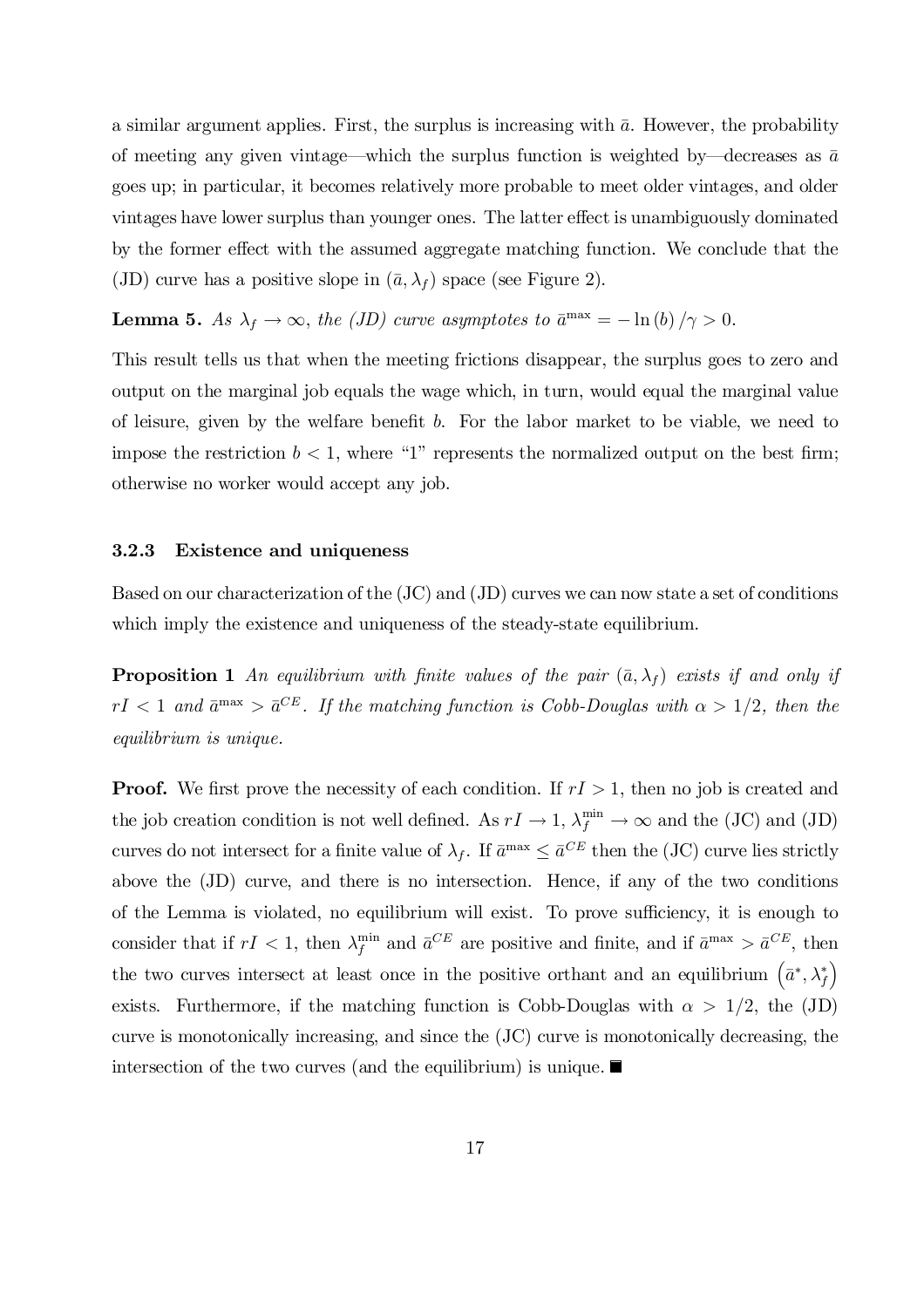a similar argument applies. First, the surplus is increasing with  $\bar{a}$ . However, the probability of meeting any given vintage—which the surplus function is weighted by—decreases as  $\bar{a}$ goes up; in particular, it becomes relatively more probable to meet older vintages, and older vintages have lower surplus than younger ones. The latter effect is unambiguously dominated by the former effect with the assumed aggregate matching function. We conclude that the (JD) curve has a positive slope in  $(\bar{a}, \lambda_f)$  space (see Figure 2).

**Lemma 5.** As  $\lambda_f \to \infty$ , the (JD) curve asymptotes to  $\bar{a}^{\text{max}} = -\ln(b)/\gamma > 0$ .

This result tells us that when the meeting frictions disappear, the surplus goes to zero and output on the marginal job equals the wage which, in turn, would equal the marginal value of leisure, given by the welfare benefit  $b$ . For the labor market to be viable, we need to impose the restriction  $b < 1$ , where "1" represents the normalized output on the best firm; otherwise no worker would accept any job.

### 3.2.3 Existence and uniqueness

Based on our characterization of the (JC) and (JD) curves we can now state a set of conditions which imply the existence and uniqueness of the steady-state equilibrium.

**Proposition 1** An equilibrium with finite values of the pair  $(\bar{a}, \lambda_f)$  exists if and only if  $rI < 1$  and  $\bar{a}^{\text{max}} > \bar{a}^{CE}$ . If the matching function is Cobb-Douglas with  $\alpha > 1/2$ , then the equilibrium is unique.

**Proof.** We first prove the necessity of each condition. If  $rI > 1$ , then no job is created and the job creation condition is not well defined. As  $rI \to 1$ ,  $\lambda_f^{\min} \to \infty$  and the (JC) and (JD) curves do not intersect for a finite value of  $\lambda_f$ . If  $\bar{a}^{\max} \leq \bar{a}^{CE}$  then the (JC) curve lies strictly above the (JD) curve, and there is no intersection. Hence, if any of the two conditions of the Lemma is violated, no equilibrium will exist. To prove sufficiency, it is enough to consider that if  $rI < 1$ , then  $\lambda_f^{\min}$  and  $\bar{a}^{CE}$  are positive and finite, and if  $\bar{a}^{\max} > \bar{a}^{CE}$ , then the two curves intersect at least once in the positive orthant and an equilibrium  $(\bar{a}^*, \lambda_f^*)$ ´ exists. Furthermore, if the matching function is Cobb-Douglas with  $\alpha > 1/2$ , the (JD) curve is monotonically increasing, and since the (JC) curve is monotonically decreasing, the intersection of the two curves (and the equilibrium) is unique.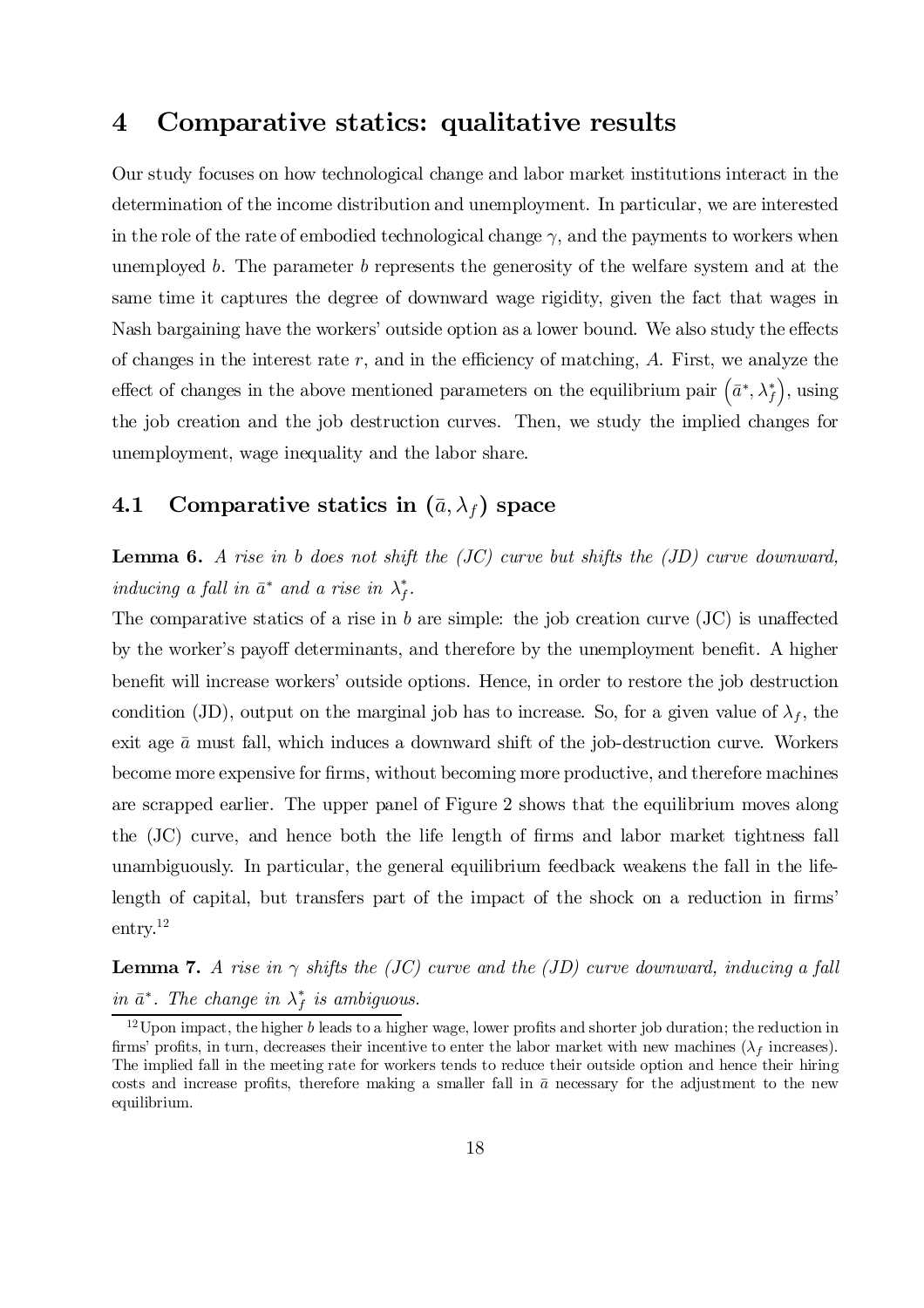## 4 Comparative statics: qualitative results

Our study focuses on how technological change and labor market institutions interact in the determination of the income distribution and unemployment. In particular, we are interested in the role of the rate of embodied technological change  $\gamma$ , and the payments to workers when unemployed b. The parameter b represents the generosity of the welfare system and at the same time it captures the degree of downward wage rigidity, given the fact that wages in Nash bargaining have the workers' outside option as a lower bound. We also study the effects of changes in the interest rate  $r$ , and in the efficiency of matching,  $A$ . First, we analyze the effect of changes in the above mentioned parameters on the equilibrium pair  $(\bar{a}^*, \lambda_f^*)$  $\big)$ , using the job creation and the job destruction curves. Then, we study the implied changes for unemployment, wage inequality and the labor share.

## 4.1 Comparative statics in  $(\bar{a}, \lambda_f)$  space

**Lemma 6.** A rise in b does not shift the  $\overline{(JC)}$  curve but shifts the  $\overline{(JD)}$  curve downward, inducing a fall in  $\bar{a}^*$  and a rise in  $\lambda_f^*$ .

The comparative statics of a rise in b are simple: the job creation curve  $(\rm{JC})$  is unaffected by the worker's payoff determinants, and therefore by the unemployment benefit. A higher benefit will increase workers' outside options. Hence, in order to restore the job destruction condition (JD), output on the marginal job has to increase. So, for a given value of  $\lambda_f$ , the exit age  $\bar{a}$  must fall, which induces a downward shift of the job-destruction curve. Workers become more expensive for firms, without becoming more productive, and therefore machines are scrapped earlier. The upper panel of Figure 2 shows that the equilibrium moves along the  $(JC)$  curve, and hence both the life length of firms and labor market tightness fall unambiguously. In particular, the general equilibrium feedback weakens the fall in the lifelength of capital, but transfers part of the impact of the shock on a reduction in firms' entry. 12

**Lemma 7.** A rise in  $\gamma$  shifts the (JC) curve and the (JD) curve downward, inducing a fall in  $\bar{a}^*$ . The change in  $\lambda_f^*$  is ambiguous.

 $12$  Upon impact, the higher b leads to a higher wage, lower profits and shorter job duration; the reduction in firms' profits, in turn, decreases their incentive to enter the labor market with new machines ( $\lambda_f$  increases). The implied fall in the meeting rate for workers tends to reduce their outside option and hence their hiring costs and increase profits, therefore making a smaller fall in  $\bar{a}$  necessary for the adjustment to the new equilibrium.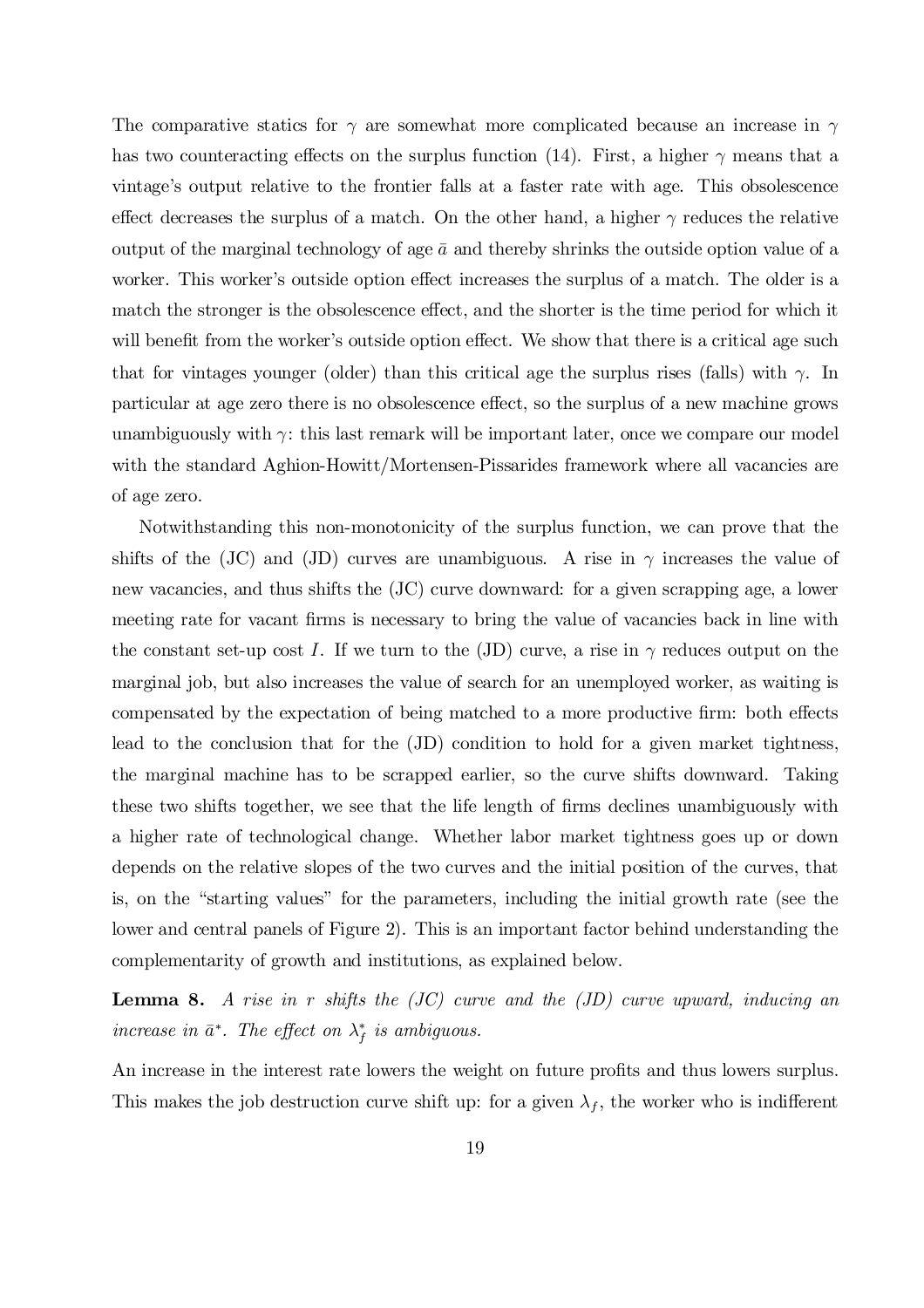The comparative statics for  $\gamma$  are somewhat more complicated because an increase in  $\gamma$ has two counteracting effects on the surplus function (14). First, a higher  $\gamma$  means that a vintage's output relative to the frontier falls at a faster rate with age. This obsolescence effect decreases the surplus of a match. On the other hand, a higher  $\gamma$  reduces the relative output of the marginal technology of age  $\bar{a}$  and thereby shrinks the outside option value of a worker. This worker's outside option effect increases the surplus of a match. The older is a match the stronger is the obsolescence effect, and the shorter is the time period for which it will benefit from the worker's outside option effect. We show that there is a critical age such that for vintages younger (older) than this critical age the surplus rises (falls) with  $\gamma$ . In particular at age zero there is no obsolescence effect, so the surplus of a new machine grows unambiguously with  $\gamma$ : this last remark will be important later, once we compare our model with the standard Aghion-Howitt/Mortensen-Pissarides framework where all vacancies are of age zero.

Notwithstanding this non-monotonicity of the surplus function, we can prove that the shifts of the (JC) and (JD) curves are unambiguous. A rise in  $\gamma$  increases the value of new vacancies, and thus shifts the (JC) curve downward: for a given scrapping age, a lower meeting rate for vacant firms is necessary to bring the value of vacancies back in line with the constant set-up cost I. If we turn to the (JD) curve, a rise in  $\gamma$  reduces output on the marginal job, but also increases the value of search for an unemployed worker, as waiting is compensated by the expectation of being matched to a more productive firm: both effects lead to the conclusion that for the (JD) condition to hold for a given market tightness, the marginal machine has to be scrapped earlier, so the curve shifts downward. Taking these two shifts together, we see that the life length of firms declines unambiguously with a higher rate of technological change. Whether labor market tightness goes up or down depends on the relative slopes of the two curves and the initial position of the curves, that is, on the "starting values" for the parameters, including the initial growth rate (see the lower and central panels of Figure 2). This is an important factor behind understanding the complementarity of growth and institutions, as explained below.

**Lemma 8.** A rise in r shifts the  $\langle JC \rangle$  curve and the  $\langle JD \rangle$  curve upward, inducing an increase in  $\bar{a}^*$ . The effect on  $\lambda_f^*$  is ambiguous.

An increase in the interest rate lowers the weight on future profits and thus lowers surplus. This makes the job destruction curve shift up: for a given  $\lambda_f$ , the worker who is indifferent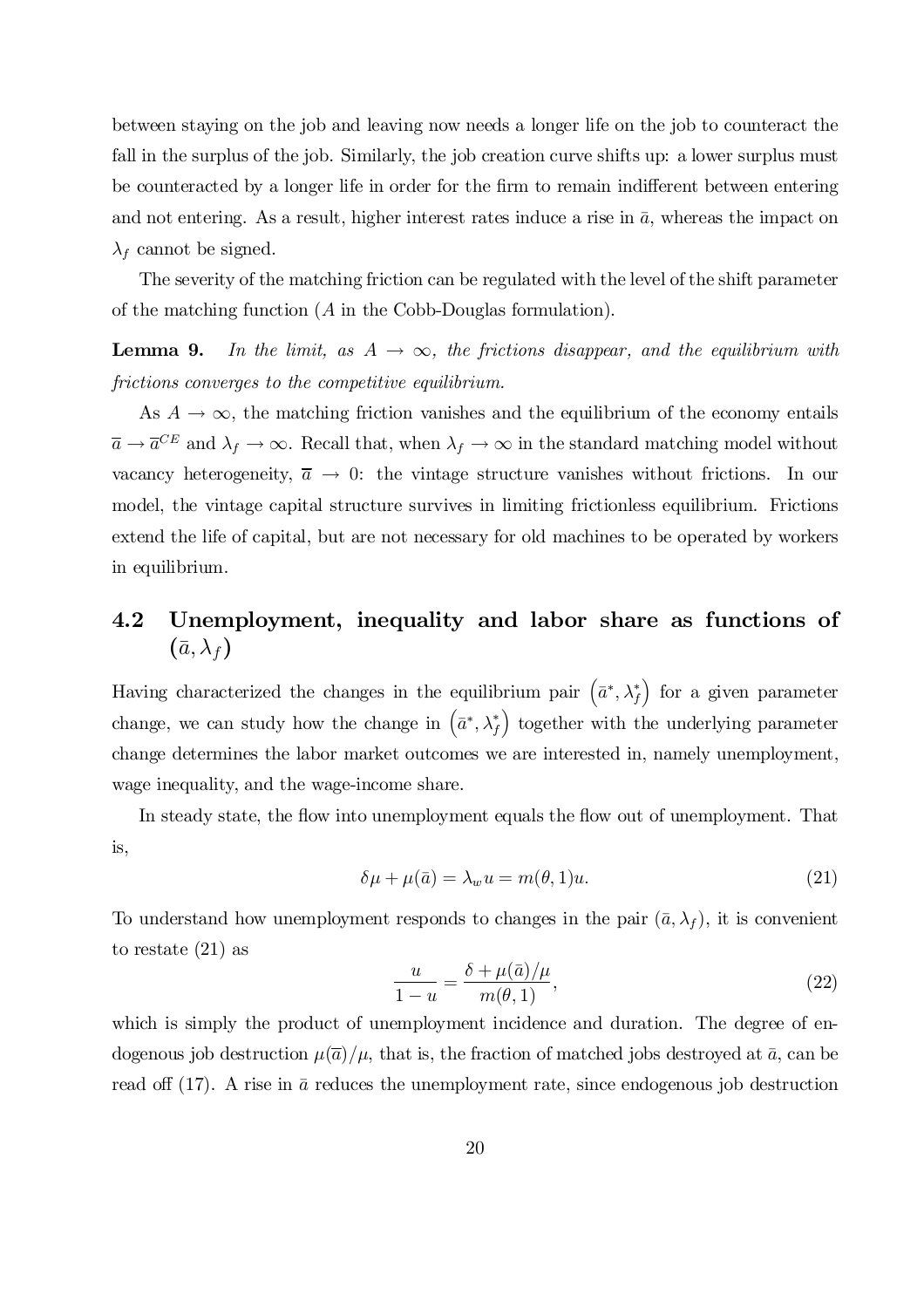between staying on the job and leaving now needs a longer life on the job to counteract the fall in the surplus of the job. Similarly, the job creation curve shifts up: a lower surplus must be counteracted by a longer life in order for the firm to remain indifferent between entering and not entering. As a result, higher interest rates induce a rise in  $\bar{a}$ , whereas the impact on  $\lambda_f$  cannot be signed.

The severity of the matching friction can be regulated with the level of the shift parameter of the matching function (A in the Cobb-Douglas formulation).

**Lemma 9.** In the limit, as  $A \rightarrow \infty$ , the frictions disappear, and the equilibrium with frictions converges to the competitive equilibrium.

As  $A \to \infty$ , the matching friction vanishes and the equilibrium of the economy entails  $\overline{a} \to \overline{a}^{CE}$  and  $\lambda_f \to \infty$ . Recall that, when  $\lambda_f \to \infty$  in the standard matching model without vacancy heterogeneity,  $\overline{a} \rightarrow 0$ : the vintage structure vanishes without frictions. In our model, the vintage capital structure survives in limiting frictionless equilibrium. Frictions extend the life of capital, but are not necessary for old machines to be operated by workers in equilibrium.

# 4.2 Unemployment, inequality and labor share as functions of  $(\bar{a}, \lambda_f)$

Having characterized the changes in the equilibrium pair  $(\bar{a}^*, \lambda_f^*)$ ) for a given parameter change, we can study how the change in  $(\bar{a}^*, \lambda_f^*)$ ) together with the underlying parameter change determines the labor market outcomes we are interested in, namely unemployment, wage inequality, and the wage-income share.

In steady state, the flow into unemployment equals the flow out of unemployment. That is,

$$
\delta\mu + \mu(\bar{a}) = \lambda_w u = m(\theta, 1)u.
$$
\n(21)

To understand how unemployment responds to changes in the pair  $(\bar{a}, \lambda_f)$ , it is convenient to restate (21) as

$$
\frac{u}{1-u} = \frac{\delta + \mu(\bar{a})/\mu}{m(\theta, 1)},\tag{22}
$$

which is simply the product of unemployment incidence and duration. The degree of endogenous job destruction  $\mu(\overline{a})/\mu$ , that is, the fraction of matched jobs destroyed at  $\overline{a}$ , can be read of  $(17)$ . A rise in  $\bar{a}$  reduces the unemployment rate, since endogenous job destruction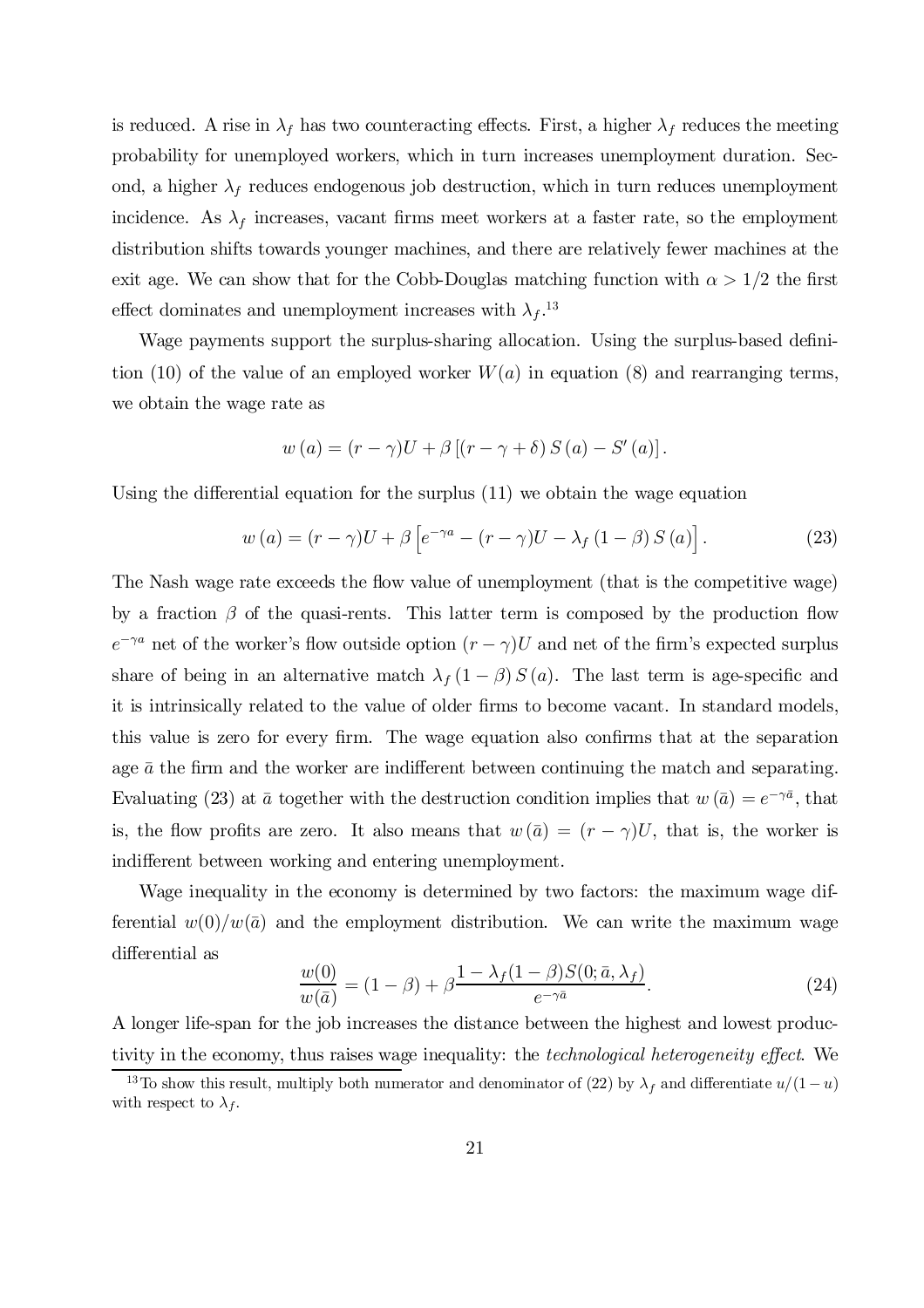is reduced. A rise in  $\lambda_f$  has two counteracting effects. First, a higher  $\lambda_f$  reduces the meeting probability for unemployed workers, which in turn increases unemployment duration. Second, a higher  $\lambda_f$  reduces endogenous job destruction, which in turn reduces unemployment incidence. As  $\lambda_f$  increases, vacant firms meet workers at a faster rate, so the employment distribution shifts towards younger machines, and there are relatively fewer machines at the exit age. We can show that for the Cobb-Douglas matching function with  $\alpha > 1/2$  the first effect dominates and unemployment increases with  $\lambda_f$ .<sup>13</sup>

Wage payments support the surplus-sharing allocation. Using the surplus-based definition (10) of the value of an employed worker  $W(a)$  in equation (8) and rearranging terms, we obtain the wage rate as

$$
w(a) = (r - \gamma)U + \beta [(r - \gamma + \delta) S(a) - S'(a)].
$$

Using the differential equation for the surplus  $(11)$  we obtain the wage equation

$$
w(a) = (r - \gamma)U + \beta \left[ e^{-\gamma a} - (r - \gamma)U - \lambda_f (1 - \beta) S(a) \right].
$$
 (23)

The Nash wage rate exceeds the flow value of unemployment (that is the competitive wage) by a fraction  $\beta$  of the quasi-rents. This latter term is composed by the production flow  $e^{-\gamma a}$  net of the worker's flow outside option  $(r - \gamma)U$  and net of the firm's expected surplus share of being in an alternative match  $\lambda_f (1 - \beta) S(a)$ . The last term is age-specific and it is intrinsically related to the value of older firms to become vacant. In standard models, this value is zero for every firm. The wage equation also confirms that at the separation age  $\bar{a}$  the firm and the worker are indifferent between continuing the match and separating. Evaluating (23) at  $\bar{a}$  together with the destruction condition implies that  $w(\bar{a}) = e^{-\gamma \bar{a}}$ , that is, the flow profits are zero. It also means that  $w(\bar{a}) = (r - \gamma)U$ , that is, the worker is indifferent between working and entering unemployment.

Wage inequality in the economy is determined by two factors: the maximum wage differential  $w(0)/w(\bar{a})$  and the employment distribution. We can write the maximum wage differential as

$$
\frac{w(0)}{w(\bar{a})} = (1 - \beta) + \beta \frac{1 - \lambda_f (1 - \beta) S(0; \bar{a}, \lambda_f)}{e^{-\gamma \bar{a}}}.
$$
\n(24)

A longer life-span for the job increases the distance between the highest and lowest productivity in the economy, thus raises wage inequality: the *technological heterogeneity effect*. We

<sup>&</sup>lt;sup>13</sup>To show this result, multiply both numerator and denominator of (22) by  $\lambda_f$  and differentiate  $u/(1-u)$ with respect to  $\lambda_f$ .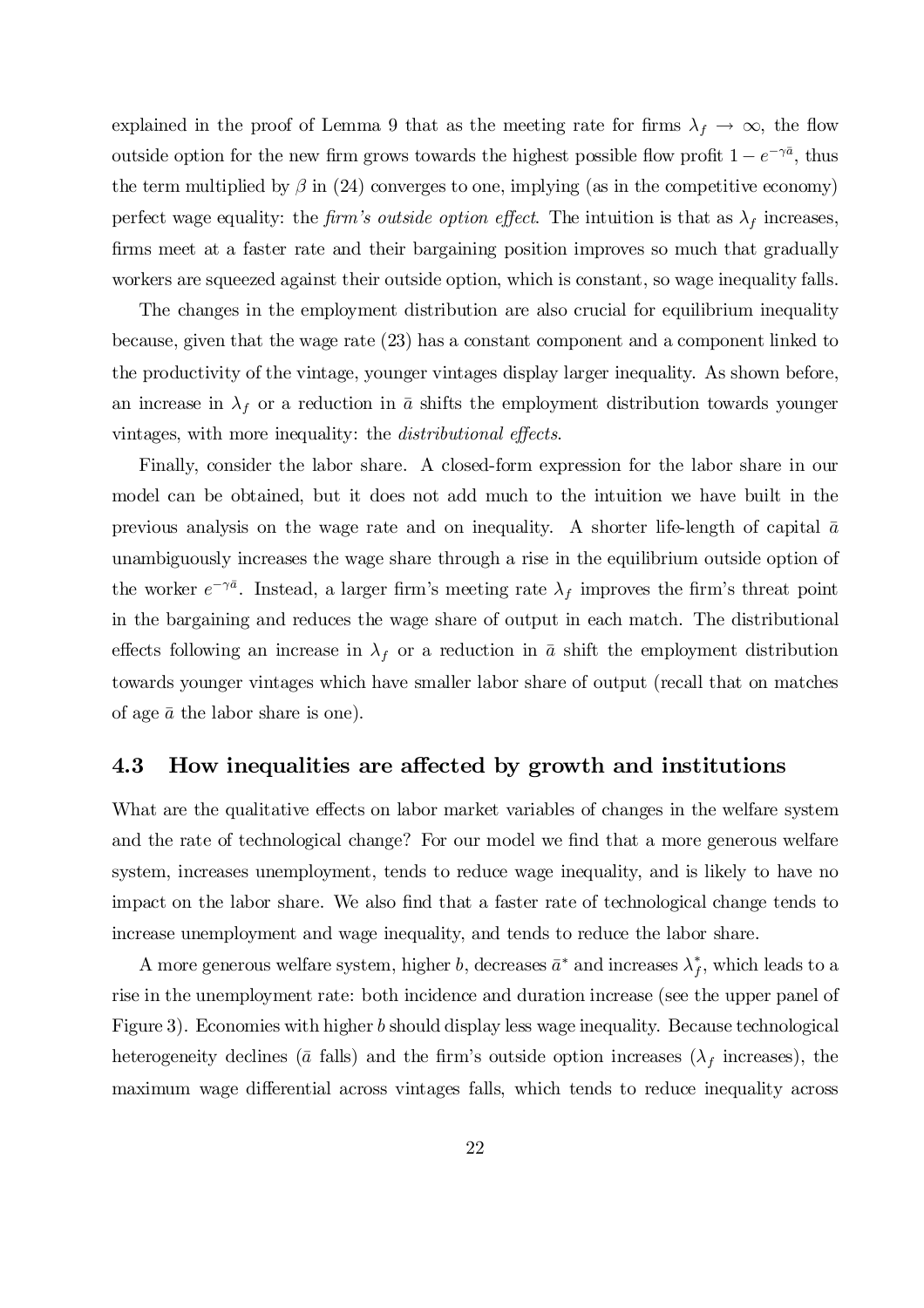explained in the proof of Lemma 9 that as the meeting rate for firms  $\lambda_f \to \infty$ , the flow outside option for the new firm grows towards the highest possible flow profit  $1 - e^{-\gamma \bar{a}}$ , thus the term multiplied by  $\beta$  in (24) converges to one, implying (as in the competitive economy) perfect wage equality: the firm's outside option effect. The intuition is that as  $\lambda_f$  increases, firms meet at a faster rate and their bargaining position improves so much that gradually workers are squeezed against their outside option, which is constant, so wage inequality falls.

The changes in the employment distribution are also crucial for equilibrium inequality because, given that the wage rate (23) has a constant component and a component linked to the productivity of the vintage, younger vintages display larger inequality. As shown before, an increase in  $\lambda_f$  or a reduction in  $\bar{a}$  shifts the employment distribution towards younger vintages, with more inequality: the *distributional effects*.

Finally, consider the labor share. A closed-form expression for the labor share in our model can be obtained, but it does not add much to the intuition we have built in the previous analysis on the wage rate and on inequality. A shorter life-length of capital  $\bar{a}$ unambiguously increases the wage share through a rise in the equilibrium outside option of the worker  $e^{-\gamma \bar{a}}$ . Instead, a larger firm's meeting rate  $\lambda_f$  improves the firm's threat point in the bargaining and reduces the wage share of output in each match. The distributional effects following an increase in  $\lambda_f$  or a reduction in  $\bar{a}$  shift the employment distribution towards younger vintages which have smaller labor share of output (recall that on matches of age  $\bar{a}$  the labor share is one).

### 4.3 How inequalities are affected by growth and institutions

What are the qualitative effects on labor market variables of changes in the welfare system and the rate of technological change? For our model we find that a more generous welfare system, increases unemployment, tends to reduce wage inequality, and is likely to have no impact on the labor share. We also find that a faster rate of technological change tends to increase unemployment and wage inequality, and tends to reduce the labor share.

A more generous welfare system, higher b, decreases  $\bar{a}^*$  and increases  $\lambda_f^*$ , which leads to a rise in the unemployment rate: both incidence and duration increase (see the upper panel of Figure 3). Economies with higher b should display less wage inequality. Because technological heterogeneity declines ( $\bar{a}$  falls) and the firm's outside option increases ( $\lambda_f$  increases), the maximum wage differential across vintages falls, which tends to reduce inequality across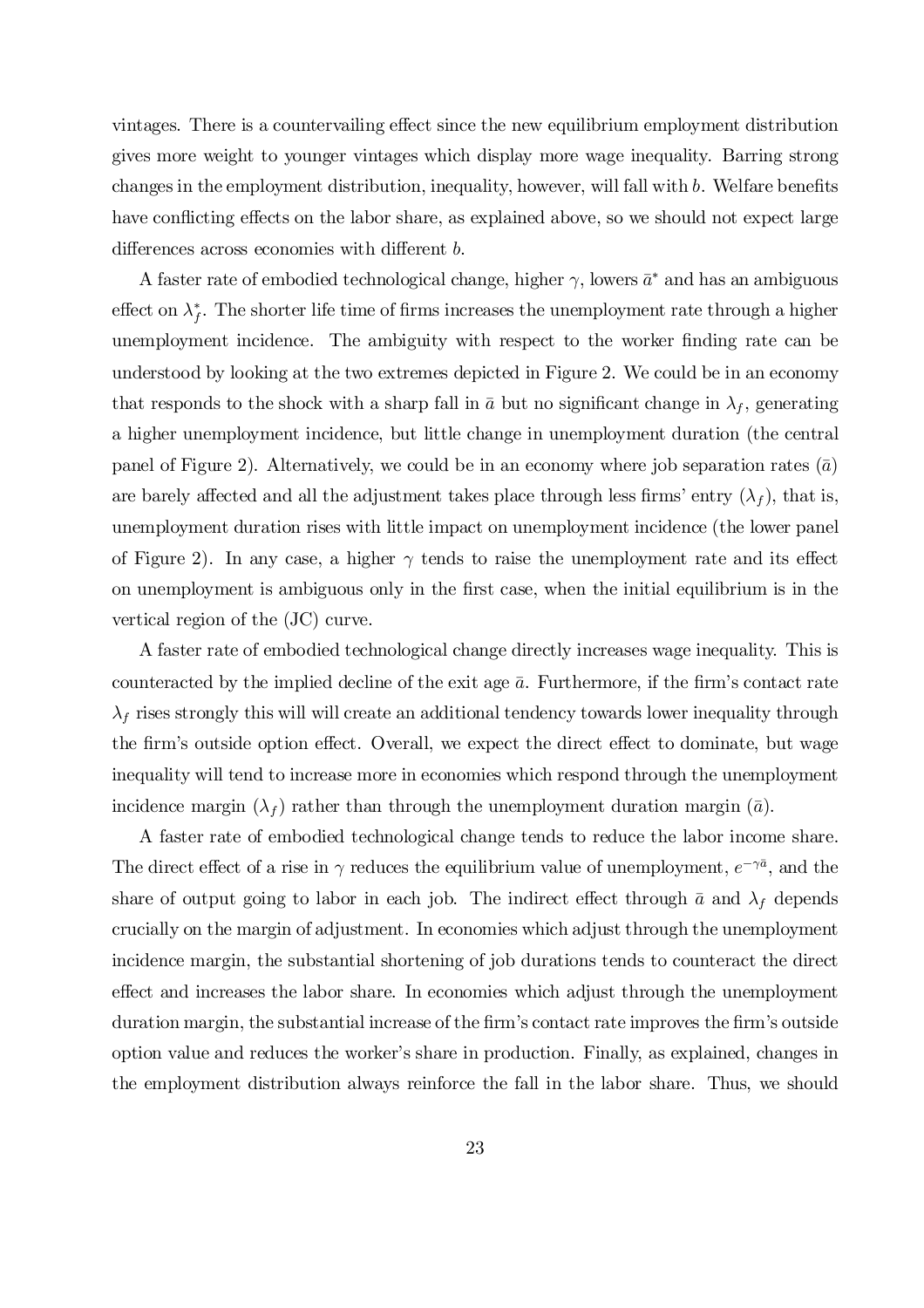vintages. There is a countervailing effect since the new equilibrium employment distribution gives more weight to younger vintages which display more wage inequality. Barring strong changes in the employment distribution, inequality, however, will fall with  $b$ . Welfare benefits have conflicting effects on the labor share, as explained above, so we should not expect large differences across economies with different b.

A faster rate of embodied technological change, higher  $\gamma$ , lowers  $\bar{a}^*$  and has an ambiguous effect on  $\lambda_f^*$ . The shorter life time of firms increases the unemployment rate through a higher unemployment incidence. The ambiguity with respect to the worker finding rate can be understood by looking at the two extremes depicted in Figure 2. We could be in an economy that responds to the shock with a sharp fall in  $\bar{a}$  but no significant change in  $\lambda_f$ , generating a higher unemployment incidence, but little change in unemployment duration (the central panel of Figure 2). Alternatively, we could be in an economy where job separation rates  $(\bar{a})$ are barely affected and all the adjustment takes place through less firms' entry  $(\lambda_f)$ , that is, unemployment duration rises with little impact on unemployment incidence (the lower panel of Figure 2). In any case, a higher  $\gamma$  tends to raise the unemployment rate and its effect on unemployment is ambiguous only in the first case, when the initial equilibrium is in the vertical region of the (JC) curve.

A faster rate of embodied technological change directly increases wage inequality. This is counteracted by the implied decline of the exit age  $\bar{a}$ . Furthermore, if the firm's contact rate  $\lambda_f$  rises strongly this will will create an additional tendency towards lower inequality through the firm's outside option effect. Overall, we expect the direct effect to dominate, but wage inequality will tend to increase more in economies which respond through the unemployment incidence margin  $(\lambda_f)$  rather than through the unemployment duration margin  $(\bar{a})$ .

A faster rate of embodied technological change tends to reduce the labor income share. The direct effect of a rise in  $\gamma$  reduces the equilibrium value of unemployment,  $e^{-\gamma \bar{a}}$ , and the share of output going to labor in each job. The indirect effect through  $\bar{a}$  and  $\lambda_f$  depends crucially on the margin of adjustment. In economies which adjust through the unemployment incidence margin, the substantial shortening of job durations tends to counteract the direct effect and increases the labor share. In economies which adjust through the unemployment duration margin, the substantial increase of the firm's contact rate improves the firm's outside option value and reduces the worker's share in production. Finally, as explained, changes in the employment distribution always reinforce the fall in the labor share. Thus, we should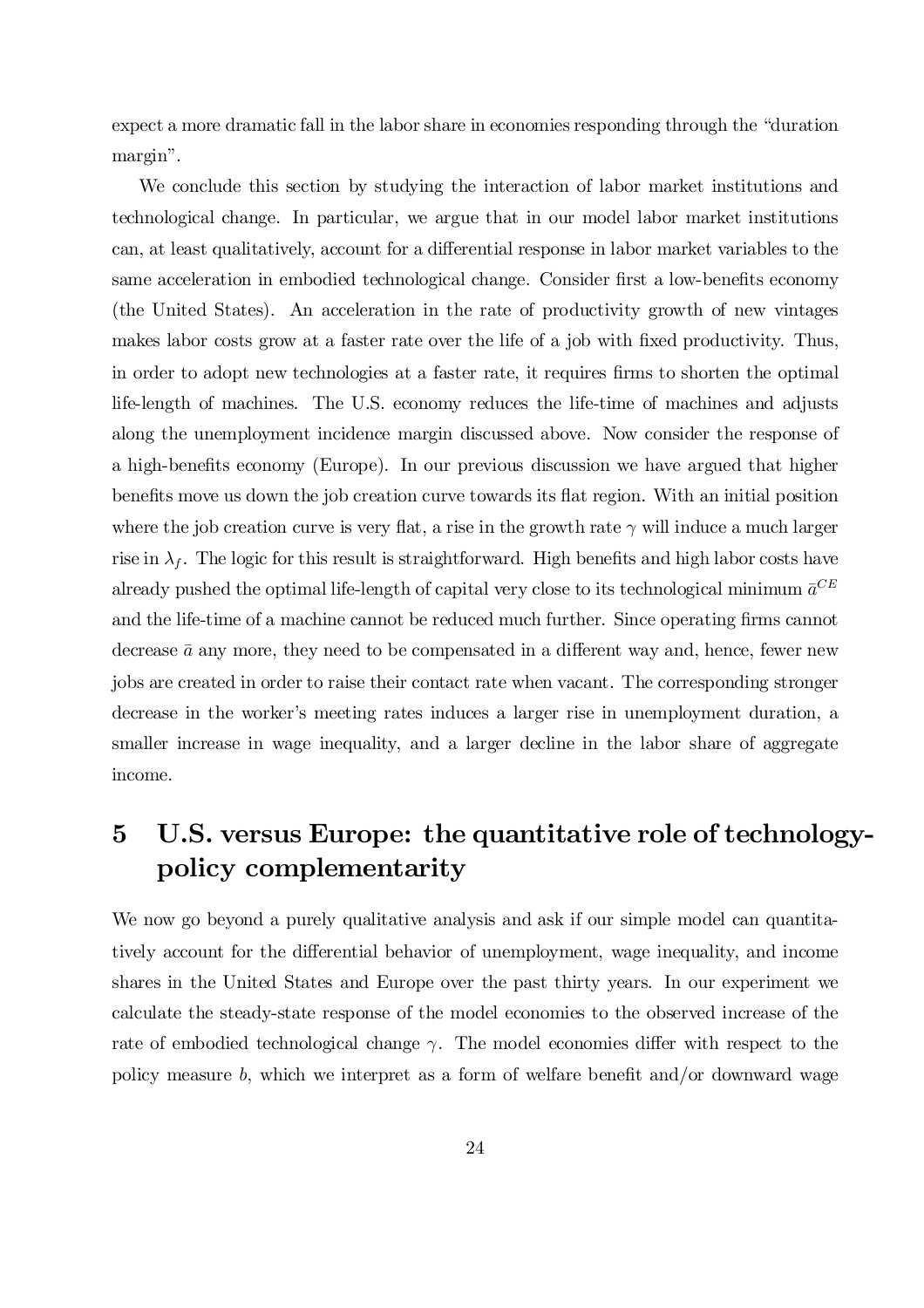expect a more dramatic fall in the labor share in economies responding through the "duration margin".

We conclude this section by studying the interaction of labor market institutions and technological change. In particular, we argue that in our model labor market institutions can, at least qualitatively, account for a differential response in labor market variables to the same acceleration in embodied technological change. Consider first a low-benefits economy (the United States). An acceleration in the rate of productivity growth of new vintages makes labor costs grow at a faster rate over the life of a job with fixed productivity. Thus, in order to adopt new technologies at a faster rate, it requires firms to shorten the optimal life-length of machines. The U.S. economy reduces the life-time of machines and adjusts along the unemployment incidence margin discussed above. Now consider the response of a high-benefits economy (Europe). In our previous discussion we have argued that higher benefits move us down the job creation curve towards its flat region. With an initial position where the job creation curve is very flat, a rise in the growth rate  $\gamma$  will induce a much larger rise in  $\lambda_f$ . The logic for this result is straightforward. High benefits and high labor costs have already pushed the optimal life-length of capital very close to its technological minimum  $\bar{a}^{CE}$ and the life-time of a machine cannot be reduced much further. Since operating firms cannot decrease  $\bar{a}$  any more, they need to be compensated in a different way and, hence, fewer new jobs are created in order to raise their contact rate when vacant. The corresponding stronger decrease in the worker's meeting rates induces a larger rise in unemployment duration, a smaller increase in wage inequality, and a larger decline in the labor share of aggregate income.

# 5 U.S. versus Europe: the quantitative role of technologypolicy complementarity

We now go beyond a purely qualitative analysis and ask if our simple model can quantitatively account for the differential behavior of unemployment, wage inequality, and income shares in the United States and Europe over the past thirty years. In our experiment we calculate the steady-state response of the model economies to the observed increase of the rate of embodied technological change  $\gamma$ . The model economies differ with respect to the policy measure b, which we interpret as a form of welfare benefit and/or downward wage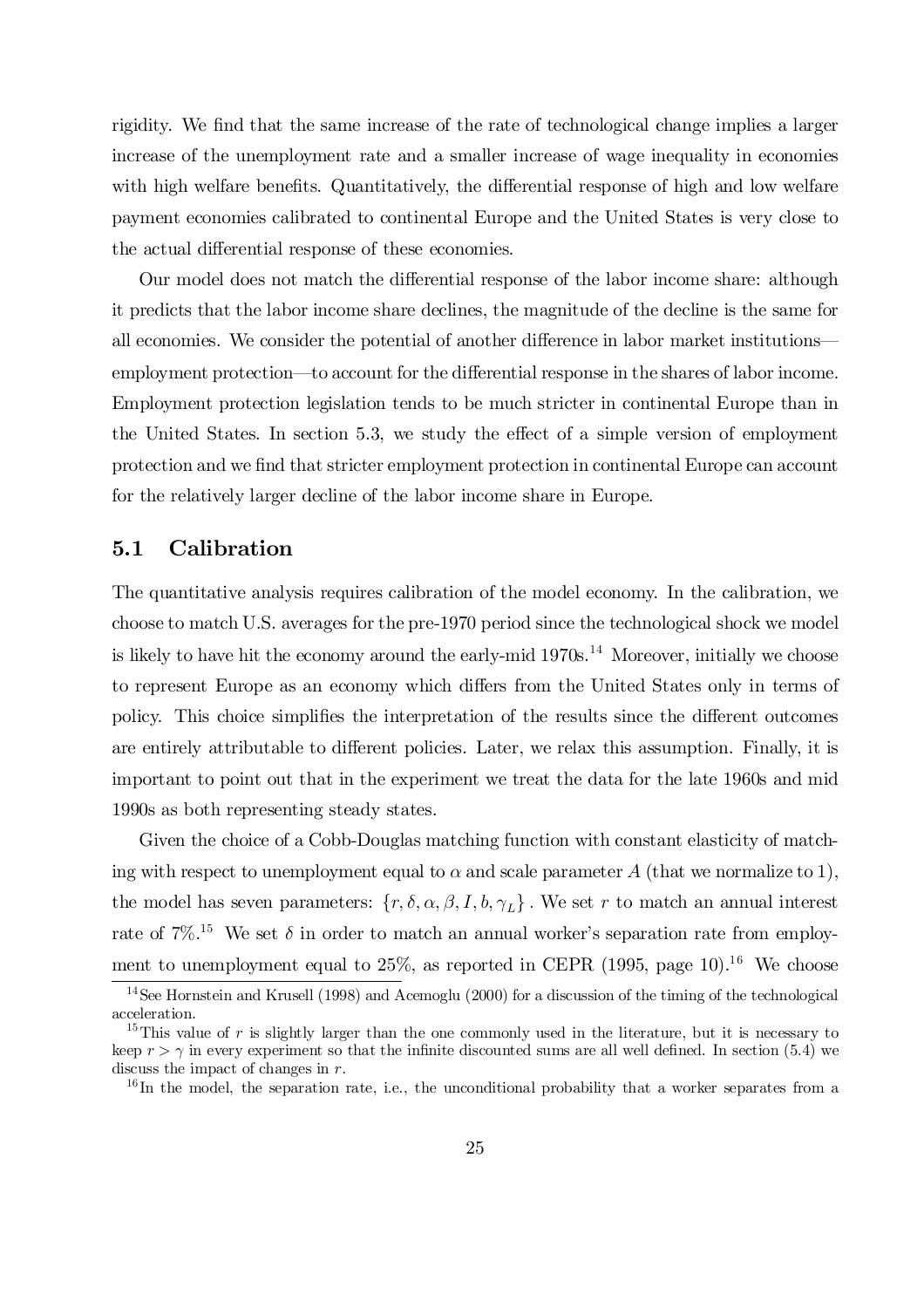rigidity. We find that the same increase of the rate of technological change implies a larger increase of the unemployment rate and a smaller increase of wage inequality in economies with high welfare benefits. Quantitatively, the differential response of high and low welfare payment economies calibrated to continental Europe and the United States is very close to the actual differential response of these economies.

Our model does not match the differential response of the labor income share: although it predicts that the labor income share declines, the magnitude of the decline is the same for all economies. We consider the potential of another difference in labor market institutions employment protection—to account for the differential response in the shares of labor income. Employment protection legislation tends to be much stricter in continental Europe than in the United States. In section 5.3, we study the effect of a simple version of employment protection and we find that stricter employment protection in continental Europe can account for the relatively larger decline of the labor income share in Europe.

### 5.1 Calibration

The quantitative analysis requires calibration of the model economy. In the calibration, we choose to match U.S. averages for the pre-1970 period since the technological shock we model is likely to have hit the economy around the early-mid 1970s.<sup>14</sup> Moreover, initially we choose to represent Europe as an economy which differs from the United States only in terms of policy. This choice simplifies the interpretation of the results since the different outcomes are entirely attributable to different policies. Later, we relax this assumption. Finally, it is important to point out that in the experiment we treat the data for the late 1960s and mid 1990s as both representing steady states.

Given the choice of a Cobb-Douglas matching function with constant elasticity of matching with respect to unemployment equal to  $\alpha$  and scale parameter A (that we normalize to 1), the model has seven parameters:  $\{r, \delta, \alpha, \beta, I, b, \gamma_L\}$ . We set r to match an annual interest rate of  $7\%$ <sup>15</sup> We set  $\delta$  in order to match an annual worker's separation rate from employment to unemployment equal to 25%, as reported in CEPR (1995, page 10).<sup>16</sup> We choose

<sup>&</sup>lt;sup>14</sup>See Hornstein and Krusell (1998) and Acemoglu (2000) for a discussion of the timing of the technological acceleration.

<sup>&</sup>lt;sup>15</sup>This value of r is slightly larger than the one commonly used in the literature, but it is necessary to keep  $r > \gamma$  in every experiment so that the infinite discounted sums are all well defined. In section (5.4) we discuss the impact of changes in r.

<sup>&</sup>lt;sup>16</sup>In the model, the separation rate, i.e., the unconditional probability that a worker separates from a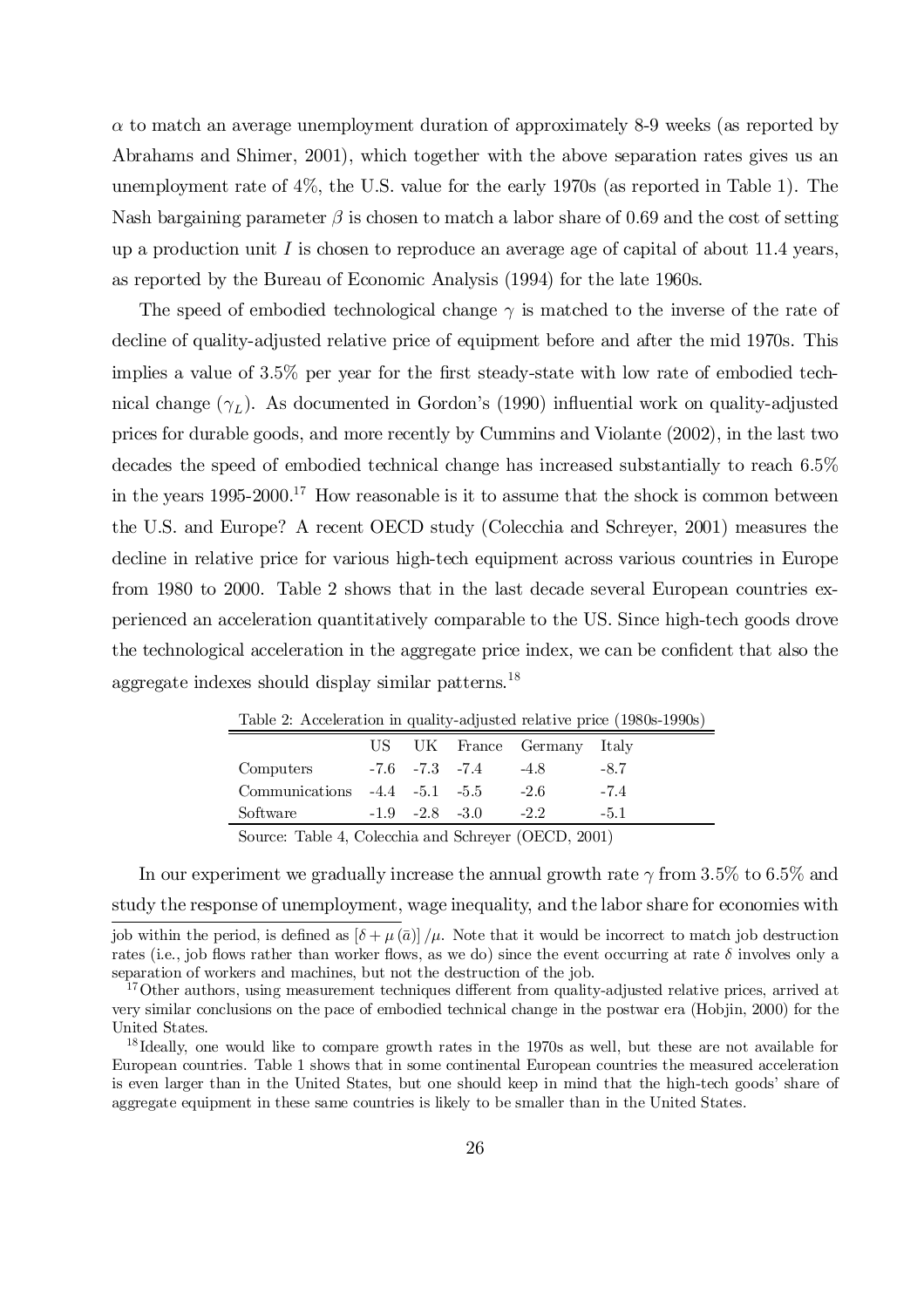$\alpha$  to match an average unemployment duration of approximately 8-9 weeks (as reported by Abrahams and Shimer, 2001), which together with the above separation rates gives us an unemployment rate of 4%, the U.S. value for the early 1970s (as reported in Table 1). The Nash bargaining parameter  $\beta$  is chosen to match a labor share of 0.69 and the cost of setting up a production unit  $I$  is chosen to reproduce an average age of capital of about 11.4 years, as reported by the Bureau of Economic Analysis (1994) for the late 1960s.

The speed of embodied technological change  $\gamma$  is matched to the inverse of the rate of decline of quality-adjusted relative price of equipment before and after the mid 1970s. This implies a value of  $3.5\%$  per year for the first steady-state with low rate of embodied technical change  $(\gamma_L)$ . As documented in Gordon's (1990) influential work on quality-adjusted prices for durable goods, and more recently by Cummins and Violante (2002), in the last two decades the speed of embodied technical change has increased substantially to reach 6:5% in the years 1995-2000. <sup>17</sup> How reasonable is it to assume that the shock is common between the U.S. and Europe? A recent OECD study (Colecchia and Schreyer, 2001) measures the decline in relative price for various high-tech equipment across various countries in Europe from 1980 to 2000. Table 2 shows that in the last decade several European countries experienced an acceleration quantitatively comparable to the US. Since high-tech goods drove the technological acceleration in the aggregate price index, we can be confident that also the aggregate indexes should display similar patterns. 18

|                                     |                      | US UK France Germany Italy |        |  |
|-------------------------------------|----------------------|----------------------------|--------|--|
| Computers                           | $-7.6$ $-7.3$ $-7.4$ | $-4.8$                     | $-8.7$ |  |
| Communications $-4.4$ $-5.1$ $-5.5$ |                      | $-2.6$                     | $-7.4$ |  |
| Software                            | $-1.9$ $-2.8$ $-3.0$ | $-2.2$                     | $-5.1$ |  |
|                                     |                      |                            |        |  |

Table 2: Acceleration in quality-adjusted relative price (1980s-1990s)

Source: Table 4, Colecchia and Schreyer (OECD, 2001)

In our experiment we gradually increase the annual growth rate  $\gamma$  from 3.5% to 6.5% and study the response of unemployment, wage inequality, and the labor share for economies with

job within the period, is defined as  $[\delta + \mu (\bar{a})/\mu]$ . Note that it would be incorrect to match job destruction rates (i.e., job flows rather than worker flows, as we do) since the event occurring at rate  $\delta$  involves only a separation of workers and machines, but not the destruction of the job.

<sup>&</sup>lt;sup>17</sup>Other authors, using measurement techniques different from quality-adjusted relative prices, arrived at very similar conclusions on the pace of embodied technical change in the postwar era (Hobjin, 2000) for the United States.

<sup>&</sup>lt;sup>18</sup> Ideally, one would like to compare growth rates in the 1970s as well, but these are not available for European countries. Table 1 shows that in some continental European countries the measured acceleration is even larger than in the United States, but one should keep in mind that the high-tech goods' share of aggregate equipment in these same countries is likely to be smaller than in the United States.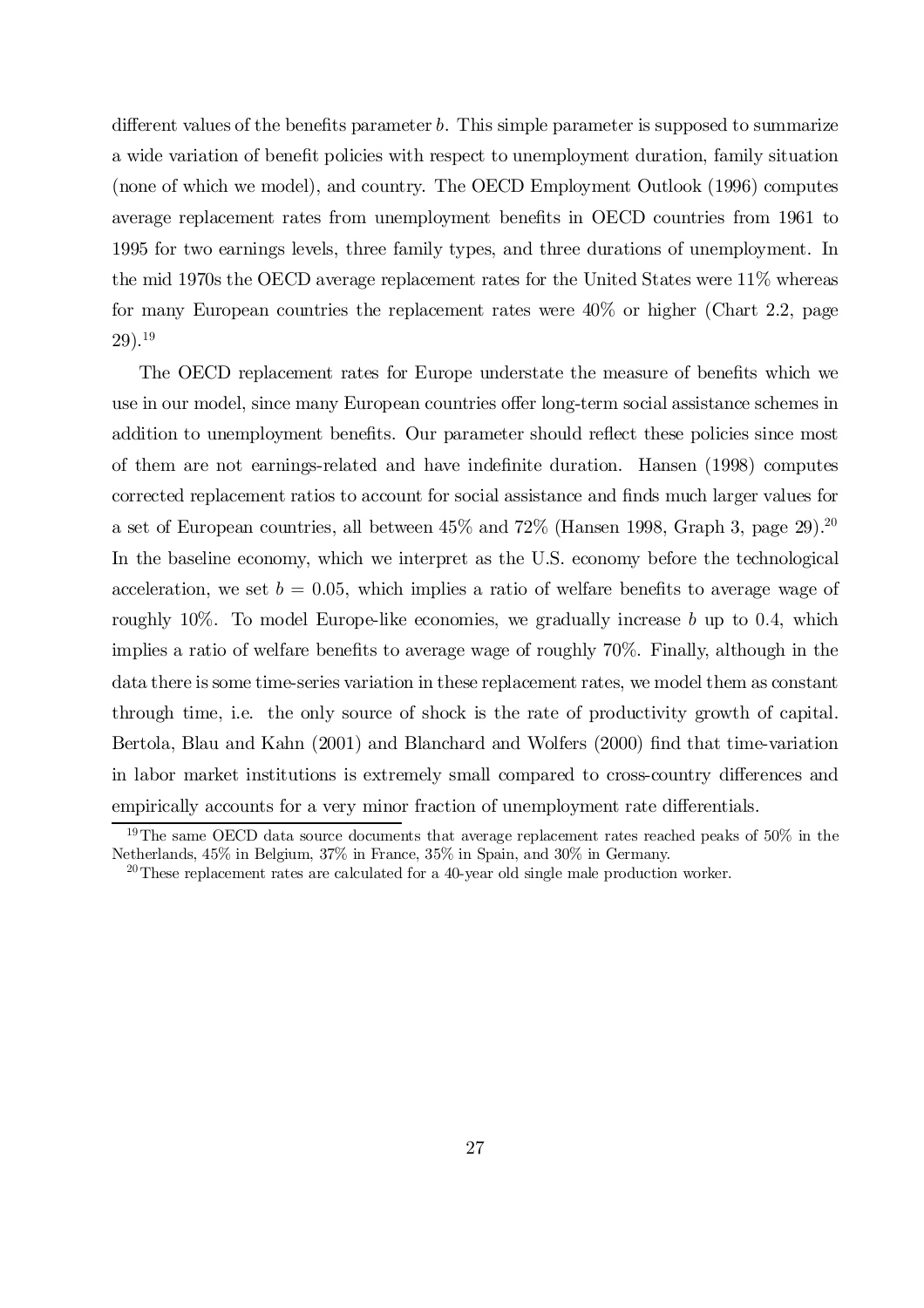different values of the benefits parameter  $b$ . This simple parameter is supposed to summarize a wide variation of benefit policies with respect to unemployment duration, family situation (none of which we model), and country. The OECD Employment Outlook (1996) computes average replacement rates from unemployment benefits in OECD countries from 1961 to 1995 for two earnings levels, three family types, and three durations of unemployment. In the mid 1970s the OECD average replacement rates for the United States were 11% whereas for many European countries the replacement rates were 40% or higher (Chart 2.2, page 29). 19

The OECD replacement rates for Europe understate the measure of benefits which we use in our model, since many European countries offer long-term social assistance schemes in addition to unemployment benefits. Our parameter should reflect these policies since most of them are not earnings-related and have indefinite duration. Hansen (1998) computes corrected replacement ratios to account for social assistance and finds much larger values for a set of European countries, all between  $45\%$  and  $72\%$  (Hansen 1998, Graph 3, page 29).<sup>20</sup> In the baseline economy, which we interpret as the U.S. economy before the technological acceleration, we set  $b = 0.05$ , which implies a ratio of welfare benefits to average wage of roughly  $10\%$ . To model Europe-like economies, we gradually increase b up to 0.4, which implies a ratio of welfare benefits to average wage of roughly 70%. Finally, although in the data there is some time-series variation in these replacement rates, we model them as constant through time, i.e. the only source of shock is the rate of productivity growth of capital. Bertola, Blau and Kahn (2001) and Blanchard and Wolfers (2000) find that time-variation in labor market institutions is extremely small compared to cross-country differences and empirically accounts for a very minor fraction of unemployment rate differentials.

<sup>&</sup>lt;sup>19</sup>The same OECD data source documents that average replacement rates reached peaks of 50% in the Netherlands, 45% in Belgium, 37% in France, 35% in Spain, and 30% in Germany.

<sup>20</sup>These replacement rates are calculated for a 40-year old single male production worker.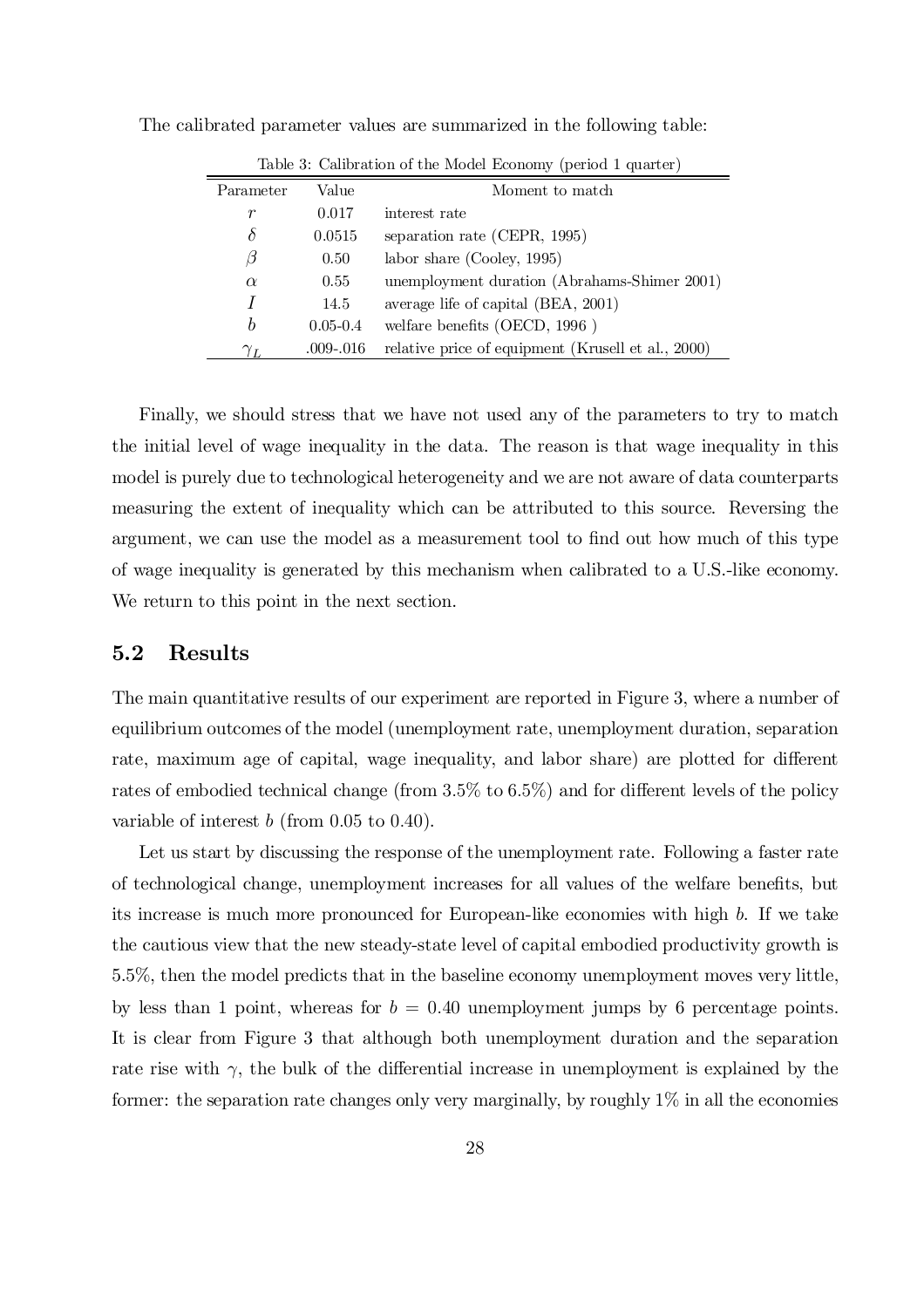| Table 3: Calibration of the Model Economy (period 1 quarter) |               |                                                    |  |  |  |
|--------------------------------------------------------------|---------------|----------------------------------------------------|--|--|--|
| Parameter                                                    | Value         | Moment to match                                    |  |  |  |
| $\boldsymbol{r}$                                             | 0.017         | interest rate                                      |  |  |  |
| δ                                                            | 0.0515        | separation rate (CEPR, 1995)                       |  |  |  |
| β                                                            | 0.50          | labor share (Cooley, 1995)                         |  |  |  |
| $\alpha$                                                     | 0.55          | unemployment duration (Abrahams-Shimer 2001)       |  |  |  |
| Ι                                                            | 14.5          | average life of capital (BEA, 2001)                |  |  |  |
| $\boldsymbol{b}$                                             | $0.05 - 0.4$  | welfare benefits (OECD, $1996$ )                   |  |  |  |
| $\gamma_L$                                                   | $.009 - .016$ | relative price of equipment (Krusell et al., 2000) |  |  |  |

The calibrated parameter values are summarized in the following table:

Finally, we should stress that we have not used any of the parameters to try to match the initial level of wage inequality in the data. The reason is that wage inequality in this model is purely due to technological heterogeneity and we are not aware of data counterparts measuring the extent of inequality which can be attributed to this source. Reversing the argument, we can use the model as a measurement tool to find out how much of this type of wage inequality is generated by this mechanism when calibrated to a U.S.-like economy. We return to this point in the next section.

### 5.2 Results

The main quantitative results of our experiment are reported in Figure 3, where a number of equilibrium outcomes of the model (unemployment rate, unemployment duration, separation rate, maximum age of capital, wage inequality, and labor share) are plotted for different rates of embodied technical change (from  $3.5\%$  to  $6.5\%$ ) and for different levels of the policy variable of interest  $b$  (from 0.05 to 0.40).

Let us start by discussing the response of the unemployment rate. Following a faster rate of technological change, unemployment increases for all values of the welfare benefits, but its increase is much more pronounced for European-like economies with high b. If we take the cautious view that the new steady-state level of capital embodied productivity growth is 5.5%, then the model predicts that in the baseline economy unemployment moves very little, by less than 1 point, whereas for  $b = 0.40$  unemployment jumps by 6 percentage points. It is clear from Figure 3 that although both unemployment duration and the separation rate rise with  $\gamma$ , the bulk of the differential increase in unemployment is explained by the former: the separation rate changes only very marginally, by roughly  $1\%$  in all the economies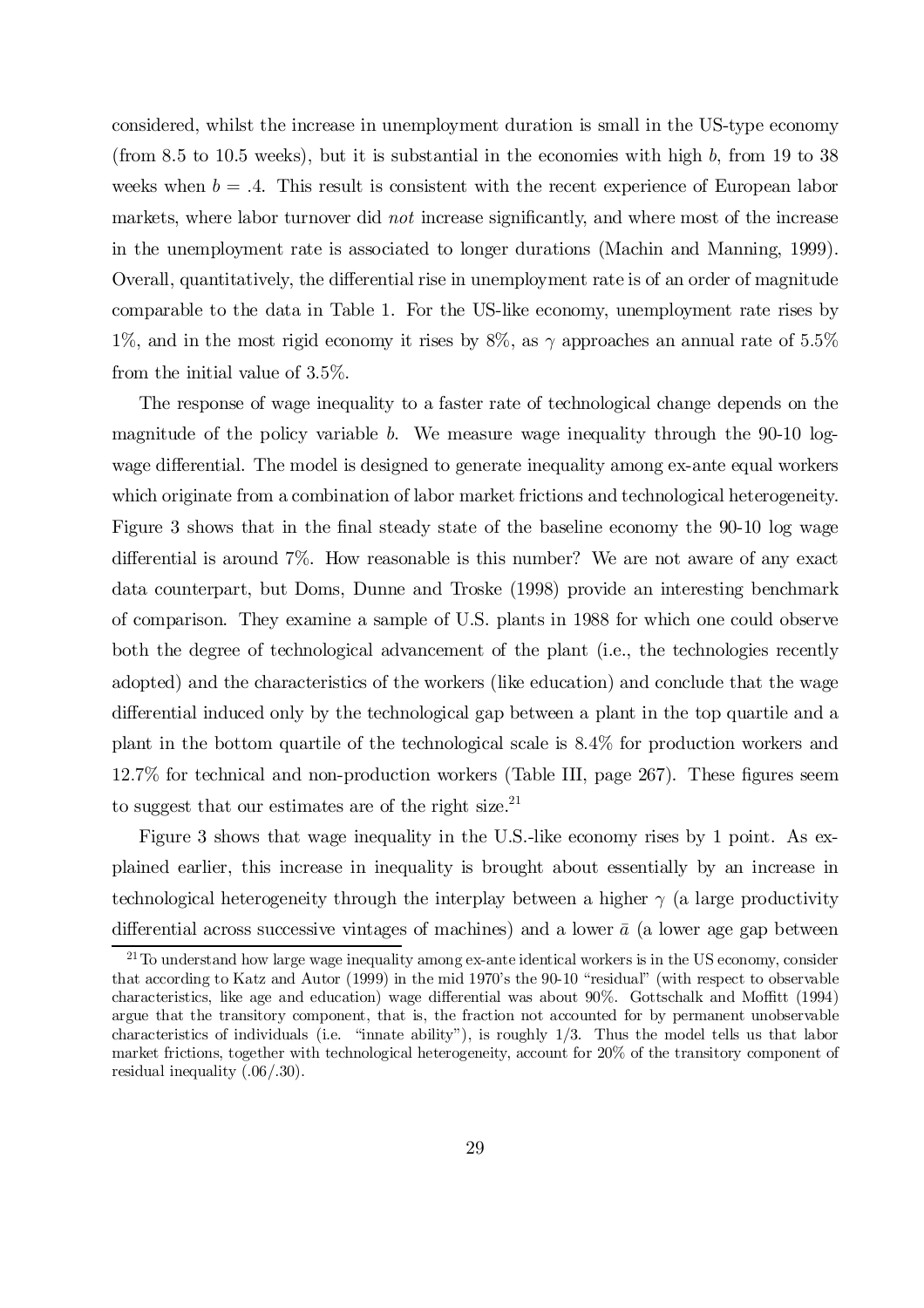considered, whilst the increase in unemployment duration is small in the US-type economy (from 8.5 to 10.5 weeks), but it is substantial in the economies with high  $b$ , from 19 to 38 weeks when  $b = .4$ . This result is consistent with the recent experience of European labor markets, where labor turnover did *not* increase significantly, and where most of the increase in the unemployment rate is associated to longer durations (Machin and Manning, 1999). Overall, quantitatively, the differential rise in unemployment rate is of an order of magnitude comparable to the data in Table 1. For the US-like economy, unemployment rate rises by 1%, and in the most rigid economy it rises by 8%, as  $\gamma$  approaches an annual rate of 5.5% from the initial value of 3:5%.

The response of wage inequality to a faster rate of technological change depends on the magnitude of the policy variable b. We measure wage inequality through the  $90-10$  logwage differential. The model is designed to generate inequality among ex-ante equal workers which originate from a combination of labor market frictions and technological heterogeneity. Figure 3 shows that in the final steady state of the baseline economy the 90-10 log wage differential is around  $7\%$ . How reasonable is this number? We are not aware of any exact data counterpart, but Doms, Dunne and Troske (1998) provide an interesting benchmark of comparison. They examine a sample of U.S. plants in 1988 for which one could observe both the degree of technological advancement of the plant (i.e., the technologies recently adopted) and the characteristics of the workers (like education) and conclude that the wage differential induced only by the technological gap between a plant in the top quartile and a plant in the bottom quartile of the technological scale is 8:4% for production workers and  $12.7\%$  for technical and non-production workers (Table III, page 267). These figures seem to suggest that our estimates are of the right size.<sup>21</sup>

Figure 3 shows that wage inequality in the U.S.-like economy rises by 1 point. As explained earlier, this increase in inequality is brought about essentially by an increase in technological heterogeneity through the interplay between a higher  $\gamma$  (a large productivity differential across successive vintages of machines) and a lower  $\bar{a}$  (a lower age gap between

<sup>&</sup>lt;sup>21</sup>To understand how large wage inequality among ex-ante identical workers is in the US economy, consider that according to Katz and Autor (1999) in the mid 1970's the 90-10 "residual" (with respect to observable characteristics, like age and education) wage differential was about 90%. Gottschalk and Moffitt (1994) argue that the transitory component, that is, the fraction not accounted for by permanent unobservable characteristics of individuals (i.e. "innate ability"), is roughly 1/3. Thus the model tells us that labor market frictions, together with technological heterogeneity, account for 20% of the transitory component of residual inequality  $(.06/.30)$ .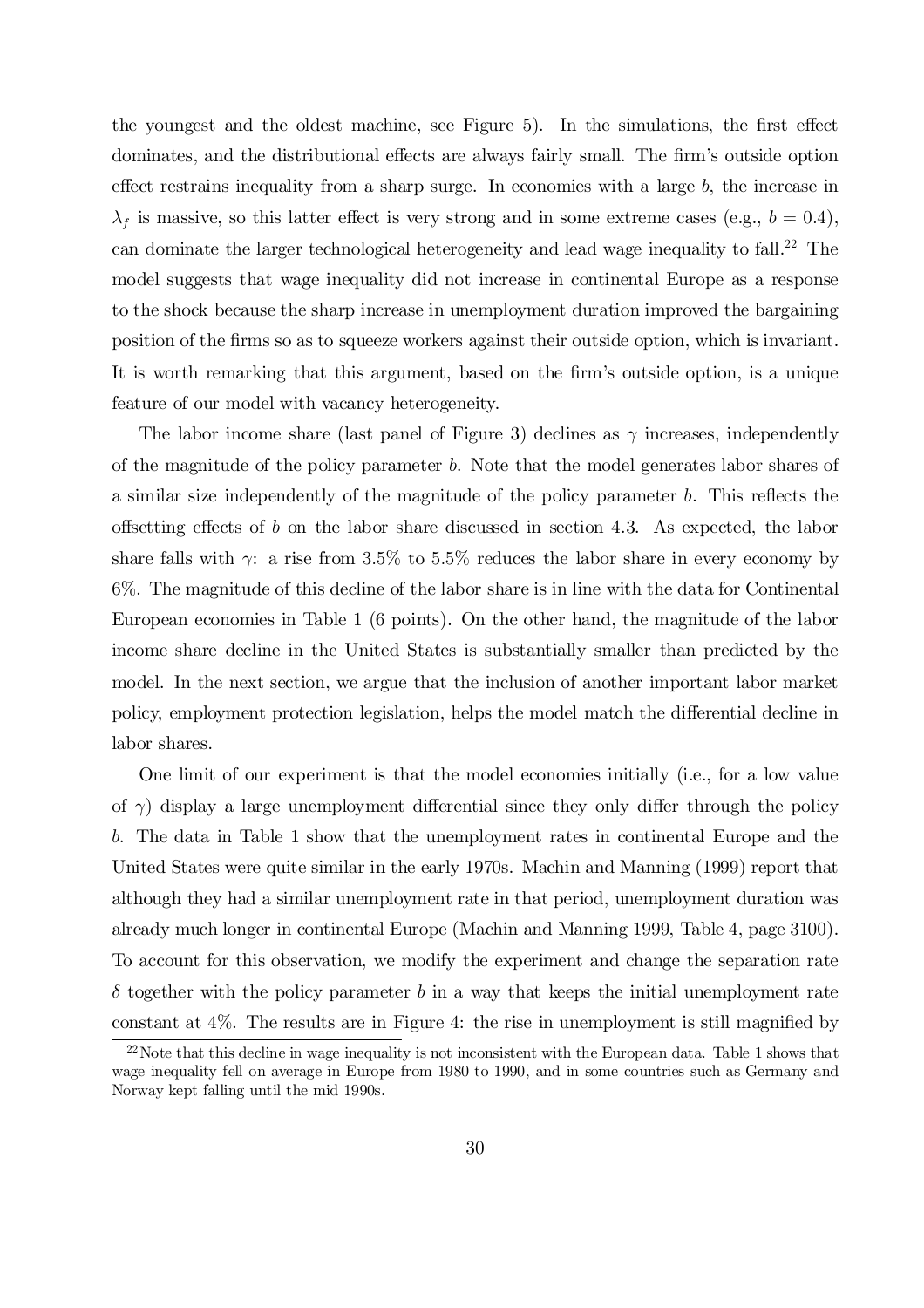the youngest and the oldest machine, see Figure 5). In the simulations, the first effect dominates, and the distributional effects are always fairly small. The firm's outside option effect restrains inequality from a sharp surge. In economies with a large  $b$ , the increase in  $\lambda_f$  is massive, so this latter effect is very strong and in some extreme cases (e.g.,  $b = 0.4$ ), can dominate the larger technological heterogeneity and lead wage inequality to fall. <sup>22</sup> The model suggests that wage inequality did not increase in continental Europe as a response to the shock because the sharp increase in unemployment duration improved the bargaining position of the firms so as to squeeze workers against their outside option, which is invariant. It is worth remarking that this argument, based on the firm's outside option, is a unique feature of our model with vacancy heterogeneity.

The labor income share (last panel of Figure 3) declines as  $\gamma$  increases, independently of the magnitude of the policy parameter b. Note that the model generates labor shares of a similar size independently of the magnitude of the policy parameter  $b$ . This reflects the offsetting effects of b on the labor share discussed in section 4.3. As expected, the labor share falls with  $\gamma$ : a rise from 3.5% to 5.5% reduces the labor share in every economy by 6%. The magnitude of this decline of the labor share is in line with the data for Continental European economies in Table 1 (6 points). On the other hand, the magnitude of the labor income share decline in the United States is substantially smaller than predicted by the model. In the next section, we argue that the inclusion of another important labor market policy, employment protection legislation, helps the model match the differential decline in labor shares.

One limit of our experiment is that the model economies initially (i.e., for a low value of  $\gamma$ ) display a large unemployment differential since they only differ through the policy b. The data in Table 1 show that the unemployment rates in continental Europe and the United States were quite similar in the early 1970s. Machin and Manning (1999) report that although they had a similar unemployment rate in that period, unemployment duration was already much longer in continental Europe (Machin and Manning 1999, Table 4, page 3100). To account for this observation, we modify the experiment and change the separation rate  $\delta$  together with the policy parameter b in a way that keeps the initial unemployment rate constant at  $4\%$ . The results are in Figure 4: the rise in unemployment is still magnified by

 $^{22}$  Note that this decline in wage inequality is not inconsistent with the European data. Table 1 shows that wage inequality fell on average in Europe from 1980 to 1990, and in some countries such as Germany and Norway kept falling until the mid 1990s.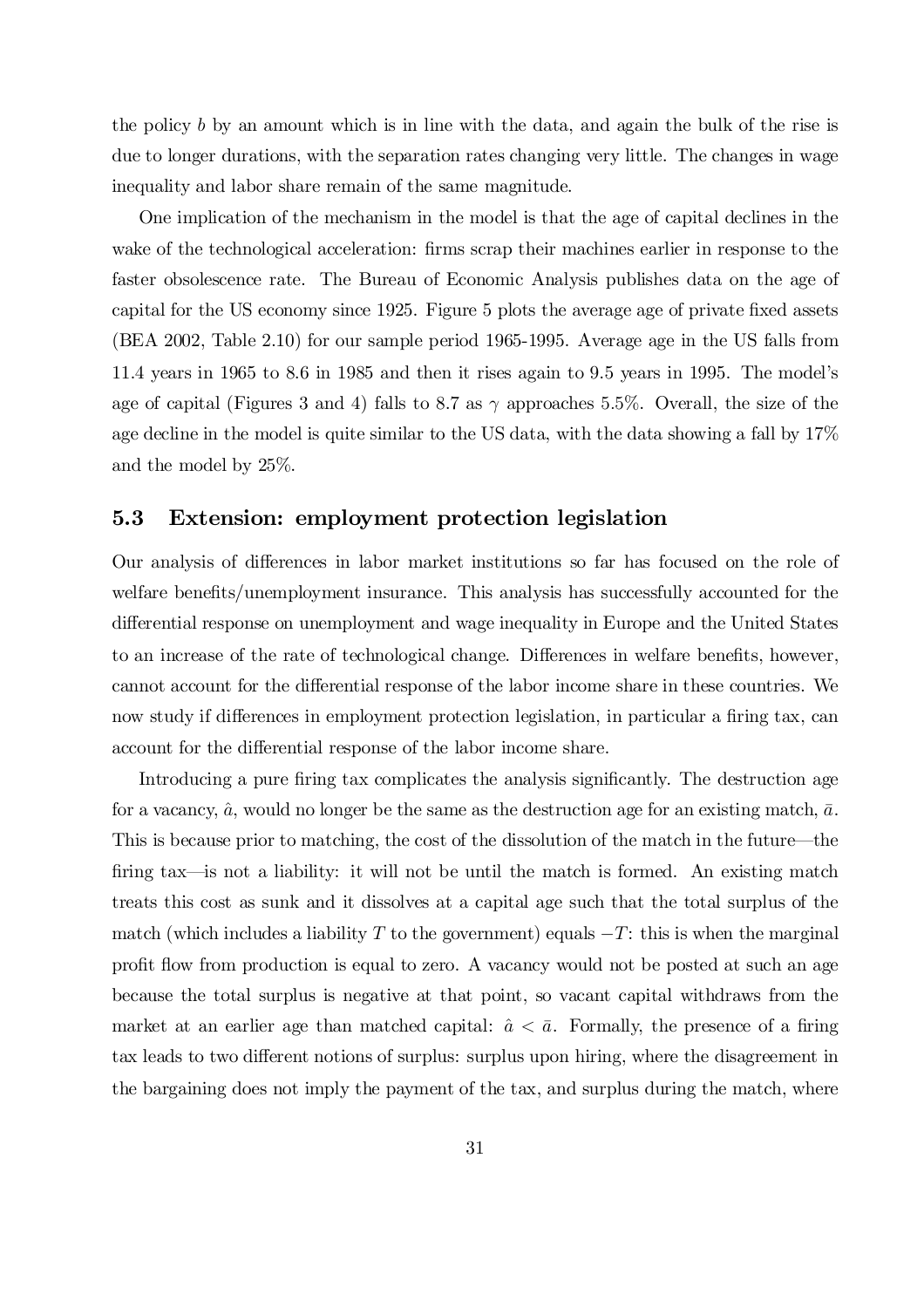the policy b by an amount which is in line with the data, and again the bulk of the rise is due to longer durations, with the separation rates changing very little. The changes in wage inequality and labor share remain of the same magnitude.

One implication of the mechanism in the model is that the age of capital declines in the wake of the technological acceleration: firms scrap their machines earlier in response to the faster obsolescence rate. The Bureau of Economic Analysis publishes data on the age of capital for the US economy since 1925. Figure 5 plots the average age of private fixed assets (BEA 2002, Table 2.10) for our sample period 1965-1995. Average age in the US falls from 11.4 years in 1965 to 8.6 in 1985 and then it rises again to 9.5 years in 1995. The model's age of capital (Figures 3 and 4) falls to 8.7 as  $\gamma$  approaches 5.5%. Overall, the size of the age decline in the model is quite similar to the US data, with the data showing a fall by 17% and the model by 25%.

### 5.3 Extension: employment protection legislation

Our analysis of differences in labor market institutions so far has focused on the role of welfare benefits/unemployment insurance. This analysis has successfully accounted for the differential response on unemployment and wage inequality in Europe and the United States to an increase of the rate of technological change. Differences in welfare benefits, however, cannot account for the differential response of the labor income share in these countries. We now study if differences in employment protection legislation, in particular a firing tax, can account for the differential response of the labor income share.

Introducing a pure firing tax complicates the analysis significantly. The destruction age for a vacancy,  $\hat{a}$ , would no longer be the same as the destruction age for an existing match,  $\bar{a}$ . This is because prior to matching, the cost of the dissolution of the match in the future—the firing tax—is not a liability: it will not be until the match is formed. An existing match treats this cost as sunk and it dissolves at a capital age such that the total surplus of the match (which includes a liability T to the government) equals  $-T$ : this is when the marginal profit flow from production is equal to zero. A vacancy would not be posted at such an age because the total surplus is negative at that point, so vacant capital withdraws from the market at an earlier age than matched capital:  $\hat{a} < \bar{a}$ . Formally, the presence of a firing tax leads to two different notions of surplus: surplus upon hiring, where the disagreement in the bargaining does not imply the payment of the tax, and surplus during the match, where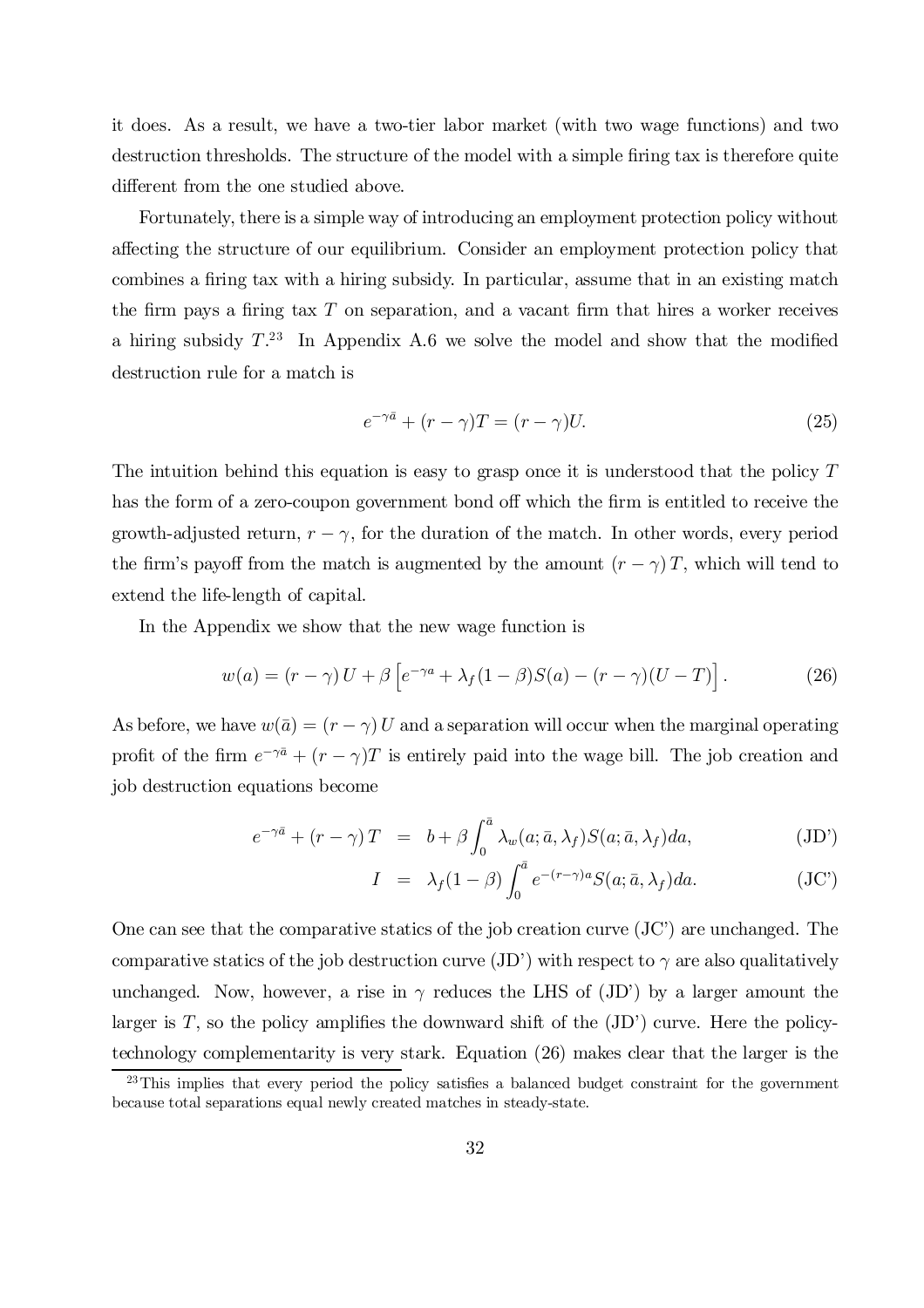it does. As a result, we have a two-tier labor market (with two wage functions) and two destruction thresholds. The structure of the model with a simple firing tax is therefore quite different from the one studied above.

Fortunately, there is a simple way of introducing an employment protection policy without affecting the structure of our equilibrium. Consider an employment protection policy that combines a firing tax with a hiring subsidy. In particular, assume that in an existing match the firm pays a firing tax  $T$  on separation, and a vacant firm that hires a worker receives a hiring subsidy  $T^{23}$  In Appendix A.6 we solve the model and show that the modified destruction rule for a match is

$$
e^{-\gamma \bar{a}} + (r - \gamma)T = (r - \gamma)U.
$$
\n(25)

The intuition behind this equation is easy to grasp once it is understood that the policy T has the form of a zero-coupon government bond off which the firm is entitled to receive the growth-adjusted return,  $r - \gamma$ , for the duration of the match. In other words, every period the firm's payoff from the match is augmented by the amount  $(r - \gamma)T$ , which will tend to extend the life-length of capital.

In the Appendix we show that the new wage function is

$$
w(a) = (r - \gamma) U + \beta \left[ e^{-\gamma a} + \lambda_f (1 - \beta) S(a) - (r - \gamma) (U - T) \right].
$$
 (26)

As before, we have  $w(\bar{a}) = (r - \gamma) U$  and a separation will occur when the marginal operating profit of the firm  $e^{-\gamma \bar{a}} + (r - \gamma)T$  is entirely paid into the wage bill. The job creation and job destruction equations become

$$
e^{-\gamma \bar{a}} + (r - \gamma) T = b + \beta \int_0^{\bar{a}} \lambda_w(a; \bar{a}, \lambda_f) S(a; \bar{a}, \lambda_f) da,
$$
 (JD')

$$
I = \lambda_f (1 - \beta) \int_0^{\bar{a}} e^{-(r - \gamma)a} S(a; \bar{a}, \lambda_f) da.
$$
 (JC')

One can see that the comparative statics of the job creation curve (JC') are unchanged. The comparative statics of the job destruction curve (JD') with respect to  $\gamma$  are also qualitatively unchanged. Now, however, a rise in  $\gamma$  reduces the LHS of (JD') by a larger amount the larger is  $T$ , so the policy amplifies the downward shift of the  $J(D')$  curve. Here the policytechnology complementarity is very stark. Equation (26) makes clear that the larger is the

 $^{23}$ This implies that every period the policy satisfies a balanced budget constraint for the government because total separations equal newly created matches in steady-state.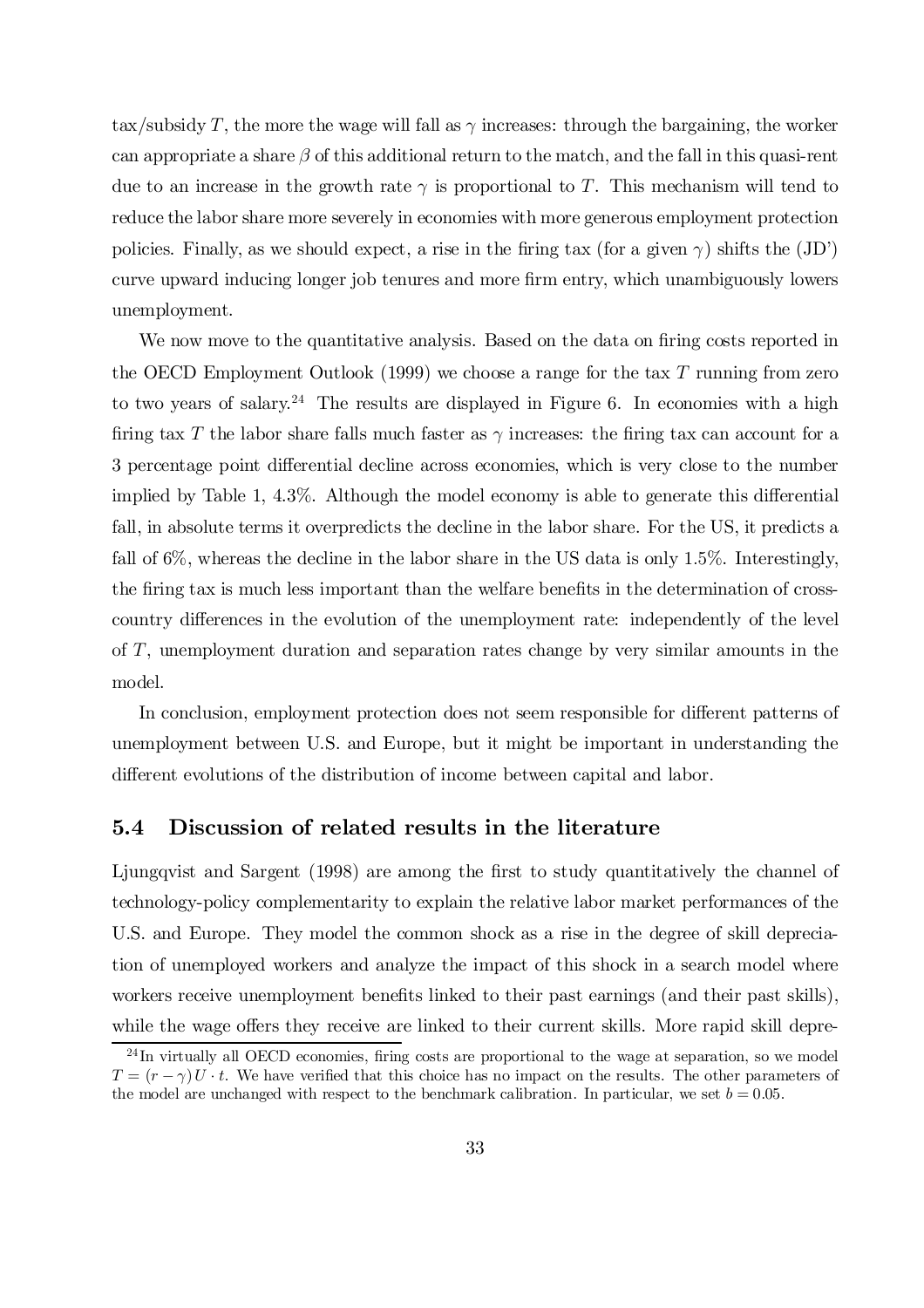tax/subsidy T, the more the wage will fall as  $\gamma$  increases: through the bargaining, the worker can appropriate a share  $\beta$  of this additional return to the match, and the fall in this quasi-rent due to an increase in the growth rate  $\gamma$  is proportional to T. This mechanism will tend to reduce the labor share more severely in economies with more generous employment protection policies. Finally, as we should expect, a rise in the firing tax (for a given  $\gamma$ ) shifts the (JD') curve upward inducing longer job tenures and more firm entry, which unambiguously lowers unemployment.

We now move to the quantitative analysis. Based on the data on firing costs reported in the OECD Employment Outlook (1999) we choose a range for the tax T running from zero to two years of salary.<sup>24</sup> The results are displayed in Figure 6. In economies with a high firing tax T the labor share falls much faster as  $\gamma$  increases: the firing tax can account for a 3 percentage point differential decline across economies, which is very close to the number implied by Table 1,  $4.3\%$ . Although the model economy is able to generate this differential fall, in absolute terms it overpredicts the decline in the labor share. For the US, it predicts a fall of 6%, whereas the decline in the labor share in the US data is only 1:5%. Interestingly, the firing tax is much less important than the welfare benefits in the determination of crosscountry differences in the evolution of the unemployment rate: independently of the level of T, unemployment duration and separation rates change by very similar amounts in the model.

In conclusion, employment protection does not seem responsible for different patterns of unemployment between U.S. and Europe, but it might be important in understanding the different evolutions of the distribution of income between capital and labor.

### 5.4 Discussion of related results in the literature

Ljungqvist and Sargent (1998) are among the first to study quantitatively the channel of technology-policy complementarity to explain the relative labor market performances of the U.S. and Europe. They model the common shock as a rise in the degree of skill depreciation of unemployed workers and analyze the impact of this shock in a search model where workers receive unemployment benefits linked to their past earnings (and their past skills), while the wage offers they receive are linked to their current skills. More rapid skill depre-

 $^{24}$ In virtually all OECD economies, firing costs are proportional to the wage at separation, so we model  $T = (r - \gamma)U \cdot t$ . We have verified that this choice has no impact on the results. The other parameters of the model are unchanged with respect to the benchmark calibration. In particular, we set  $b = 0.05$ .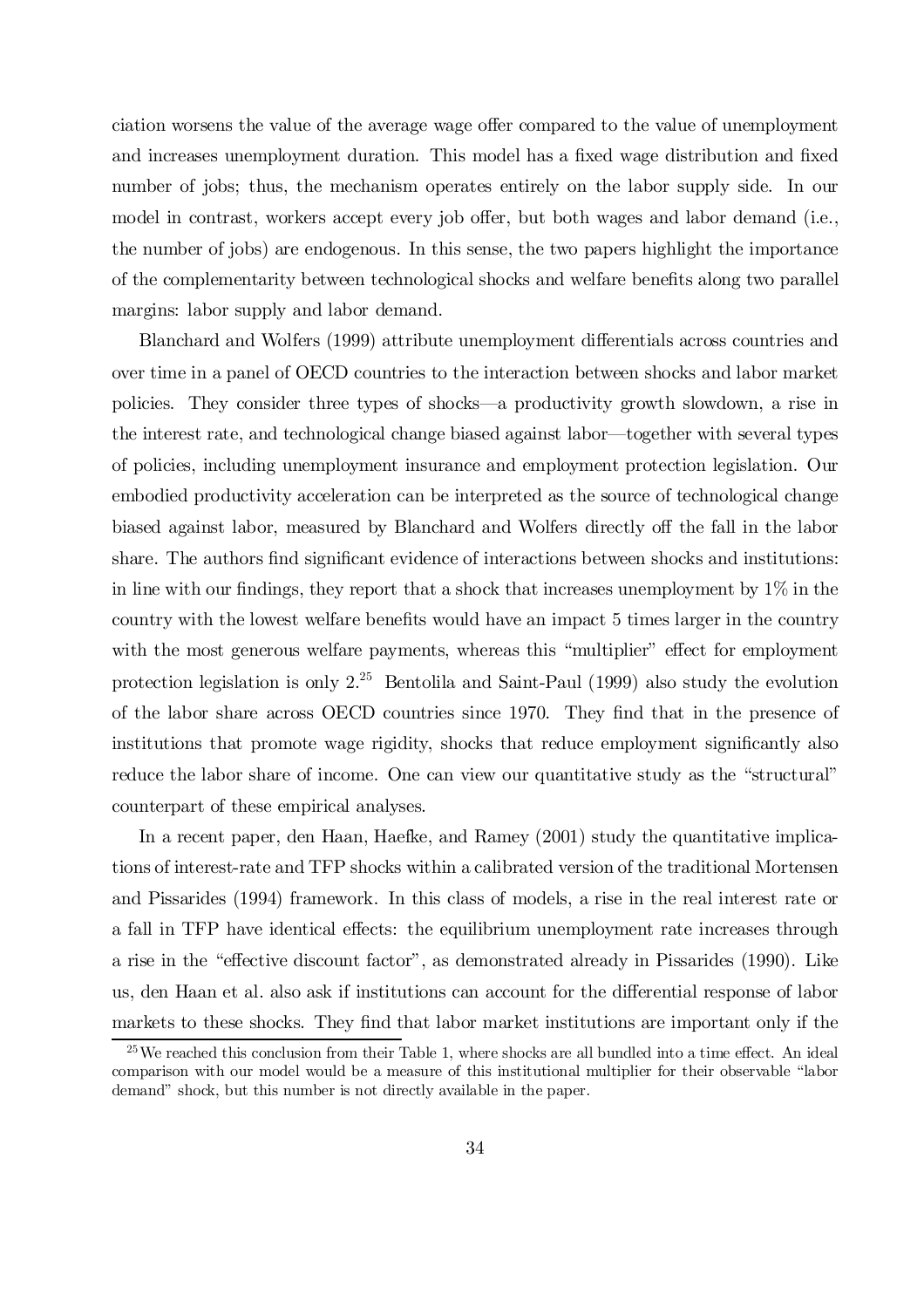ciation worsens the value of the average wage offer compared to the value of unemployment and increases unemployment duration. This model has a fixed wage distribution and fixed number of jobs; thus, the mechanism operates entirely on the labor supply side. In our model in contrast, workers accept every job offer, but both wages and labor demand (i.e., the number of jobs) are endogenous. In this sense, the two papers highlight the importance of the complementarity between technological shocks and welfare benefits along two parallel margins: labor supply and labor demand.

Blanchard and Wolfers (1999) attribute unemployment differentials across countries and over time in a panel of OECD countries to the interaction between shocks and labor market policies. They consider three types of shocks—a productivity growth slowdown, a rise in the interest rate, and technological change biased against labor—together with several types of policies, including unemployment insurance and employment protection legislation. Our embodied productivity acceleration can be interpreted as the source of technological change biased against labor, measured by Blanchard and Wolfers directly off the fall in the labor share. The authors find significant evidence of interactions between shocks and institutions: in line with our findings, they report that a shock that increases unemployment by  $1\%$  in the country with the lowest welfare benefits would have an impact 5 times larger in the country with the most generous welfare payments, whereas this "multiplier" effect for employment protection legislation is only  $2^{25}$  Bentolila and Saint-Paul (1999) also study the evolution of the labor share across OECD countries since 1970. They find that in the presence of institutions that promote wage rigidity, shocks that reduce employment significantly also reduce the labor share of income. One can view our quantitative study as the "structural" counterpart of these empirical analyses.

In a recent paper, den Haan, Haefke, and Ramey (2001) study the quantitative implications of interest-rate and TFP shocks within a calibrated version of the traditional Mortensen and Pissarides (1994) framework. In this class of models, a rise in the real interest rate or a fall in TFP have identical effects: the equilibrium unemployment rate increases through a rise in the "effective discount factor", as demonstrated already in Pissarides (1990). Like us, den Haan et al. also ask if institutions can account for the differential response of labor markets to these shocks. They find that labor market institutions are important only if the

 $25$  We reached this conclusion from their Table 1, where shocks are all bundled into a time effect. An ideal comparison with our model would be a measure of this institutional multiplier for their observable "labor demand" shock, but this number is not directly available in the paper.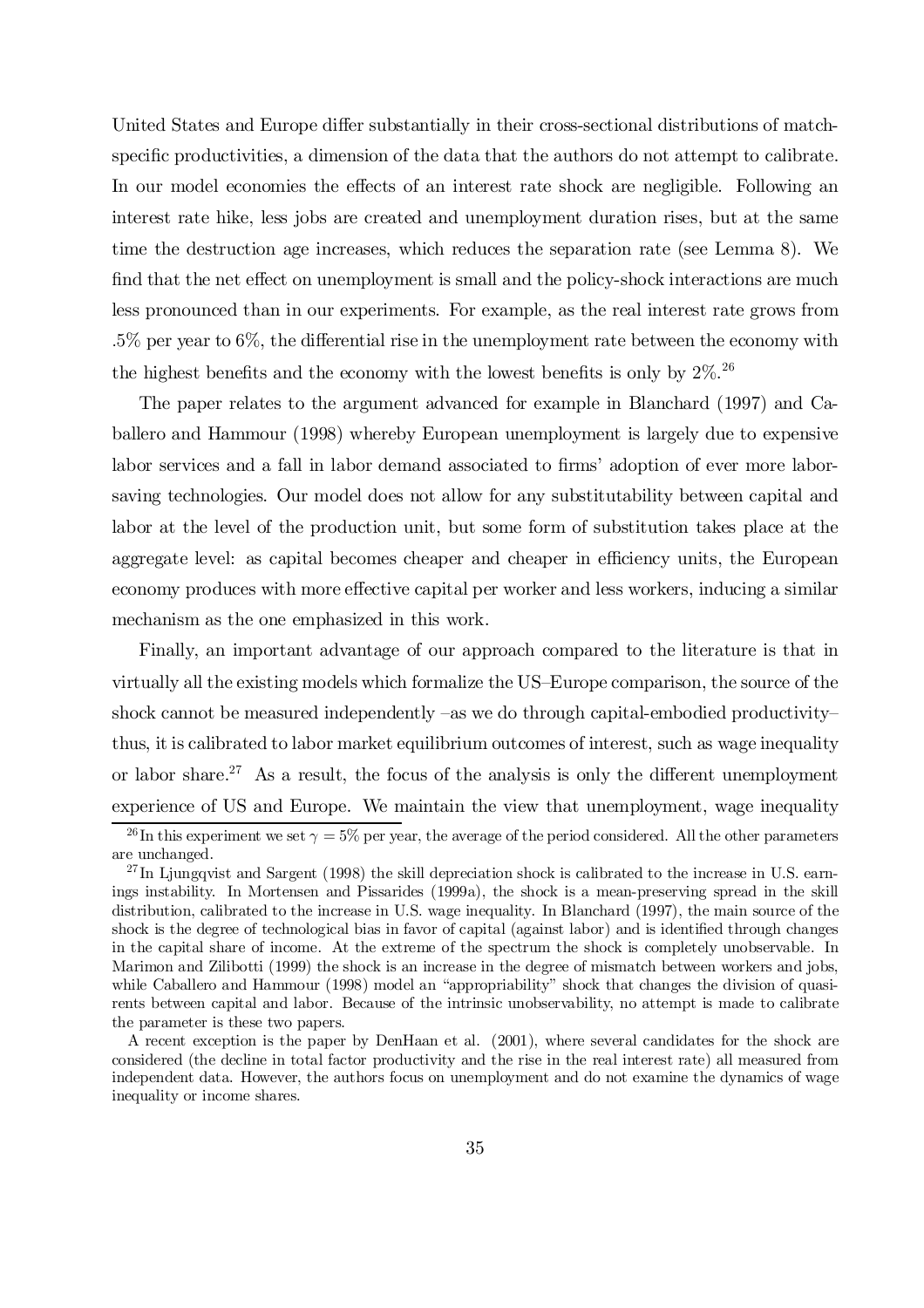United States and Europe differ substantially in their cross-sectional distributions of matchspecific productivities, a dimension of the data that the authors do not attempt to calibrate. In our model economies the effects of an interest rate shock are negligible. Following an interest rate hike, less jobs are created and unemployment duration rises, but at the same time the destruction age increases, which reduces the separation rate (see Lemma 8). We find that the net effect on unemployment is small and the policy-shock interactions are much less pronounced than in our experiments. For example, as the real interest rate grows from  $.5\%$  per year to 6%, the differential rise in the unemployment rate between the economy with the highest benefits and the economy with the lowest benefits is only by  $2\%$ .<sup>26</sup>

The paper relates to the argument advanced for example in Blanchard (1997) and Caballero and Hammour (1998) whereby European unemployment is largely due to expensive labor services and a fall in labor demand associated to firms' adoption of ever more laborsaving technologies. Our model does not allow for any substitutability between capital and labor at the level of the production unit, but some form of substitution takes place at the aggregate level: as capital becomes cheaper and cheaper in efficiency units, the European economy produces with more effective capital per worker and less workers, inducing a similar mechanism as the one emphasized in this work.

Finally, an important advantage of our approach compared to the literature is that in virtually all the existing models which formalize the US–Europe comparison, the source of the shock cannot be measured independently –as we do through capital-embodied productivity– thus, it is calibrated to labor market equilibrium outcomes of interest, such as wage inequality or labor share.<sup>27</sup> As a result, the focus of the analysis is only the different unemployment experience of US and Europe. We maintain the view that unemployment, wage inequality

<sup>&</sup>lt;sup>26</sup>In this experiment we set  $\gamma = 5\%$  per year, the average of the period considered. All the other parameters are unchanged.

<sup>&</sup>lt;sup>27</sup>In Ljungqvist and Sargent (1998) the skill depreciation shock is calibrated to the increase in U.S. earnings instability. In Mortensen and Pissarides (1999a), the shock is a mean-preserving spread in the skill distribution, calibrated to the increase in U.S. wage inequality. In Blanchard (1997), the main source of the shock is the degree of technological bias in favor of capital (against labor) and is identified through changes in the capital share of income. At the extreme of the spectrum the shock is completely unobservable. In Marimon and Zilibotti (1999) the shock is an increase in the degree of mismatch between workers and jobs, while Caballero and Hammour (1998) model an "appropriability" shock that changes the division of quasirents between capital and labor. Because of the intrinsic unobservability, no attempt is made to calibrate the parameter is these two papers.

A recent exception is the paper by DenHaan et al. (2001), where several candidates for the shock are considered (the decline in total factor productivity and the rise in the real interest rate) all measured from independent data. However, the authors focus on unemployment and do not examine the dynamics of wage inequality or income shares.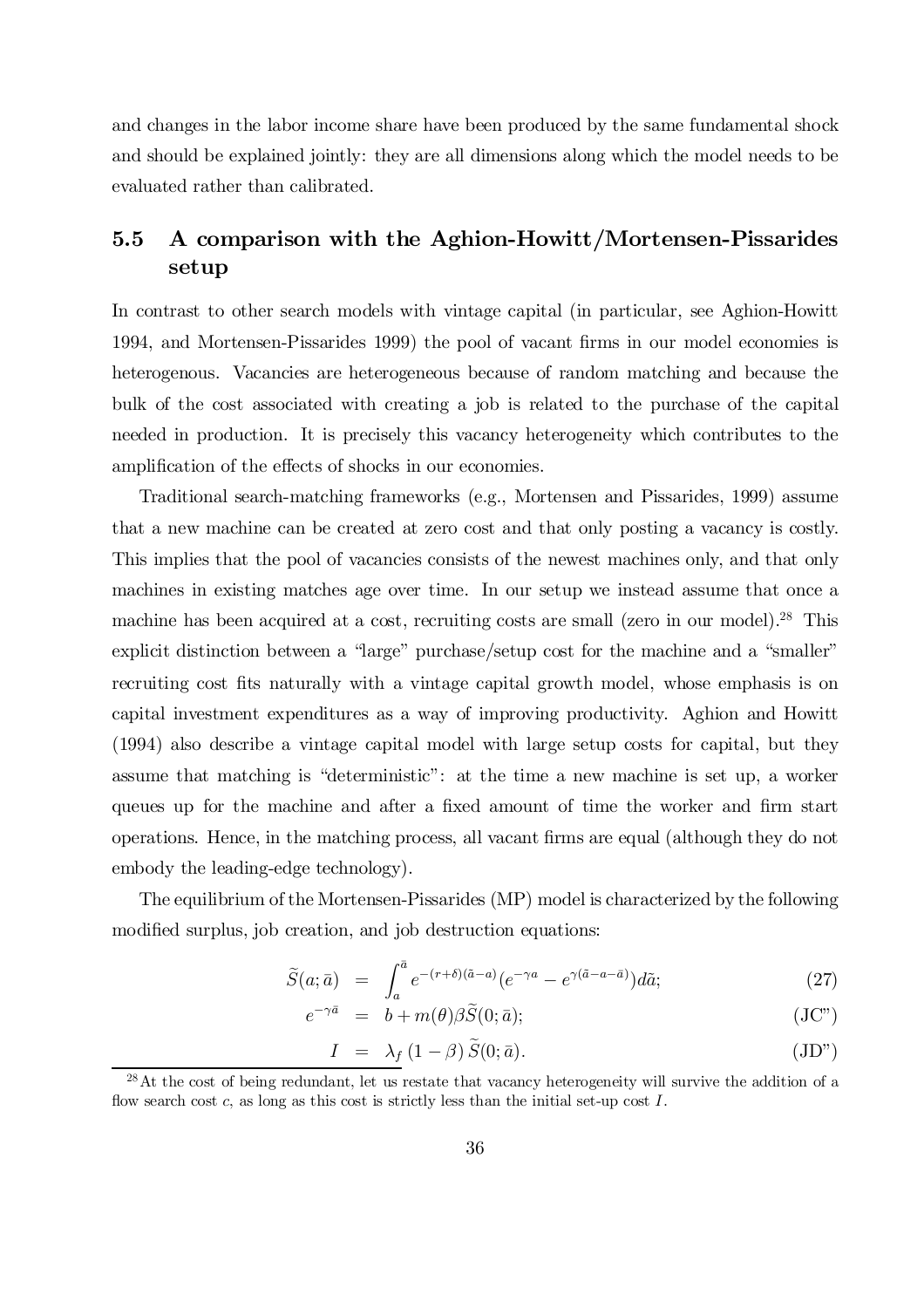and changes in the labor income share have been produced by the same fundamental shock and should be explained jointly: they are all dimensions along which the model needs to be evaluated rather than calibrated.

## 5.5 A comparison with the Aghion-Howitt/Mortensen-Pissarides setup

In contrast to other search models with vintage capital (in particular, see Aghion-Howitt 1994, and Mortensen-Pissarides 1999) the pool of vacant firms in our model economies is heterogenous. Vacancies are heterogeneous because of random matching and because the bulk of the cost associated with creating a job is related to the purchase of the capital needed in production. It is precisely this vacancy heterogeneity which contributes to the amplification of the effects of shocks in our economies.

Traditional search-matching frameworks (e.g., Mortensen and Pissarides, 1999) assume that a new machine can be created at zero cost and that only posting a vacancy is costly. This implies that the pool of vacancies consists of the newest machines only, and that only machines in existing matches age over time. In our setup we instead assume that once a machine has been acquired at a cost, recruiting costs are small (zero in our model).<sup>28</sup> This explicit distinction between a "large" purchase/setup cost for the machine and a "smaller" recruiting cost fits naturally with a vintage capital growth model, whose emphasis is on capital investment expenditures as a way of improving productivity. Aghion and Howitt (1994) also describe a vintage capital model with large setup costs for capital, but they assume that matching is "deterministic": at the time a new machine is set up, a worker queues up for the machine and after a fixed amount of time the worker and firm start operations. Hence, in the matching process, all vacant firms are equal (although they do not embody the leading-edge technology).

The equilibrium of the Mortensen-Pissarides (MP) model is characterized by the following modified surplus, job creation, and job destruction equations:

$$
\tilde{S}(a; \bar{a}) = \int_{a}^{\bar{a}} e^{-(r+\delta)(\tilde{a}-a)} (e^{-\gamma a} - e^{\gamma(\tilde{a}-a-\bar{a})}) d\tilde{a}; \qquad (27)
$$

$$
e^{-\gamma \bar{a}} = b + m(\theta) \beta \tilde{S}(0; \bar{a}); \qquad (JC")
$$

$$
I = \lambda_f (1 - \beta) \tilde{S}(0; \bar{a}). \tag{JD"}
$$

 $^{28}$ At the cost of being redundant, let us restate that vacancy heterogeneity will survive the addition of a flow search cost c, as long as this cost is strictly less than the initial set-up cost  $I$ .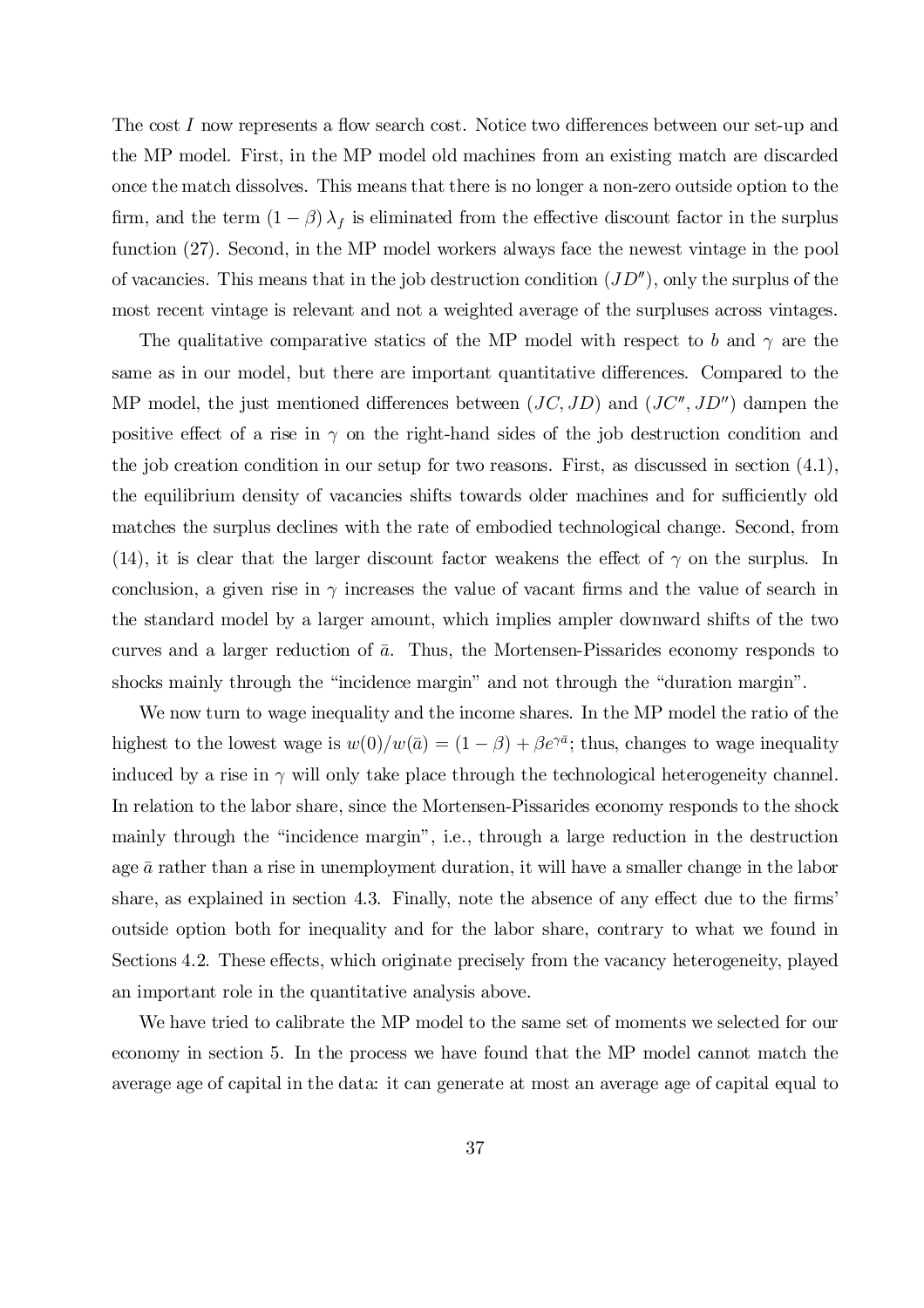The cost I now represents a flow search cost. Notice two differences between our set-up and the MP model. First, in the MP model old machines from an existing match are discarded once the match dissolves. This means that there is no longer a non-zero outside option to the firm, and the term  $(1 - \beta) \lambda_f$  is eliminated from the effective discount factor in the surplus function (27). Second, in the MP model workers always face the newest vintage in the pool of vacancies. This means that in the job destruction condition  $(JD'')$ , only the surplus of the most recent vintage is relevant and not a weighted average of the surpluses across vintages.

The qualitative comparative statics of the MP model with respect to b and  $\gamma$  are the same as in our model, but there are important quantitative differences. Compared to the MP model, the just mentioned differences between  $(JC, JD)$  and  $(JC'', JD'')$  dampen the positive effect of a rise in  $\gamma$  on the right-hand sides of the job destruction condition and the job creation condition in our setup for two reasons. First, as discussed in section (4.1), the equilibrium density of vacancies shifts towards older machines and for sufficiently old matches the surplus declines with the rate of embodied technological change. Second, from (14), it is clear that the larger discount factor weakens the effect of  $\gamma$  on the surplus. In conclusion, a given rise in  $\gamma$  increases the value of vacant firms and the value of search in the standard model by a larger amount, which implies ampler downward shifts of the two curves and a larger reduction of  $\bar{a}$ . Thus, the Mortensen-Pissarides economy responds to shocks mainly through the "incidence margin" and not through the "duration margin".

We now turn to wage inequality and the income shares. In the MP model the ratio of the highest to the lowest wage is  $w(0)/w(\bar{a}) = (1 - \beta) + \beta e^{\gamma \bar{a}}$ ; thus, changes to wage inequality induced by a rise in  $\gamma$  will only take place through the technological heterogeneity channel. In relation to the labor share, since the Mortensen-Pissarides economy responds to the shock mainly through the "incidence margin", i.e., through a large reduction in the destruction age  $\bar{a}$  rather than a rise in unemployment duration, it will have a smaller change in the labor share, as explained in section 4.3. Finally, note the absence of any effect due to the firms' outside option both for inequality and for the labor share, contrary to what we found in Sections 4.2. These effects, which originate precisely from the vacancy heterogeneity, played an important role in the quantitative analysis above.

We have tried to calibrate the MP model to the same set of moments we selected for our economy in section 5. In the process we have found that the MP model cannot match the average age of capital in the data: it can generate at most an average age of capital equal to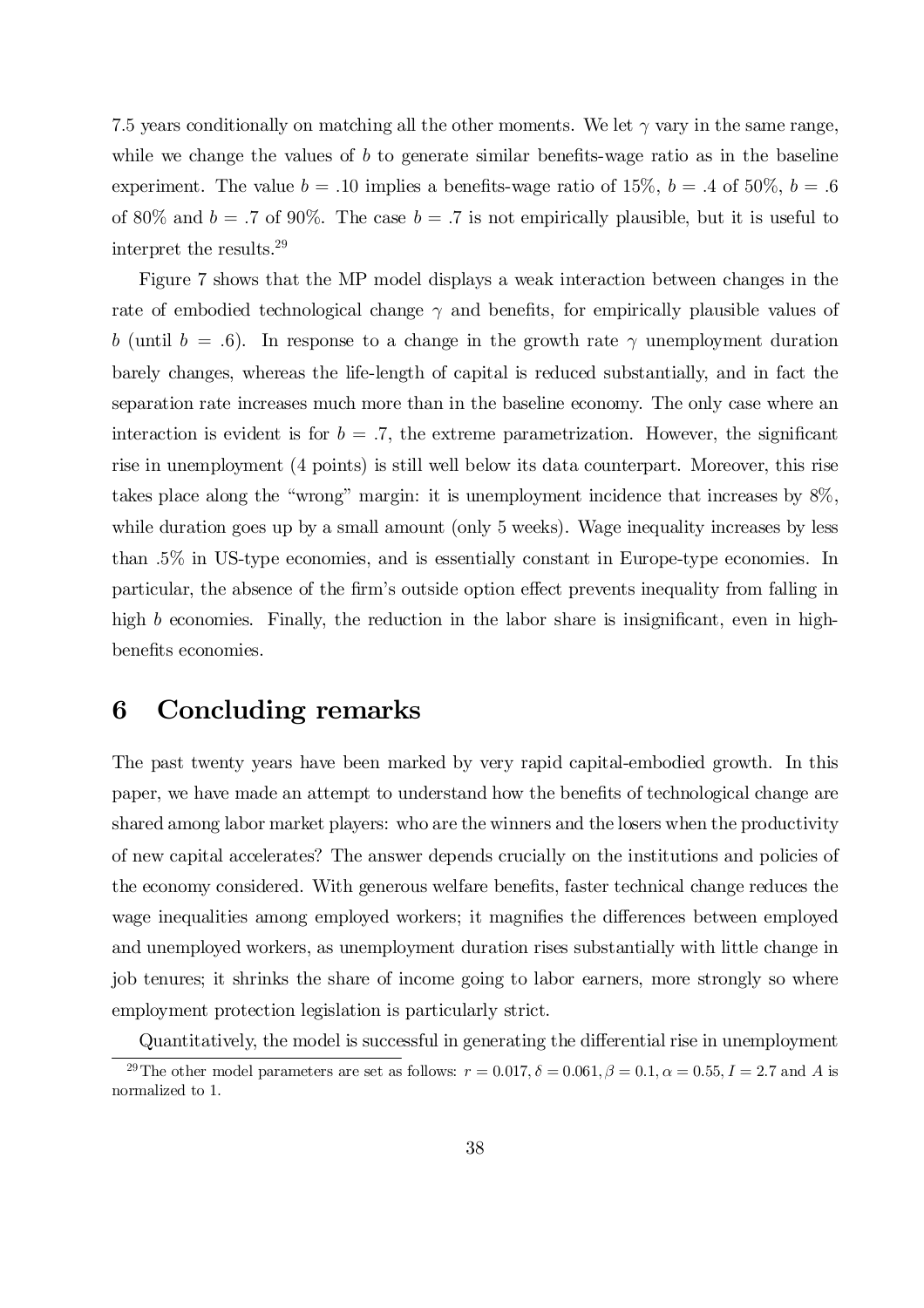7.5 years conditionally on matching all the other moments. We let  $\gamma$  vary in the same range, while we change the values of  $b$  to generate similar benefits-wage ratio as in the baseline experiment. The value  $b = .10$  implies a benefits-wage ratio of 15%,  $b = .4$  of 50%,  $b = .6$ of 80% and  $b = .7$  of 90%. The case  $b = .7$  is not empirically plausible, but it is useful to interpret the results. 29

Figure 7 shows that the MP model displays a weak interaction between changes in the rate of embodied technological change  $\gamma$  and benefits, for empirically plausible values of b (until  $b = .6$ ). In response to a change in the growth rate  $\gamma$  unemployment duration barely changes, whereas the life-length of capital is reduced substantially, and in fact the separation rate increases much more than in the baseline economy. The only case where an interaction is evident is for  $b = .7$ , the extreme parametrization. However, the significant rise in unemployment (4 points) is still well below its data counterpart. Moreover, this rise takes place along the "wrong" margin: it is unemployment incidence that increases by 8%, while duration goes up by a small amount (only 5 weeks). Wage inequality increases by less than :5% in US-type economies, and is essentially constant in Europe-type economies. In particular, the absence of the firm's outside option effect prevents inequality from falling in high b economies. Finally, the reduction in the labor share is insignificant, even in highbenefits economies.

# 6 Concluding remarks

The past twenty years have been marked by very rapid capital-embodied growth. In this paper, we have made an attempt to understand how the benefits of technological change are shared among labor market players: who are the winners and the losers when the productivity of new capital accelerates? The answer depends crucially on the institutions and policies of the economy considered. With generous welfare benefits, faster technical change reduces the wage inequalities among employed workers; it magnifies the differences between employed and unemployed workers, as unemployment duration rises substantially with little change in job tenures; it shrinks the share of income going to labor earners, more strongly so where employment protection legislation is particularly strict.

Quantitatively, the model is successful in generating the differential rise in unemployment

<sup>&</sup>lt;sup>29</sup>The other model parameters are set as follows:  $r = 0.017$ ,  $\delta = 0.061$ ,  $\beta = 0.1$ ,  $\alpha = 0.55$ ,  $I = 2.7$  and A is normalized to 1.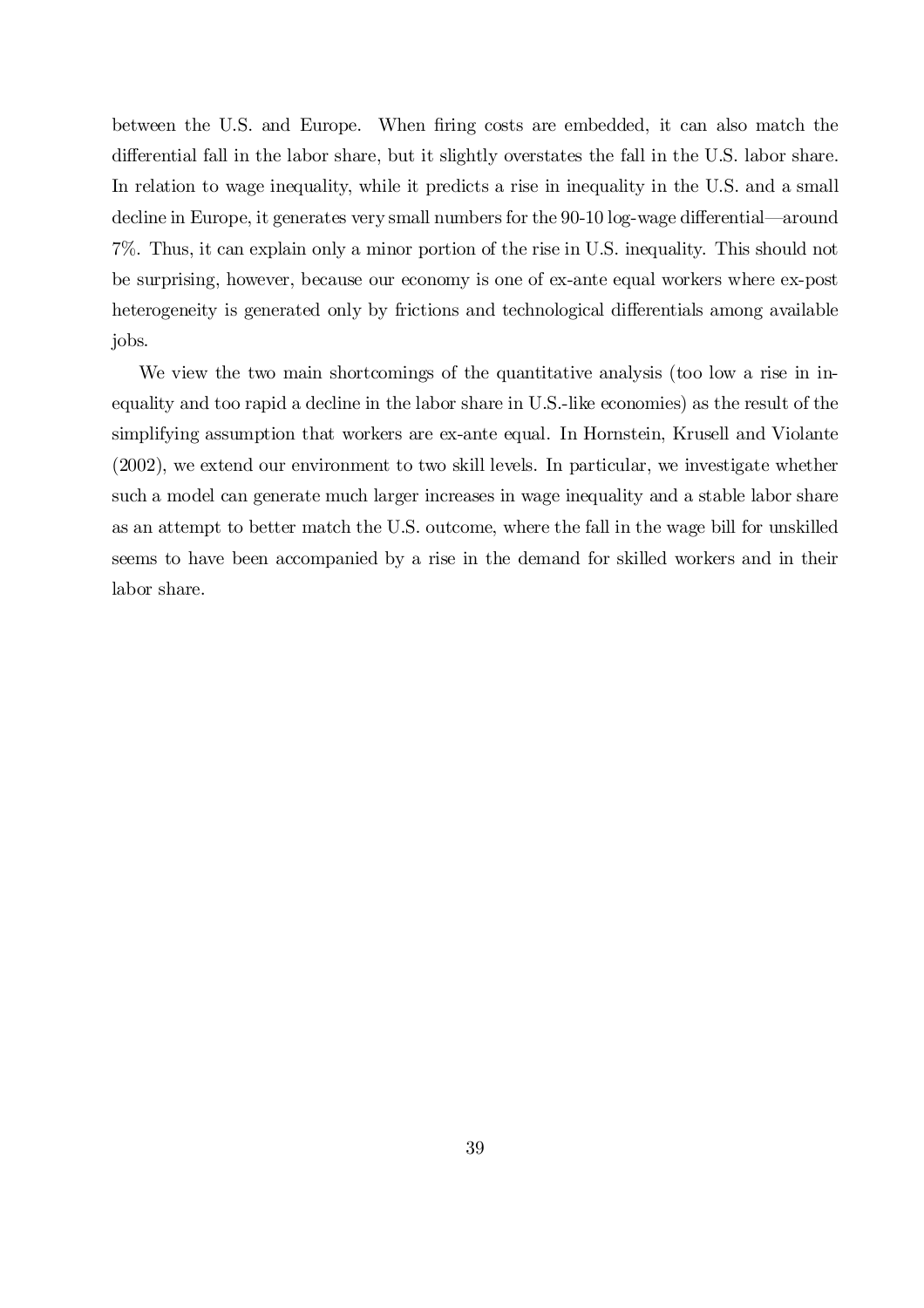between the U.S. and Europe. When firing costs are embedded, it can also match the differential fall in the labor share, but it slightly overstates the fall in the U.S. labor share. In relation to wage inequality, while it predicts a rise in inequality in the U.S. and a small decline in Europe, it generates very small numbers for the 90-10 log-wage differential—around 7%. Thus, it can explain only a minor portion of the rise in U.S. inequality. This should not be surprising, however, because our economy is one of ex-ante equal workers where ex-post heterogeneity is generated only by frictions and technological differentials among available jobs.

We view the two main shortcomings of the quantitative analysis (too low a rise in inequality and too rapid a decline in the labor share in U.S.-like economies) as the result of the simplifying assumption that workers are ex-ante equal. In Hornstein, Krusell and Violante (2002), we extend our environment to two skill levels. In particular, we investigate whether such a model can generate much larger increases in wage inequality and a stable labor share as an attempt to better match the U.S. outcome, where the fall in the wage bill for unskilled seems to have been accompanied by a rise in the demand for skilled workers and in their labor share.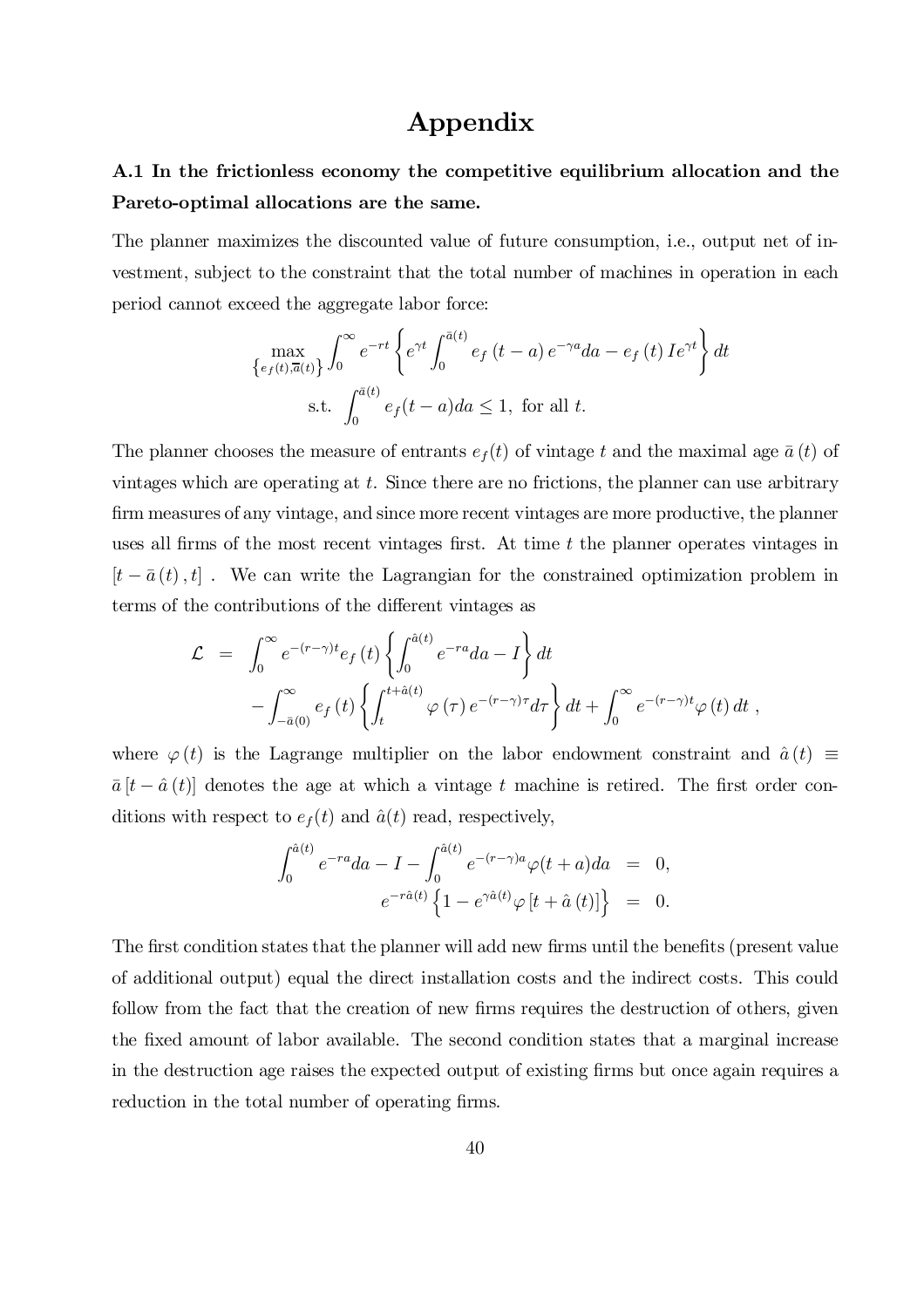# Appendix

## A.1 In the frictionless economy the competitive equilibrium allocation and the Pareto-optimal allocations are the same.

The planner maximizes the discounted value of future consumption, i.e., output net of investment, subject to the constraint that the total number of machines in operation in each period cannot exceed the aggregate labor force:

$$
\max_{\{e_f(t),\overline{a}(t)\}} \int_0^\infty e^{-rt} \left\{ e^{\gamma t} \int_0^{\overline{a}(t)} e_f(t-a) e^{-\gamma a} da - e_f(t) I e^{\gamma t} \right\} dt
$$
  
s.t. 
$$
\int_0^{\overline{a}(t)} e_f(t-a) da \le 1, \text{ for all } t.
$$

The planner chooses the measure of entrants  $e_t(t)$  of vintage t and the maximal age  $\bar{a}(t)$  of vintages which are operating at  $t$ . Since there are no frictions, the planner can use arbitrary firm measures of any vintage, and since more recent vintages are more productive, the planner uses all firms of the most recent vintages first. At time  $t$  the planner operates vintages in  $[t - \bar{a}(t), t]$ . We can write the Lagrangian for the constrained optimization problem in terms of the contributions of the different vintages as

$$
\mathcal{L} = \int_0^\infty e^{-(r-\gamma)t} e_f(t) \left\{ \int_0^{\hat{a}(t)} e^{-ra} da - I \right\} dt
$$
  
 
$$
- \int_{-\bar{a}(0)}^\infty e_f(t) \left\{ \int_t^{t+\hat{a}(t)} \varphi(\tau) e^{-(r-\gamma)\tau} d\tau \right\} dt + \int_0^\infty e^{-(r-\gamma)t} \varphi(t) dt ,
$$

where  $\varphi(t)$  is the Lagrange multiplier on the labor endowment constraint and  $\hat{a}(t) \equiv$  $\bar{a}$   $[t - \hat{a}(t)]$  denotes the age at which a vintage t machine is retired. The first order conditions with respect to  $e_f(t)$  and  $\hat{a}(t)$  read, respectively,

$$
\int_0^{\hat{a}(t)} e^{-ra} da - I - \int_0^{\hat{a}(t)} e^{-(r-\gamma)a} \varphi(t+a) da = 0,
$$
  

$$
e^{-r\hat{a}(t)} \left\{ 1 - e^{\gamma \hat{a}(t)} \varphi \left[ t + \hat{a}(t) \right] \right\} = 0.
$$

The first condition states that the planner will add new firms until the benefits (present value of additional output) equal the direct installation costs and the indirect costs. This could follow from the fact that the creation of new firms requires the destruction of others, given the fixed amount of labor available. The second condition states that a marginal increase in the destruction age raises the expected output of existing firms but once again requires a reduction in the total number of operating firms.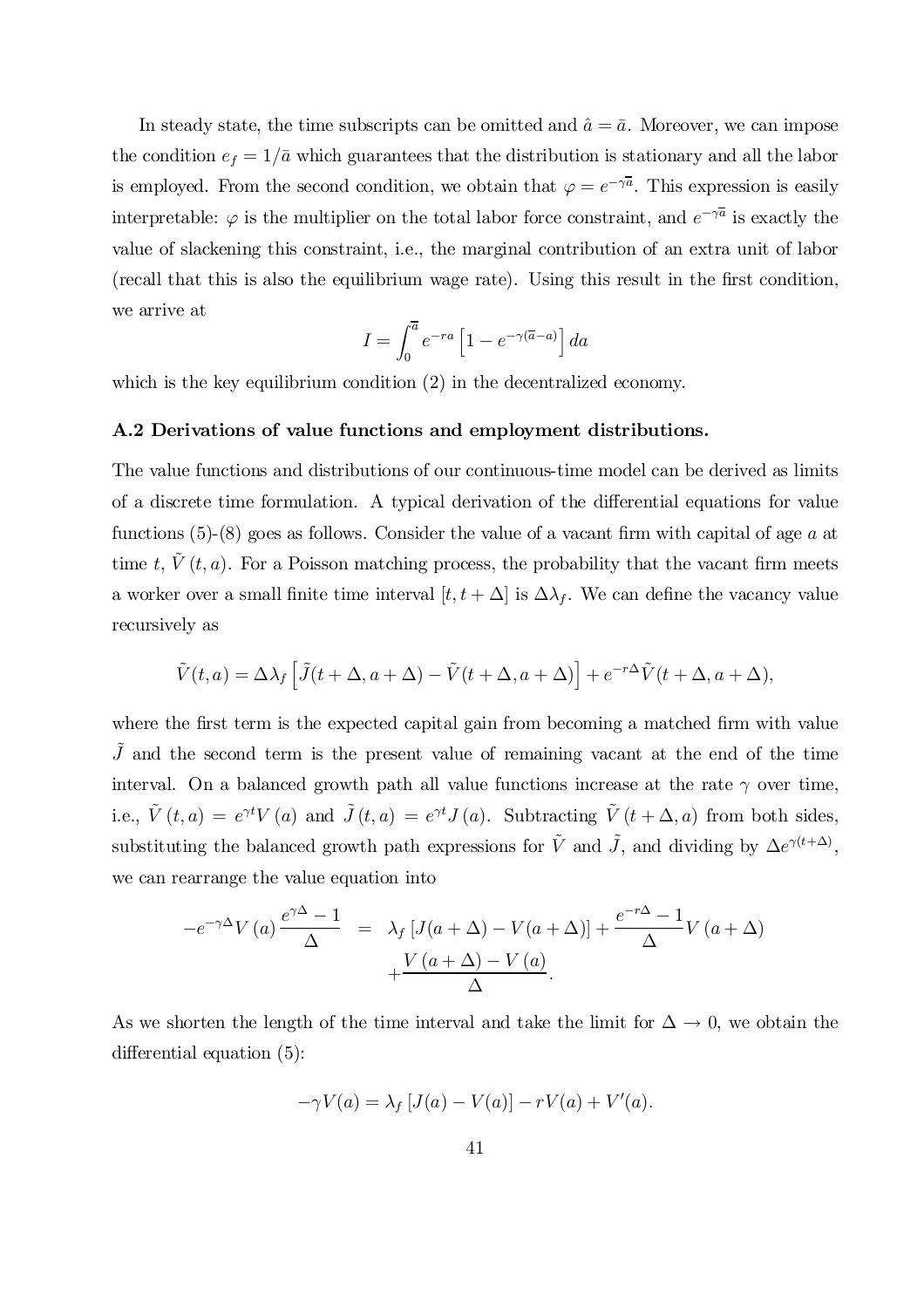In steady state, the time subscripts can be omitted and  $\hat{a} = \bar{a}$ . Moreover, we can impose the condition  $e_f = 1/\bar{a}$  which guarantees that the distribution is stationary and all the labor is employed. From the second condition, we obtain that  $\varphi = e^{-\gamma \overline{a}}$ . This expression is easily interpretable:  $\varphi$  is the multiplier on the total labor force constraint, and  $e^{-\gamma \overline{a}}$  is exactly the value of slackening this constraint, i.e., the marginal contribution of an extra unit of labor (recall that this is also the equilibrium wage rate). Using this result in the first condition, we arrive at

$$
I = \int_0^{\overline{a}} e^{-ra} \left[ 1 - e^{-\gamma(\overline{a}-a)} \right] da
$$

which is the key equilibrium condition  $(2)$  in the decentralized economy.

#### A.2 Derivations of value functions and employment distributions.

The value functions and distributions of our continuous-time model can be derived as limits of a discrete time formulation. A typical derivation of the differential equations for value functions  $(5)-(8)$  goes as follows. Consider the value of a vacant firm with capital of age a at time t,  $\tilde{V}(t, a)$ . For a Poisson matching process, the probability that the vacant firm meets a worker over a small finite time interval  $[t, t + \Delta]$  is  $\Delta \lambda_f$ . We can define the vacancy value recursively as

$$
\tilde{V}(t,a) = \Delta \lambda_f \left[ \tilde{J}(t + \Delta, a + \Delta) - \tilde{V}(t + \Delta, a + \Delta) \right] + e^{-r\Delta} \tilde{V}(t + \Delta, a + \Delta),
$$

where the first term is the expected capital gain from becoming a matched firm with value  $\tilde{J}$  and the second term is the present value of remaining vacant at the end of the time interval. On a balanced growth path all value functions increase at the rate  $\gamma$  over time, i.e.,  $\tilde{V}(t, a) = e^{\gamma t} V(a)$  and  $\tilde{J}(t, a) = e^{\gamma t} J(a)$ . Subtracting  $\tilde{V}(t + \Delta, a)$  from both sides, substituting the balanced growth path expressions for  $\tilde{V}$  and  $\tilde{J}$ , and dividing by  $\Delta e^{\gamma(t+\Delta)}$ , we can rearrange the value equation into

$$
-e^{-\gamma \Delta} V(a) \frac{e^{\gamma \Delta} - 1}{\Delta} = \lambda_f [J(a + \Delta) - V(a + \Delta)] + \frac{e^{-r\Delta} - 1}{\Delta} V(a + \Delta)
$$

$$
+ \frac{V(a + \Delta) - V(a)}{\Delta}.
$$

As we shorten the length of the time interval and take the limit for  $\Delta \to 0$ , we obtain the differential equation  $(5)$ :

$$
-\gamma V(a) = \lambda_f \left[ J(a) - V(a) \right] - rV(a) + V'(a).
$$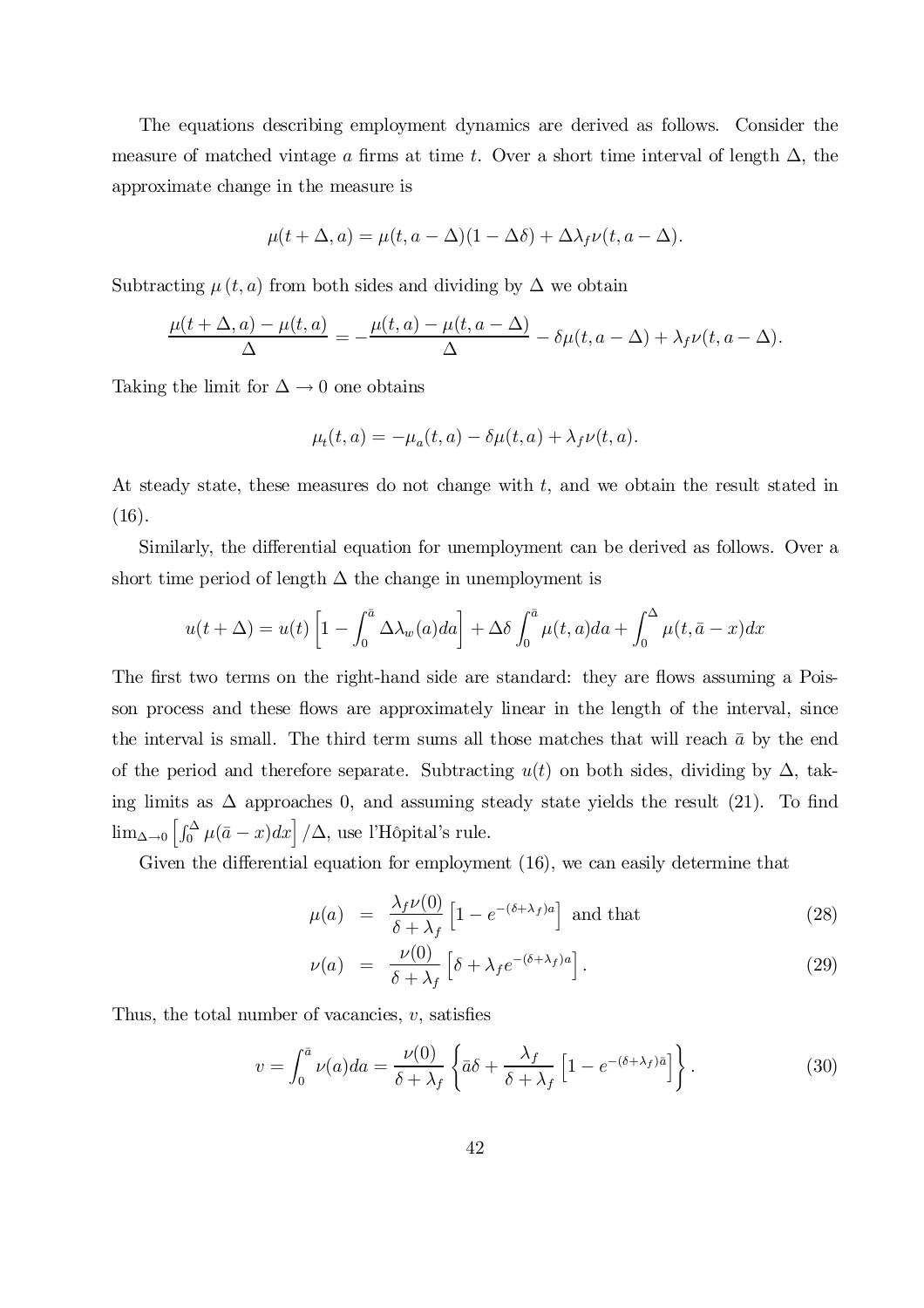The equations describing employment dynamics are derived as follows. Consider the measure of matched vintage a firms at time t. Over a short time interval of length  $\Delta$ , the approximate change in the measure is

$$
\mu(t+\Delta, a) = \mu(t, a - \Delta)(1 - \Delta\delta) + \Delta\lambda_f\nu(t, a - \Delta).
$$

Subtracting  $\mu(t, a)$  from both sides and dividing by  $\Delta$  we obtain

$$
\frac{\mu(t+\Delta,a)-\mu(t,a)}{\Delta}=-\frac{\mu(t,a)-\mu(t,a-\Delta)}{\Delta}-\delta\mu(t,a-\Delta)+\lambda_f\nu(t,a-\Delta).
$$

Taking the limit for  $\Delta \to 0$  one obtains

$$
\mu_t(t,a) = -\mu_a(t,a) - \delta\mu(t,a) + \lambda_f\nu(t,a).
$$

At steady state, these measures do not change with t, and we obtain the result stated in  $(16).$ 

Similarly, the differential equation for unemployment can be derived as follows. Over a short time period of length  $\Delta$  the change in unemployment is

$$
u(t + \Delta) = u(t) \left[ 1 - \int_0^{\bar{a}} \Delta \lambda_w(a) da \right] + \Delta \delta \int_0^{\bar{a}} \mu(t, a) da + \int_0^{\Delta} \mu(t, \bar{a} - x) dx
$$

The first two terms on the right-hand side are standard: they are flows assuming a Poisson process and these flows are approximately linear in the length of the interval, since the interval is small. The third term sums all those matches that will reach  $\bar{a}$  by the end of the period and therefore separate. Subtracting  $u(t)$  on both sides, dividing by  $\Delta$ , taking limits as  $\Delta$  approaches 0, and assuming steady state yields the result (21). To find  $\lim_{\Delta \to 0} \left[ \int_0^{\Delta} \mu(\bar{a} - x) dx \right] / \Delta$ , use l'Hôpital's rule.

Given the differential equation for employment  $(16)$ , we can easily determine that

$$
\mu(a) = \frac{\lambda_f \nu(0)}{\delta + \lambda_f} \left[ 1 - e^{-(\delta + \lambda_f)a} \right] \text{ and that}
$$
\n(28)

$$
\nu(a) = \frac{\nu(0)}{\delta + \lambda_f} \left[ \delta + \lambda_f e^{-(\delta + \lambda_f)a} \right]. \tag{29}
$$

Thus, the total number of vacancies,  $v$ , satisfies

$$
v = \int_0^{\bar{a}} \nu(a)da = \frac{\nu(0)}{\delta + \lambda_f} \left\{ \bar{a}\delta + \frac{\lambda_f}{\delta + \lambda_f} \left[ 1 - e^{-(\delta + \lambda_f)\bar{a}} \right] \right\}.
$$
 (30)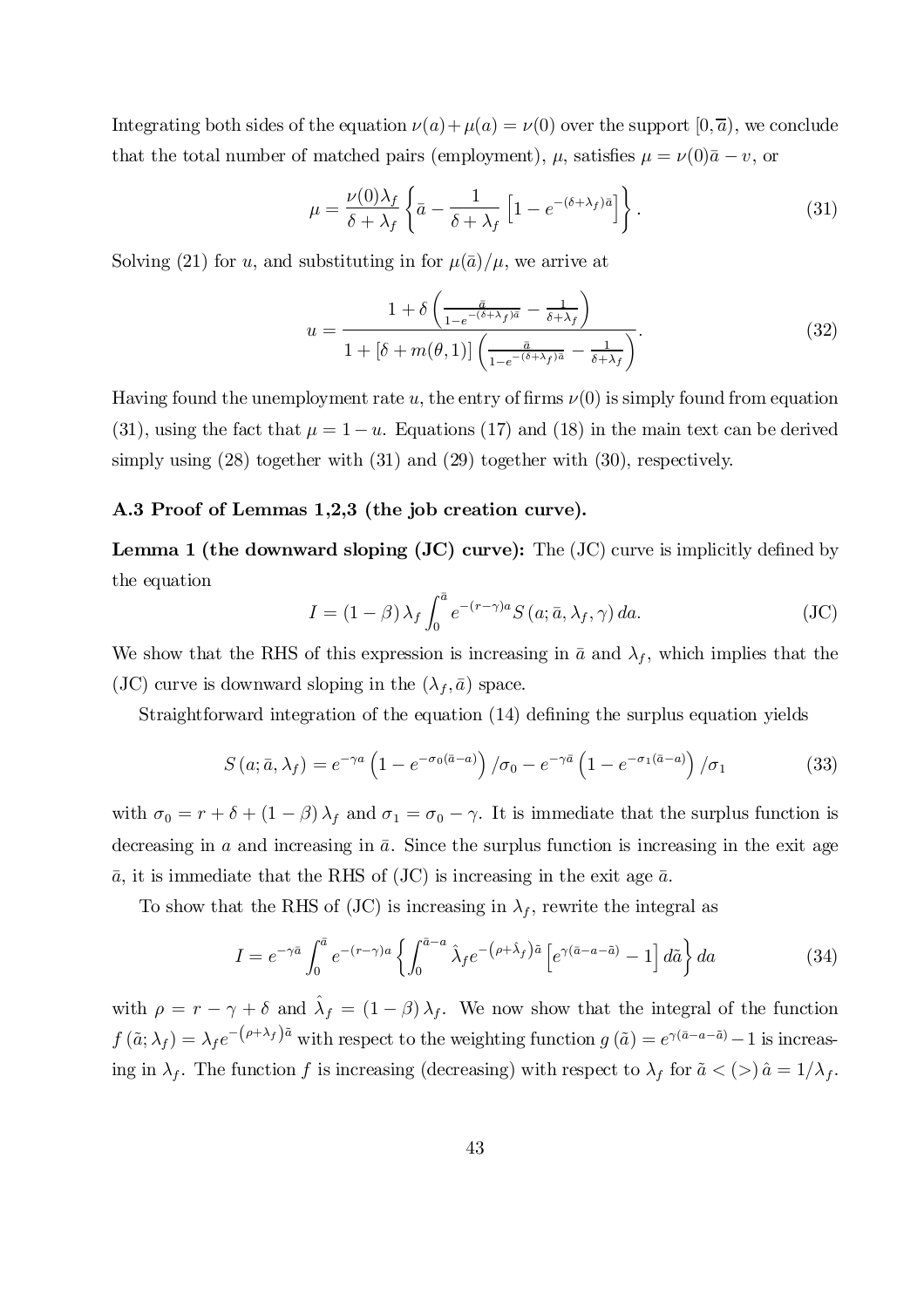Integrating both sides of the equation  $\nu(a) + \mu(a) = \nu(0)$  over the support  $[0, \overline{a})$ , we conclude that the total number of matched pairs (employment),  $\mu$ , satisfies  $\mu = \nu(0)\bar{a} - v$ , or

$$
\mu = \frac{\nu(0)\lambda_f}{\delta + \lambda_f} \left\{ \bar{a} - \frac{1}{\delta + \lambda_f} \left[ 1 - e^{-(\delta + \lambda_f)\bar{a}} \right] \right\}.
$$
\n(31)

Solving (21) for u, and substituting in for  $\mu(\bar{a})/\mu$ , we arrive at

$$
u = \frac{1 + \delta \left( \frac{\bar{a}}{1 - e^{-(\delta + \lambda_f)\bar{a}}} - \frac{1}{\delta + \lambda_f} \right)}{1 + [\delta + m(\theta, 1)] \left( \frac{\bar{a}}{1 - e^{-(\delta + \lambda_f)\bar{a}}} - \frac{1}{\delta + \lambda_f} \right)}.
$$
(32)

Having found the unemployment rate u, the entry of firms  $\nu(0)$  is simply found from equation (31), using the fact that  $\mu = 1 - u$ . Equations (17) and (18) in the main text can be derived simply using (28) together with (31) and (29) together with (30), respectively.

#### A.3 Proof of Lemmas 1,2,3 (the job creation curve).

**Lemma 1 (the downward sloping (JC) curve):** The  $JC)$  curve is implicitly defined by the equation

$$
I = (1 - \beta) \lambda_f \int_0^{\bar{a}} e^{-(r - \gamma)a} S(a; \bar{a}, \lambda_f, \gamma) da.
$$
 (JC)

We show that the RHS of this expression is increasing in  $\bar{a}$  and  $\lambda_f$ , which implies that the (JC) curve is downward sloping in the  $(\lambda_f, \bar{a})$  space.

Straightforward integration of the equation  $(14)$  defining the surplus equation yields

$$
S\left(a; \bar{a}, \lambda_f\right) = e^{-\gamma a} \left(1 - e^{-\sigma_0(\bar{a}-a)}\right) / \sigma_0 - e^{-\gamma \bar{a}} \left(1 - e^{-\sigma_1(\bar{a}-a)}\right) / \sigma_1 \tag{33}
$$

with  $\sigma_0 = r + \delta + (1 - \beta) \lambda_f$  and  $\sigma_1 = \sigma_0 - \gamma$ . It is immediate that the surplus function is decreasing in a and increasing in  $\bar{a}$ . Since the surplus function is increasing in the exit age  $\bar{a}$ , it is immediate that the RHS of (JC) is increasing in the exit age  $\bar{a}$ .

To show that the RHS of (JC) is increasing in  $\lambda_f$ , rewrite the integral as

$$
I = e^{-\gamma \bar{a}} \int_0^{\bar{a}} e^{-(r-\gamma)a} \left\{ \int_0^{\bar{a}-a} \hat{\lambda}_f e^{-(\rho+\hat{\lambda}_f)\tilde{a}} \left[ e^{\gamma(\bar{a}-a-\tilde{a})} - 1 \right] d\tilde{a} \right\} da \tag{34}
$$

with  $\rho = r - \gamma + \delta$  and  $\hat{\lambda}_f = (1 - \beta) \lambda_f$ . We now show that the integral of the function  $f(\tilde{a}; \lambda_f) = \lambda_f e^{-(\rho + \lambda_f)\tilde{a}}$  with respect to the weighting function  $g(\tilde{a}) = e^{\gamma(\tilde{a} - a - \tilde{a})} - 1$  is increasing in  $\lambda_f$ . The function f is increasing (decreasing) with respect to  $\lambda_f$  for  $\tilde{a} < (>) \hat{a} = 1/\lambda_f$ .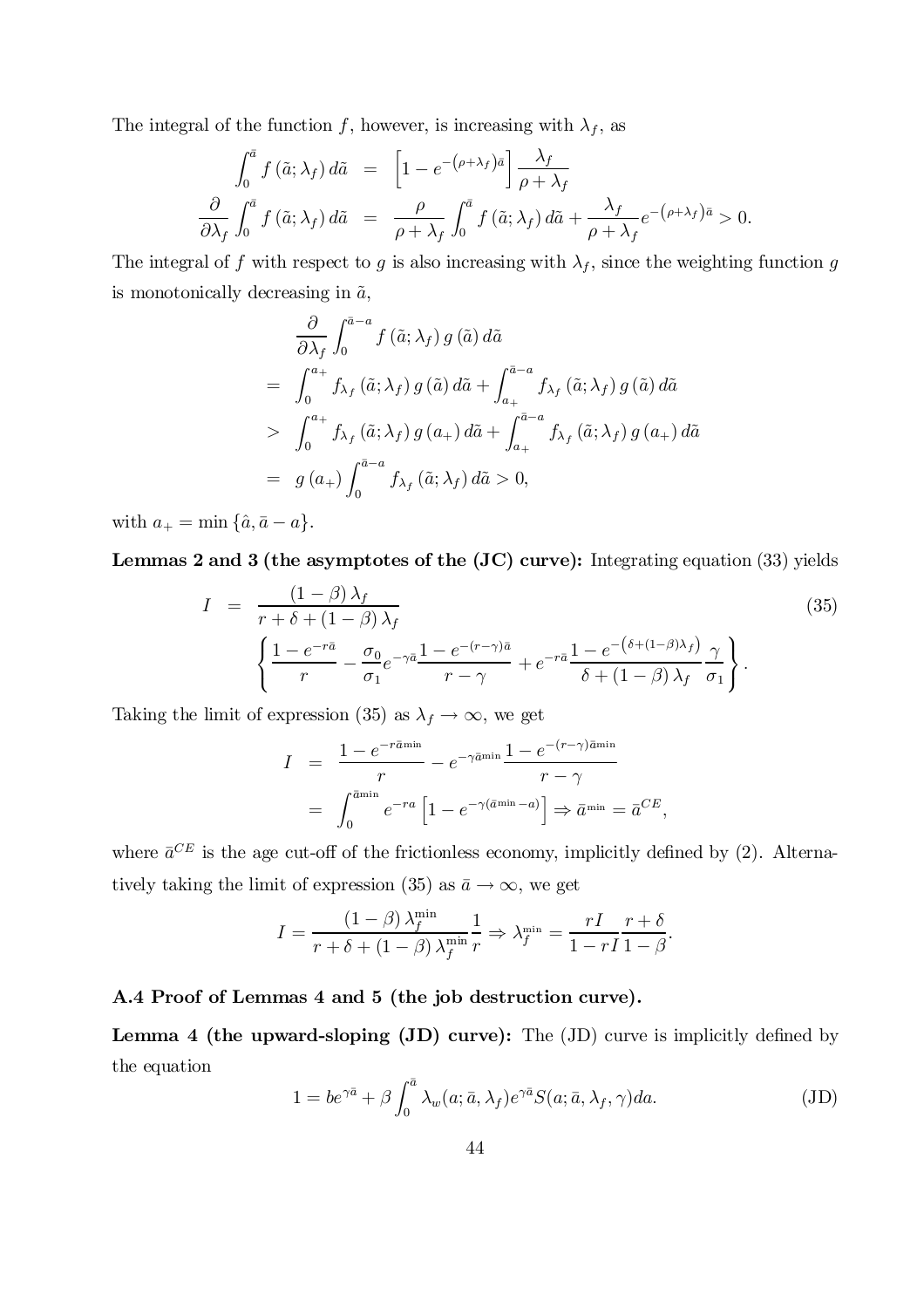The integral of the function f, however, is increasing with  $\lambda_f$ , as

$$
\int_0^{\bar{a}} f(\tilde{a}; \lambda_f) d\tilde{a} = \left[1 - e^{-(\rho + \lambda_f)\bar{a}}\right] \frac{\lambda_f}{\rho + \lambda_f}
$$

$$
\frac{\partial}{\partial \lambda_f} \int_0^{\bar{a}} f(\tilde{a}; \lambda_f) d\tilde{a} = \frac{\rho}{\rho + \lambda_f} \int_0^{\bar{a}} f(\tilde{a}; \lambda_f) d\tilde{a} + \frac{\lambda_f}{\rho + \lambda_f} e^{-(\rho + \lambda_f)\bar{a}} > 0.
$$

The integral of f with respect to g is also increasing with  $\lambda_f$ , since the weighting function g is monotonically decreasing in  $\tilde{a}$ ,

$$
\frac{\partial}{\partial \lambda_f} \int_0^{\bar{a}-a} f(\tilde{a}; \lambda_f) g(\tilde{a}) d\tilde{a}
$$
\n
$$
= \int_0^{a_+} f_{\lambda_f}(\tilde{a}; \lambda_f) g(\tilde{a}) d\tilde{a} + \int_{a_+}^{\bar{a}-a} f_{\lambda_f}(\tilde{a}; \lambda_f) g(\tilde{a}) d\tilde{a}
$$
\n
$$
> \int_0^{a_+} f_{\lambda_f}(\tilde{a}; \lambda_f) g(a_+) d\tilde{a} + \int_{a_+}^{\bar{a}-a} f_{\lambda_f}(\tilde{a}; \lambda_f) g(a_+) d\tilde{a}
$$
\n
$$
= g(a_+) \int_0^{\bar{a}-a} f_{\lambda_f}(\tilde{a}; \lambda_f) d\tilde{a} > 0,
$$

with  $a_+ = \min \{\hat{a}, \bar{a} - a\}.$ 

Lemmas 2 and 3 (the asymptotes of the (JC) curve): Integrating equation (33) yields

$$
I = \frac{\left(1-\beta\right)\lambda_f}{r+\delta+\left(1-\beta\right)\lambda_f}
$$
\n
$$
\left\{\frac{1-e^{-r\bar{a}}}{r}-\frac{\sigma_0}{\sigma_1}e^{-\gamma\bar{a}}\frac{1-e^{-(r-\gamma)\bar{a}}}{r-\gamma}+e^{-r\bar{a}}\frac{1-e^{-\left(\delta+\left(1-\beta\right)\lambda_f\right)}}{\delta+\left(1-\beta\right)\lambda_f}\frac{\gamma}{\sigma_1}\right\}.
$$
\n
$$
(35)
$$

Taking the limit of expression (35) as  $\lambda_f \to \infty$ , we get

$$
I = \frac{1 - e^{-r\bar{a}^{\min}}}{r} - e^{-\gamma \bar{a}^{\min}} \frac{1 - e^{-(r-\gamma)\bar{a}^{\min}}}{r - \gamma}
$$
  
= 
$$
\int_0^{\bar{a}^{\min}} e^{-ra} \left[ 1 - e^{-\gamma(\bar{a}^{\min} - a)} \right] \Rightarrow \bar{a}^{\min} = \bar{a}^{CE},
$$

where  $\bar{a}^{CE}$  is the age cut-off of the frictionless economy, implicitly defined by (2). Alternatively taking the limit of expression (35) as  $\bar{a} \to \infty$ , we get

$$
I = \frac{(1-\beta)\lambda_f^{\min}}{r+\delta + (1-\beta)\lambda_f^{\min}} \frac{1}{r} \Rightarrow \lambda_f^{\min} = \frac{rI}{1-rI} \frac{r+\delta}{1-\beta}.
$$

### A.4 Proof of Lemmas 4 and 5 (the job destruction curve).

Lemma 4 (the upward-sloping  $J(D)$  curve): The  $J(D)$  curve is implicitly defined by the equation

$$
1 = be^{\gamma \bar{a}} + \beta \int_0^{\bar{a}} \lambda_w(a; \bar{a}, \lambda_f) e^{\gamma \bar{a}} S(a; \bar{a}, \lambda_f, \gamma) da.
$$
 (JD)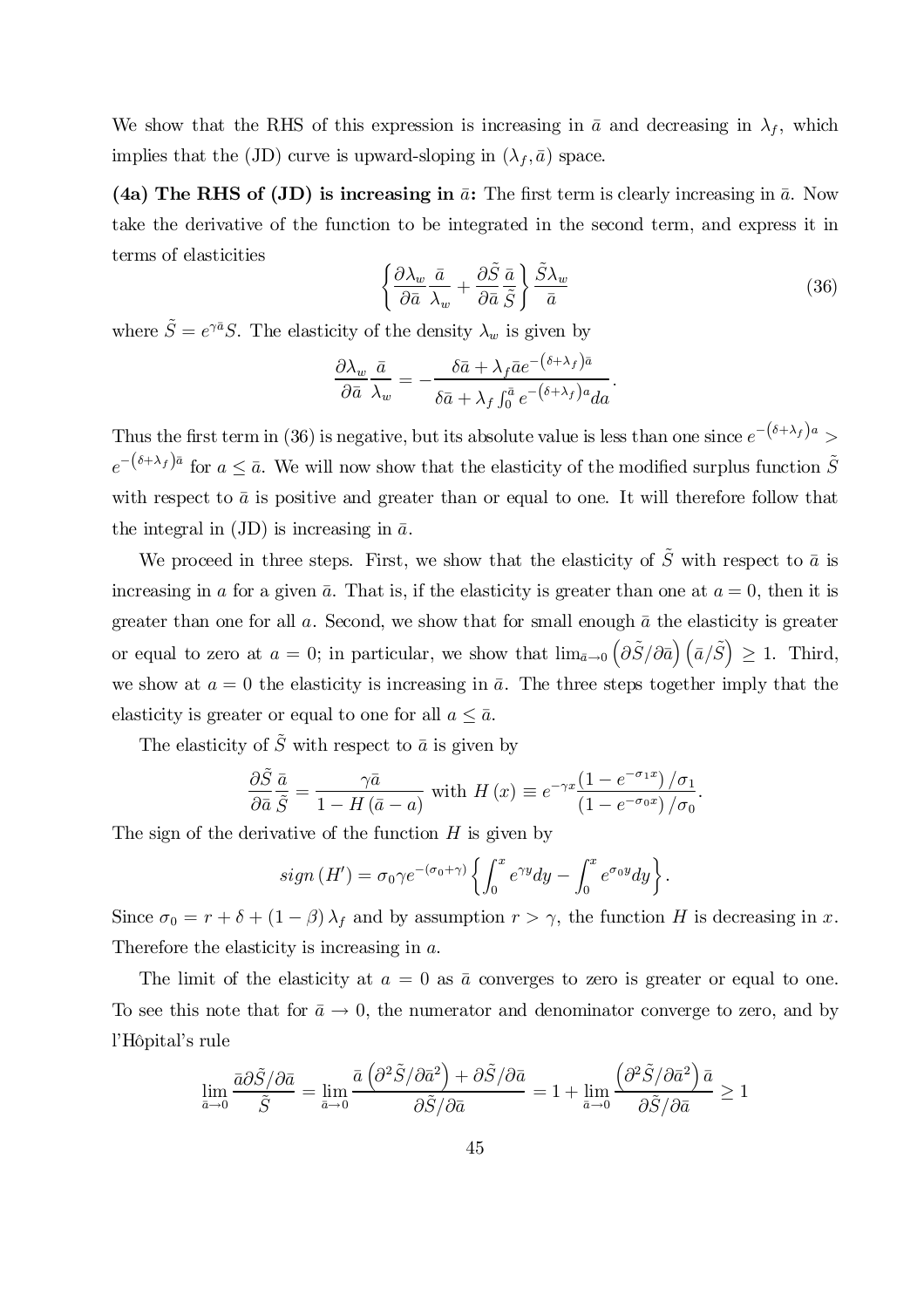We show that the RHS of this expression is increasing in  $\bar{a}$  and decreasing in  $\lambda_f$ , which implies that the (JD) curve is upward-sloping in  $(\lambda_f, \bar{a})$  space.

(4a) The RHS of (JD) is increasing in  $\bar{a}$ : The first term is clearly increasing in  $\bar{a}$ . Now take the derivative of the function to be integrated in the second term, and express it in terms of elasticities

$$
\left\{\frac{\partial \lambda_w}{\partial \bar{a}} \frac{\bar{a}}{\lambda_w} + \frac{\partial \tilde{S}}{\partial \bar{a}} \frac{\bar{a}}{\tilde{S}}\right\} \frac{\tilde{S} \lambda_w}{\bar{a}}\n\tag{36}
$$

where  $\tilde{S} = e^{\gamma \bar{a}} S$ . The elasticity of the density  $\lambda_w$  is given by

$$
\frac{\partial \lambda_w}{\partial \bar{a}} \frac{\bar{a}}{\lambda_w} = -\frac{\delta \bar{a} + \lambda_f \bar{a} e^{-\left(\delta + \lambda_f\right) \bar{a}}}{\delta \bar{a} + \lambda_f \int_0^{\bar{a}} e^{-\left(\delta + \lambda_f\right) a} da}.
$$

Thus the first term in (36) is negative, but its absolute value is less than one since  $e^{-(\delta+\lambda_f)a}$  $e^{-(\delta+\lambda_f)\bar{a}}$  for  $a \leq \bar{a}$ . We will now show that the elasticity of the modified surplus function  $\tilde{S}$ with respect to  $\bar{a}$  is positive and greater than or equal to one. It will therefore follow that the integral in (JD) is increasing in  $\bar{a}$ .

We proceed in three steps. First, we show that the elasticity of  $\tilde{S}$  with respect to  $\bar{a}$  is increasing in a for a given  $\bar{a}$ . That is, if the elasticity is greater than one at  $a = 0$ , then it is greater than one for all  $a$ . Second, we show that for small enough  $\bar{a}$  the elasticity is greater or equal to zero at  $a=0$ ; in particular, we show that  $\lim_{\bar{a}\to 0} \left( \frac{\partial \tilde{S}}{\partial \bar{a}} \right) \left( \bar{a}/\tilde{S} \right) \geq 1$ . Third, we show at  $a = 0$  the elasticity is increasing in  $\bar{a}$ . The three steps together imply that the elasticity is greater or equal to one for all  $a \leq \bar{a}$ .

The elasticity of  $\tilde{S}$  with respect to  $\bar{a}$  is given by

$$
\frac{\partial \tilde{S}}{\partial \bar{a}} \frac{\bar{a}}{\tilde{S}} = \frac{\gamma \bar{a}}{1 - H(\bar{a} - a)} \text{ with } H(x) \equiv e^{-\gamma x} \frac{\left(1 - e^{-\sigma_1 x}\right)/\sigma_1}{\left(1 - e^{-\sigma_0 x}\right)/\sigma_0}.
$$

The sign of the derivative of the function  $H$  is given by

$$
sign(H') = \sigma_0 \gamma e^{-(\sigma_0 + \gamma)} \left\{ \int_0^x e^{\gamma y} dy - \int_0^x e^{\sigma_0 y} dy \right\}.
$$

Since  $\sigma_0 = r + \delta + (1 - \beta) \lambda_f$  and by assumption  $r > \gamma$ , the function H is decreasing in x. Therefore the elasticity is increasing in a.

The limit of the elasticity at  $a = 0$  as  $\bar{a}$  converges to zero is greater or equal to one. To see this note that for  $\bar{a} \to 0$ , the numerator and denominator converge to zero, and by l'Hôpital's rule

$$
\lim_{\bar{a}\to 0}\frac{\bar{a}\partial\tilde{S}/\partial\bar{a}}{\tilde{S}}=\lim_{\bar{a}\to 0}\frac{\bar{a}\left(\partial^2\tilde{S}/\partial\bar{a}^2\right)+\partial\tilde{S}/\partial\bar{a}}{\partial\tilde{S}/\partial\bar{a}}=1+\lim_{\bar{a}\to 0}\frac{\left(\partial^2\tilde{S}/\partial\bar{a}^2\right)\bar{a}}{\partial\tilde{S}/\partial\bar{a}}\geq 1
$$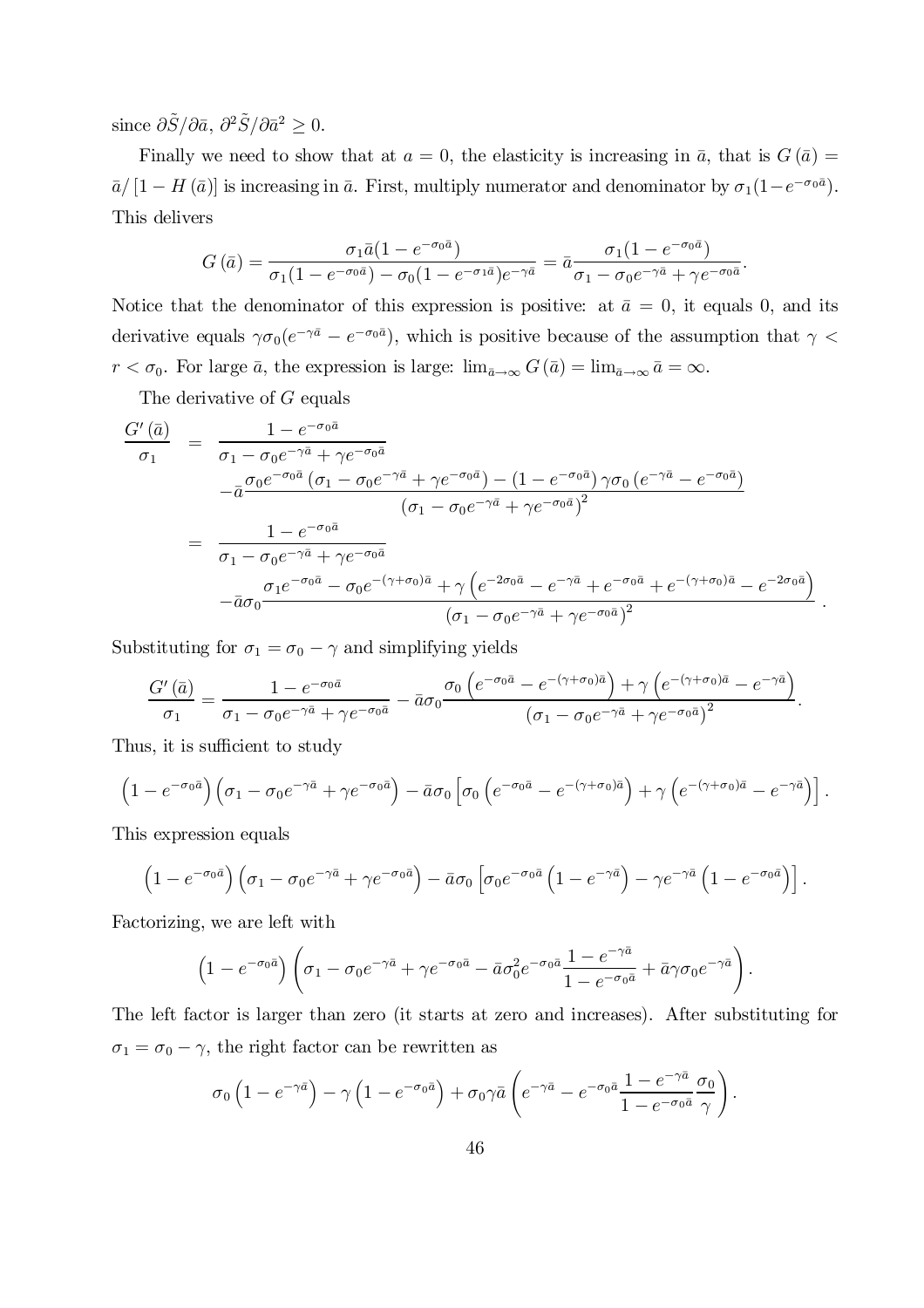since  $\partial \tilde{S}/\partial \bar{a}$ ,  $\partial^2 \tilde{S}/\partial \bar{a}^2 \geq 0$ .

Finally we need to show that at  $a = 0$ , the elasticity is increasing in  $\bar{a}$ , that is  $G(\bar{a}) =$  $\bar{a}/[1-H(\bar{a})]$  is increasing in  $\bar{a}$ . First, multiply numerator and denominator by  $\sigma_1(1-e^{-\sigma_0\bar{a}})$ . This delivers

$$
G\left(\bar{a}\right) = \frac{\sigma_1\bar{a}(1 - e^{-\sigma_0\bar{a}})}{\sigma_1(1 - e^{-\sigma_0\bar{a}}) - \sigma_0(1 - e^{-\sigma_1\bar{a}})e^{-\gamma\bar{a}}} = \bar{a}\frac{\sigma_1(1 - e^{-\sigma_0\bar{a}})}{\sigma_1 - \sigma_0e^{-\gamma\bar{a}} + \gamma e^{-\sigma_0\bar{a}}}.
$$

Notice that the denominator of this expression is positive: at  $\bar{a} = 0$ , it equals 0, and its derivative equals  $\gamma \sigma_0 (e^{-\gamma \bar{a}} - e^{-\sigma_0 \bar{a}})$ , which is positive because of the assumption that  $\gamma$  <  $r < \sigma_0$ . For large  $\bar{a}$ , the expression is large:  $\lim_{\bar{a}\to\infty} G(\bar{a}) = \lim_{\bar{a}\to\infty} \bar{a} = \infty$ .

The derivative of G equals

$$
\frac{G'(\bar{a})}{\sigma_1} = \frac{1 - e^{-\sigma_0 \bar{a}}}{\sigma_1 - \sigma_0 e^{-\gamma \bar{a}} + \gamma e^{-\sigma_0 \bar{a}}}
$$
\n
$$
- \bar{a} \frac{\sigma_0 e^{-\sigma_0 \bar{a}} (\sigma_1 - \sigma_0 e^{-\gamma \bar{a}} + \gamma e^{-\sigma_0 \bar{a}}) - (1 - e^{-\sigma_0 \bar{a}}) \gamma \sigma_0 (e^{-\gamma \bar{a}} - e^{-\sigma_0 \bar{a}})}{(\sigma_1 - \sigma_0 e^{-\gamma \bar{a}} + \gamma e^{-\sigma_0 \bar{a}})^2}
$$
\n
$$
= \frac{1 - e^{-\sigma_0 \bar{a}}}{\sigma_1 - \sigma_0 e^{-\gamma \bar{a}} + \gamma e^{-\sigma_0 \bar{a}}}
$$
\n
$$
- \bar{a} \sigma_0 \frac{\sigma_1 e^{-\sigma_0 \bar{a}} - \sigma_0 e^{-(\gamma + \sigma_0) \bar{a}} + \gamma (e^{-2\sigma_0 \bar{a}} - e^{-\gamma \bar{a}} + e^{-\sigma_0 \bar{a}} + e^{-(\gamma + \sigma_0) \bar{a}} - e^{-2\sigma_0 \bar{a}})}{(\sigma_1 - \sigma_0 e^{-\gamma \bar{a}} + \gamma e^{-\sigma_0 \bar{a}})^2}.
$$

Substituting for  $\sigma_1 = \sigma_0 - \gamma$  and simplifying yields

$$
\frac{G'(\bar{a})}{\sigma_1} = \frac{1 - e^{-\sigma_0 \bar{a}}}{\sigma_1 - \sigma_0 e^{-\gamma \bar{a}} + \gamma e^{-\sigma_0 \bar{a}}} - \bar{a}\sigma_0 \frac{\sigma_0 \left(e^{-\sigma_0 \bar{a}} - e^{-(\gamma + \sigma_0)\bar{a}}\right) + \gamma \left(e^{-(\gamma + \sigma_0)\bar{a}} - e^{-\gamma \bar{a}}\right)}{(\sigma_1 - \sigma_0 e^{-\gamma \bar{a}} + \gamma e^{-\sigma_0 \bar{a}})^2}.
$$

Thus, it is sufficient to study

$$
\left(1 - e^{-\sigma_0 \bar{a}}\right) \left(\sigma_1 - \sigma_0 e^{-\gamma \bar{a}} + \gamma e^{-\sigma_0 \bar{a}}\right) - \bar{a}\sigma_0 \left[\sigma_0 \left(e^{-\sigma_0 \bar{a}} - e^{-(\gamma + \sigma_0)\bar{a}}\right) + \gamma \left(e^{-(\gamma + \sigma_0)\bar{a}} - e^{-\gamma \bar{a}}\right)\right].
$$

This expression equals

$$
\left(1 - e^{-\sigma_0 \bar{a}}\right) \left(\sigma_1 - \sigma_0 e^{-\gamma \bar{a}} + \gamma e^{-\sigma_0 \bar{a}}\right) - \bar{a}\sigma_0 \left[\sigma_0 e^{-\sigma_0 \bar{a}} \left(1 - e^{-\gamma \bar{a}}\right) - \gamma e^{-\gamma \bar{a}} \left(1 - e^{-\sigma_0 \bar{a}}\right)\right].
$$

Factorizing, we are left with

$$
\left(1 - e^{-\sigma_0 \bar{a}}\right) \left(\sigma_1 - \sigma_0 e^{-\gamma \bar{a}} + \gamma e^{-\sigma_0 \bar{a}} - \bar{a} \sigma_0^2 e^{-\sigma_0 \bar{a}} \frac{1 - e^{-\gamma \bar{a}}}{1 - e^{-\sigma_0 \bar{a}}} + \bar{a} \gamma \sigma_0 e^{-\gamma \bar{a}}\right).
$$

The left factor is larger than zero (it starts at zero and increases). After substituting for  $\sigma_1 = \sigma_0 - \gamma$ , the right factor can be rewritten as

$$
\sigma_0 \left( 1 - e^{-\gamma \bar{a}} \right) - \gamma \left( 1 - e^{-\sigma_0 \bar{a}} \right) + \sigma_0 \gamma \bar{a} \left( e^{-\gamma \bar{a}} - e^{-\sigma_0 \bar{a}} \frac{1 - e^{-\gamma \bar{a}}}{1 - e^{-\sigma_0 \bar{a}}} \frac{\sigma_0}{\gamma} \right).
$$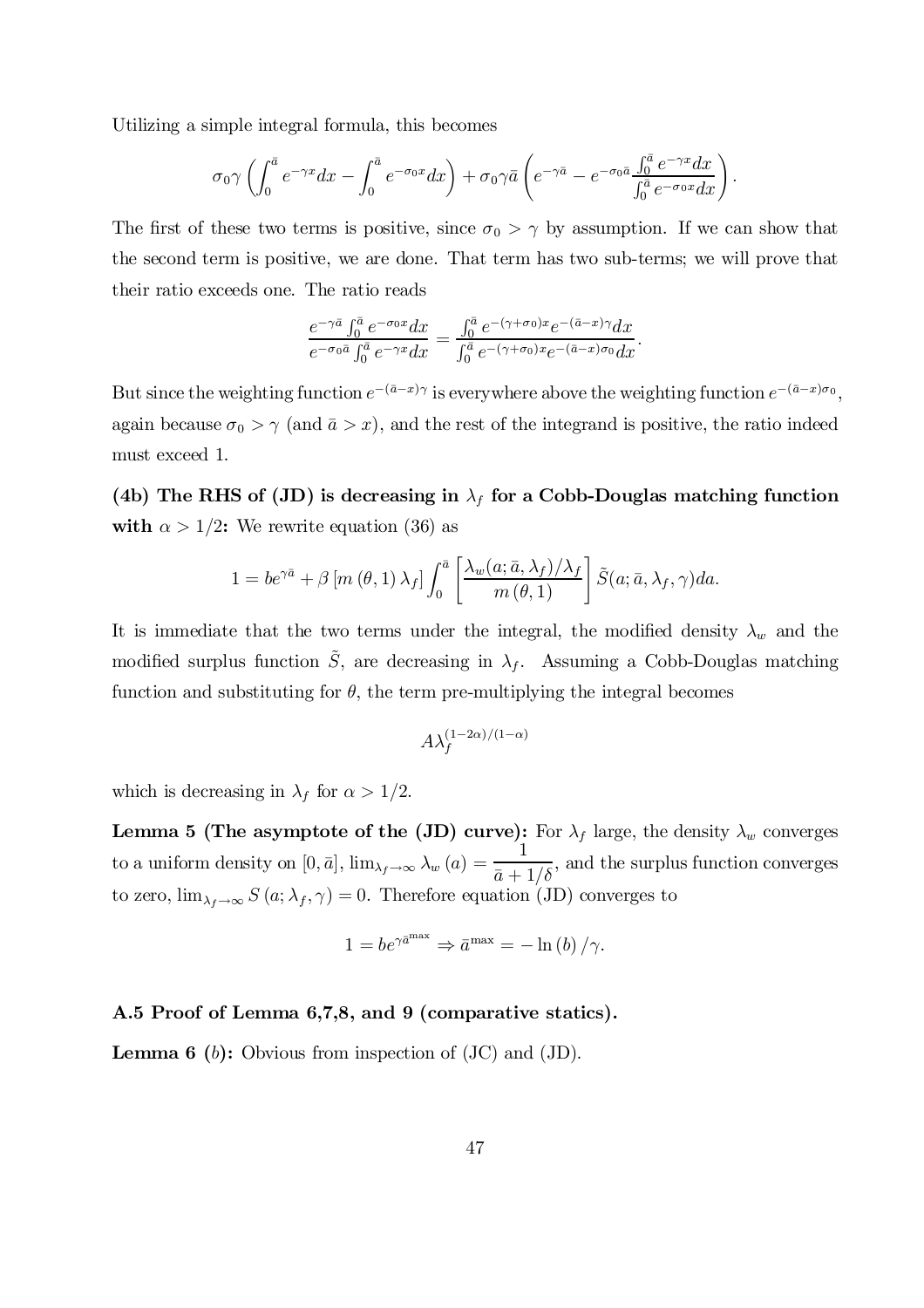Utilizing a simple integral formula, this becomes

$$
\sigma_0 \gamma \left( \int_0^{\bar{a}} e^{-\gamma x} dx - \int_0^{\bar{a}} e^{-\sigma_0 x} dx \right) + \sigma_0 \gamma \bar{a} \left( e^{-\gamma \bar{a}} - e^{-\sigma_0 \bar{a}} \frac{\int_0^{\bar{a}} e^{-\gamma x} dx}{\int_0^{\bar{a}} e^{-\sigma_0 x} dx} \right).
$$

The first of these two terms is positive, since  $\sigma_0 > \gamma$  by assumption. If we can show that the second term is positive, we are done. That term has two sub-terms; we will prove that their ratio exceeds one. The ratio reads

$$
\frac{e^{-\gamma\bar{a}}\int_0^{\bar{a}}e^{-\sigma_0x}dx}{e^{-\sigma_0\bar{a}}\int_0^{\bar{a}}e^{-\gamma x}dx}=\frac{\int_0^{\bar{a}}e^{-(\gamma+\sigma_0)x}e^{-(\bar{a}-x)\gamma}dx}{\int_0^{\bar{a}}e^{-(\gamma+\sigma_0)x}e^{-(\bar{a}-x)\sigma_0}dx}.
$$

But since the weighting function  $e^{-(\bar{a}-x)\gamma}$  is everywhere above the weighting function  $e^{-(\bar{a}-x)\sigma_0}$ , again because  $\sigma_0 > \gamma$  (and  $\bar{a} > x$ ), and the rest of the integrand is positive, the ratio indeed must exceed 1.

(4b) The RHS of (JD) is decreasing in  $\lambda_f$  for a Cobb-Douglas matching function with  $\alpha > 1/2$ : We rewrite equation (36) as

$$
1 = be^{\gamma \bar{a}} + \beta [m (\theta, 1) \lambda_f] \int_0^{\bar{a}} \left[ \frac{\lambda_w(a; \bar{a}, \lambda_f)/\lambda_f}{m (\theta, 1)} \right] \tilde{S}(a; \bar{a}, \lambda_f, \gamma) da.
$$

It is immediate that the two terms under the integral, the modified density  $\lambda_w$  and the modified surplus function  $\tilde{S}$ , are decreasing in  $\lambda_f$ . Assuming a Cobb-Douglas matching function and substituting for  $\theta$ , the term pre-multiplying the integral becomes

$$
A \lambda_f^{(1-2\alpha)/(1-\alpha)}
$$

which is decreasing in  $\lambda_f$  for  $\alpha > 1/2$ .

Lemma 5 (The asymptote of the (JD) curve): For  $\lambda_f$  large, the density  $\lambda_w$  converges to a uniform density on  $[0, \bar{a}], \lim_{\lambda_f \to \infty} \lambda_w (a) =$ 1  $\bar{a}+1/\delta$ , and the surplus function converges to zero,  $\lim_{\lambda_f \to \infty} S(a; \lambda_f, \gamma) = 0$ . Therefore equation (JD) converges to

$$
1 = be^{\gamma \bar{a}^{\max}} \Rightarrow \bar{a}^{\max} = -\ln(b)/\gamma.
$$

### A.5 Proof of Lemma 6,7,8, and 9 (comparative statics).

**Lemma 6** (b): Obvious from inspection of  $(JC)$  and  $(JD)$ .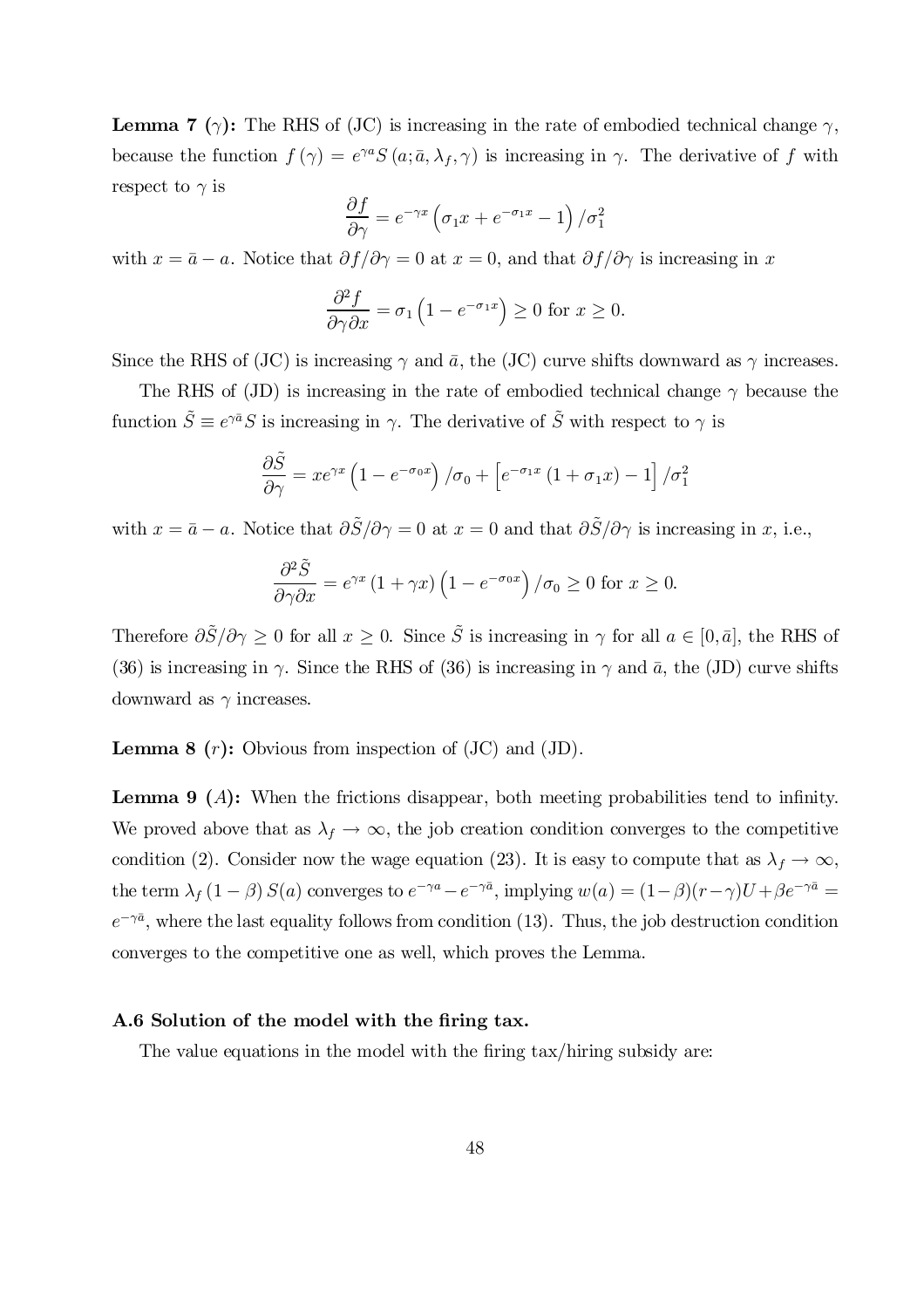**Lemma 7** ( $\gamma$ ): The RHS of (JC) is increasing in the rate of embodied technical change  $\gamma$ , because the function  $f(\gamma) = e^{\gamma a} S(a; \bar{a}, \lambda_f, \gamma)$  is increasing in  $\gamma$ . The derivative of f with respect to  $\gamma$  is

$$
\frac{\partial f}{\partial \gamma} = e^{-\gamma x} \left( \sigma_1 x + e^{-\sigma_1 x} - 1 \right) / \sigma_1^2
$$

with  $x = \bar{a} - a$ . Notice that  $\partial f/\partial \gamma = 0$  at  $x = 0$ , and that  $\partial f/\partial \gamma$  is increasing in x

$$
\frac{\partial^2 f}{\partial \gamma \partial x} = \sigma_1 \left( 1 - e^{-\sigma_1 x} \right) \ge 0 \text{ for } x \ge 0.
$$

Since the RHS of (JC) is increasing  $\gamma$  and  $\bar{a}$ , the (JC) curve shifts downward as  $\gamma$  increases.

The RHS of (JD) is increasing in the rate of embodied technical change  $\gamma$  because the function  $\tilde{S} \equiv e^{\gamma \bar{a}} S$  is increasing in  $\gamma$ . The derivative of  $\tilde{S}$  with respect to  $\gamma$  is

$$
\frac{\partial \tilde{S}}{\partial \gamma} = xe^{\gamma x} \left( 1 - e^{-\sigma_0 x} \right) / \sigma_0 + \left[ e^{-\sigma_1 x} \left( 1 + \sigma_1 x \right) - 1 \right] / \sigma_1^2
$$

with  $x = \bar{a} - a$ . Notice that  $\partial \tilde{S}/\partial \gamma = 0$  at  $x = 0$  and that  $\partial \tilde{S}/\partial \gamma$  is increasing in x, i.e.,

$$
\frac{\partial^2 \tilde{S}}{\partial \gamma \partial x} = e^{\gamma x} \left( 1 + \gamma x \right) \left( 1 - e^{-\sigma_0 x} \right) / \sigma_0 \ge 0 \text{ for } x \ge 0.
$$

Therefore  $\partial \tilde{S}/\partial \gamma \geq 0$  for all  $x \geq 0$ . Since  $\tilde{S}$  is increasing in  $\gamma$  for all  $a \in [0,\bar{a}]$ , the RHS of (36) is increasing in  $\gamma$ . Since the RHS of (36) is increasing in  $\gamma$  and  $\bar{a}$ , the (JD) curve shifts downward as  $\gamma$  increases.

**Lemma 8**  $(r)$ : Obvious from inspection of  $(JC)$  and  $(JD)$ .

**Lemma 9** (A): When the frictions disappear, both meeting probabilities tend to infinity. We proved above that as  $\lambda_f \to \infty$ , the job creation condition converges to the competitive condition (2). Consider now the wage equation (23). It is easy to compute that as  $\lambda_f \to \infty$ , the term  $\lambda_f (1 - \beta) S(a)$  converges to  $e^{-\gamma a} - e^{-\gamma \bar{a}}$ , implying  $w(a) = (1 - \beta)(r - \gamma)U + \beta e^{-\gamma \bar{a}} =$  $e^{-\gamma \bar{a}}$ , where the last equality follows from condition (13). Thus, the job destruction condition converges to the competitive one as well, which proves the Lemma.

### A.6 Solution of the model with the firing tax.

The value equations in the model with the firing tax/hiring subsidy are: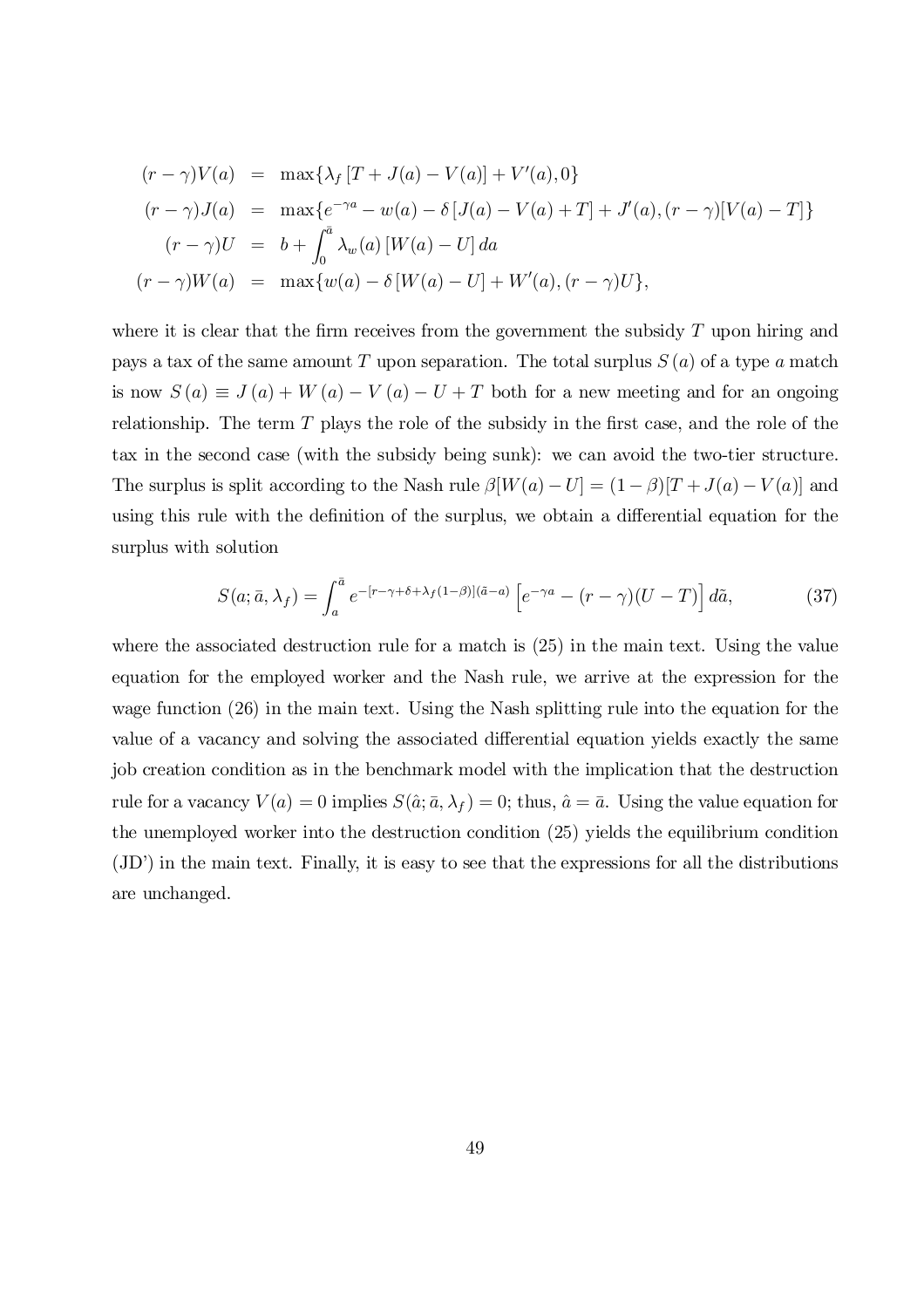$$
(r - \gamma)V(a) = \max\{\lambda_f [T + J(a) - V(a)] + V'(a), 0\}
$$
  
\n
$$
(r - \gamma)J(a) = \max\{e^{-\gamma a} - w(a) - \delta [J(a) - V(a) + T] + J'(a), (r - \gamma)[V(a) - T]\}
$$
  
\n
$$
(r - \gamma)U = b + \int_0^{\bar{a}} \lambda_w(a) [W(a) - U] da
$$
  
\n
$$
(r - \gamma)W(a) = \max\{w(a) - \delta[W(a) - U] + W'(a), (r - \gamma)U\},
$$

where it is clear that the firm receives from the government the subsidy  $T$  upon hiring and pays a tax of the same amount T upon separation. The total surplus  $S(a)$  of a type a match is now  $S(a) \equiv J(a) + W(a) - V(a) - U + T$  both for a new meeting and for an ongoing relationship. The term  $T$  plays the role of the subsidy in the first case, and the role of the tax in the second case (with the subsidy being sunk): we can avoid the two-tier structure. The surplus is split according to the Nash rule  $\beta[W(a) - U] = (1 - \beta)[T + J(a) - V(a)]$  and using this rule with the definition of the surplus, we obtain a differential equation for the surplus with solution

$$
S(a; \bar{a}, \lambda_f) = \int_a^{\bar{a}} e^{-[r-\gamma+\delta+\lambda_f(1-\beta)](\tilde{a}-a)} \left[ e^{-\gamma a} - (r-\gamma)(U-T) \right] d\tilde{a},\tag{37}
$$

where the associated destruction rule for a match is (25) in the main text. Using the value equation for the employed worker and the Nash rule, we arrive at the expression for the wage function (26) in the main text. Using the Nash splitting rule into the equation for the value of a vacancy and solving the associated differential equation yields exactly the same job creation condition as in the benchmark model with the implication that the destruction rule for a vacancy  $V(a) = 0$  implies  $S(\hat{a}; \bar{a}, \lambda_f) = 0$ ; thus,  $\hat{a} = \bar{a}$ . Using the value equation for the unemployed worker into the destruction condition (25) yields the equilibrium condition (JD') in the main text. Finally, it is easy to see that the expressions for all the distributions are unchanged.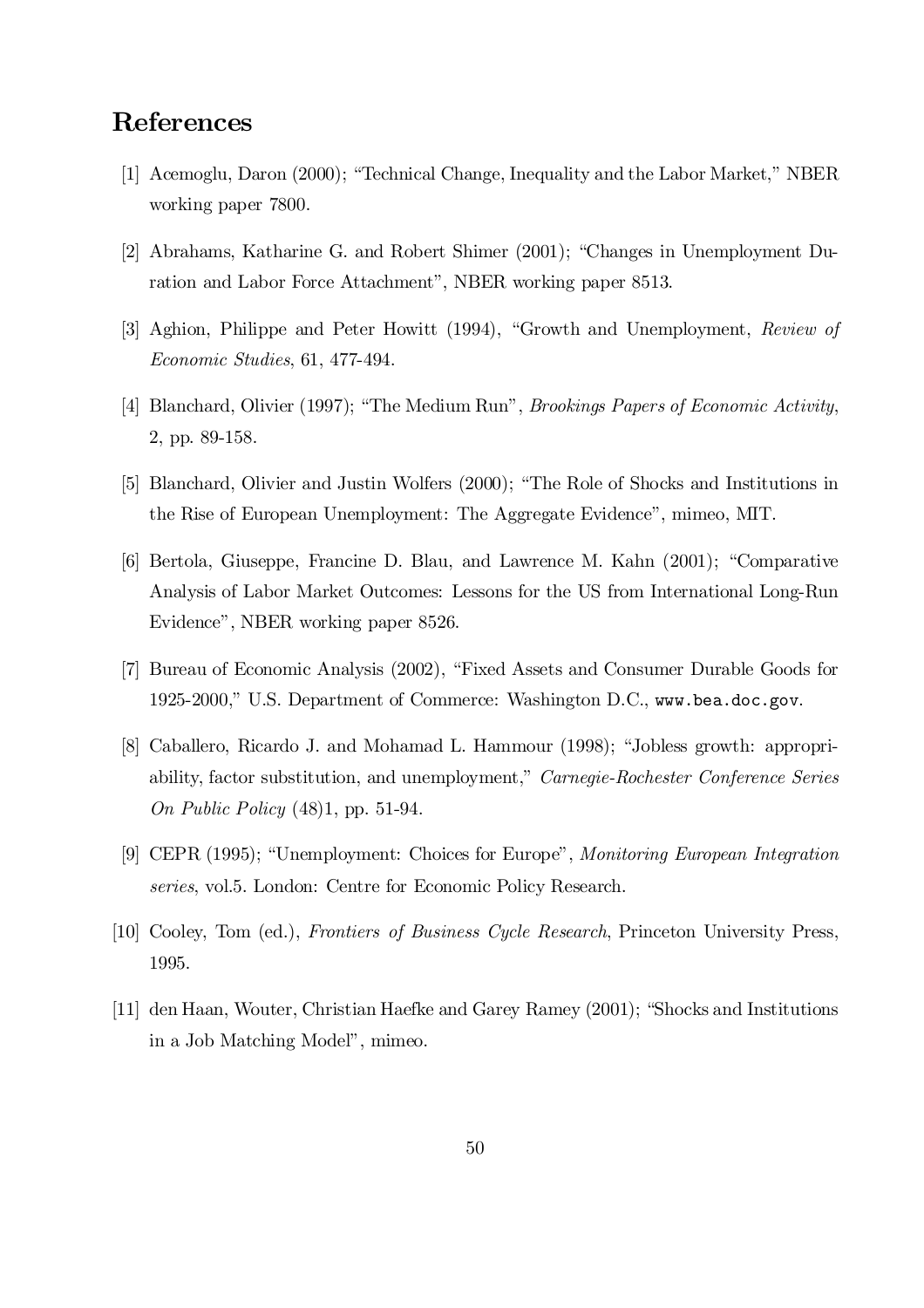# References

- [1] Acemoglu, Daron (2000); "Technical Change, Inequality and the Labor Market," NBER working paper 7800.
- [2] Abrahams, Katharine G. and Robert Shimer (2001); "Changes in Unemployment Duration and Labor Force Attachment", NBER working paper 8513.
- [3] Aghion, Philippe and Peter Howitt (1994), "Growth and Unemployment, Review of Economic Studies, 61, 477-494.
- [4] Blanchard, Olivier (1997); "The Medium Run", *Brookings Papers of Economic Activity*, 2, pp. 89-158.
- [5] Blanchard, Olivier and Justin Wolfers (2000); "The Role of Shocks and Institutions in the Rise of European Unemployment: The Aggregate Evidence", mimeo, MIT.
- [6] Bertola, Giuseppe, Francine D. Blau, and Lawrence M. Kahn (2001); "Comparative Analysis of Labor Market Outcomes: Lessons for the US from International Long-Run Evidence", NBER working paper 8526.
- [7] Bureau of Economic Analysis (2002), "Fixed Assets and Consumer Durable Goods for 1925-2000," U.S. Department of Commerce: Washington D.C., www.bea.doc.gov.
- [8] Caballero, Ricardo J. and Mohamad L. Hammour (1998); "Jobless growth: appropriability, factor substitution, and unemployment," Carnegie-Rochester Conference Series On Public Policy (48)1, pp. 51-94.
- [9] CEPR (1995); "Unemployment: Choices for Europe", Monitoring European Integration series, vol.5. London: Centre for Economic Policy Research.
- [10] Cooley, Tom (ed.), Frontiers of Business Cycle Research, Princeton University Press, 1995.
- [11] den Haan, Wouter, Christian Haefke and Garey Ramey (2001); "Shocks and Institutions in a Job Matching Model", mimeo.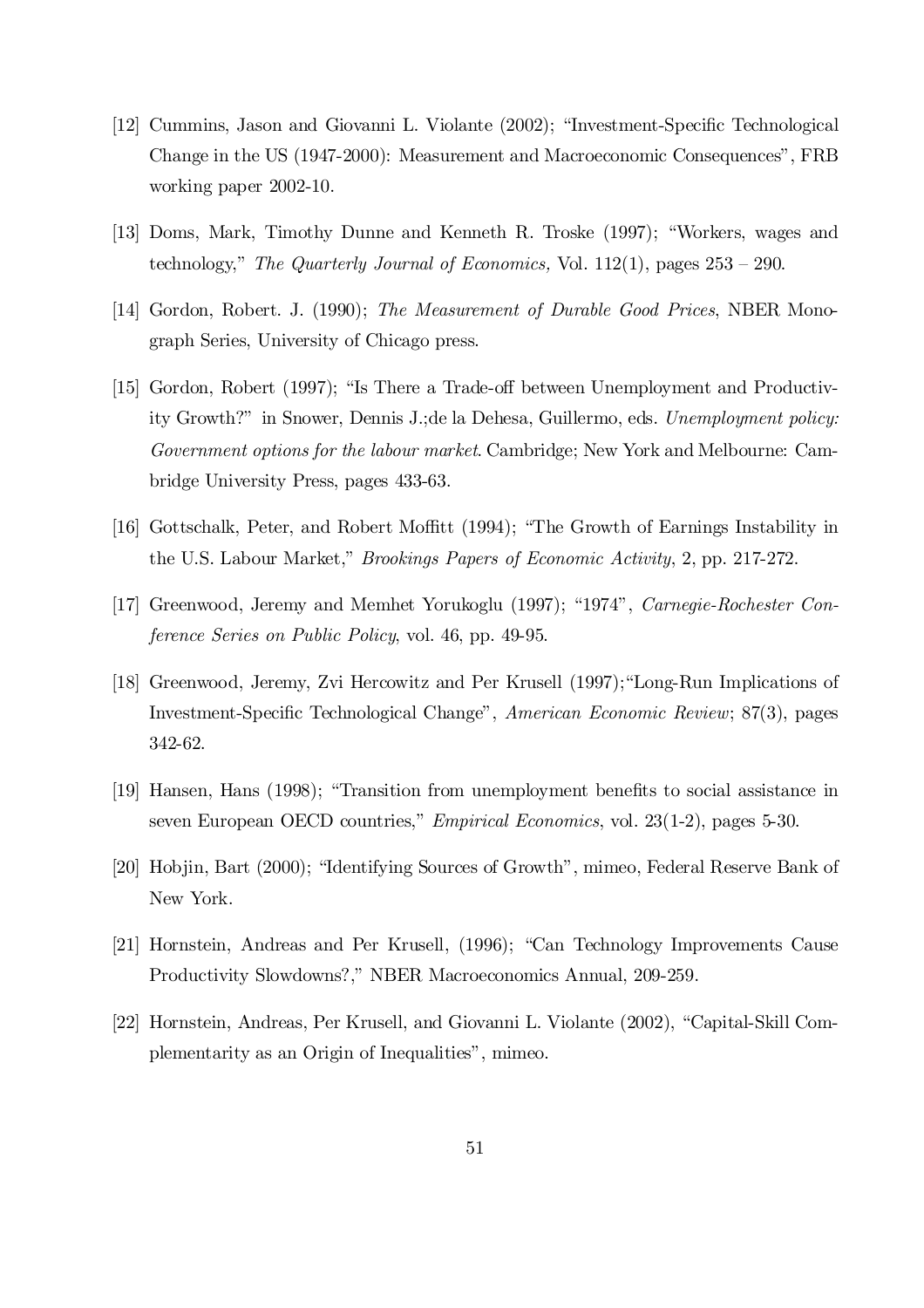- [12] Cummins, Jason and Giovanni L. Violante (2002); "Investment-Specific Technological Change in the US (1947-2000): Measurement and Macroeconomic Consequences", FRB working paper 2002-10.
- [13] Doms, Mark, Timothy Dunne and Kenneth R. Troske (1997); "Workers, wages and technology," The Quarterly Journal of Economics, Vol.  $112(1)$ , pages  $253 - 290$ .
- [14] Gordon, Robert. J. (1990); The Measurement of Durable Good Prices, NBER Monograph Series, University of Chicago press.
- [15] Gordon, Robert (1997); "Is There a Trade-off between Unemployment and Productivity Growth?" in Snower, Dennis J.;de la Dehesa, Guillermo, eds. Unemployment policy: Government options for the labour market. Cambridge; New York and Melbourne: Cambridge University Press, pages 433-63.
- [16] Gottschalk, Peter, and Robert Moffitt (1994); "The Growth of Earnings Instability in the U.S. Labour Market," Brookings Papers of Economic Activity, 2, pp. 217-272.
- [17] Greenwood, Jeremy and Memhet Yorukoglu (1997); "1974", Carnegie-Rochester Conference Series on Public Policy, vol. 46, pp. 49-95.
- [18] Greenwood, Jeremy, Zvi Hercowitz and Per Krusell (1997);"Long-Run Implications of Investment-Specific Technological Change", American Economic Review; 87(3), pages 342-62.
- [19] Hansen, Hans (1998); "Transition from unemployment benefits to social assistance in seven European OECD countries," Empirical Economics, vol. 23(1-2), pages 5-30.
- [20] Hobjin, Bart (2000); "Identifying Sources of Growth", mimeo, Federal Reserve Bank of New York.
- [21] Hornstein, Andreas and Per Krusell, (1996); "Can Technology Improvements Cause Productivity Slowdowns?," NBER Macroeconomics Annual, 209-259.
- [22] Hornstein, Andreas, Per Krusell, and Giovanni L. Violante (2002), "Capital-Skill Complementarity as an Origin of Inequalities", mimeo.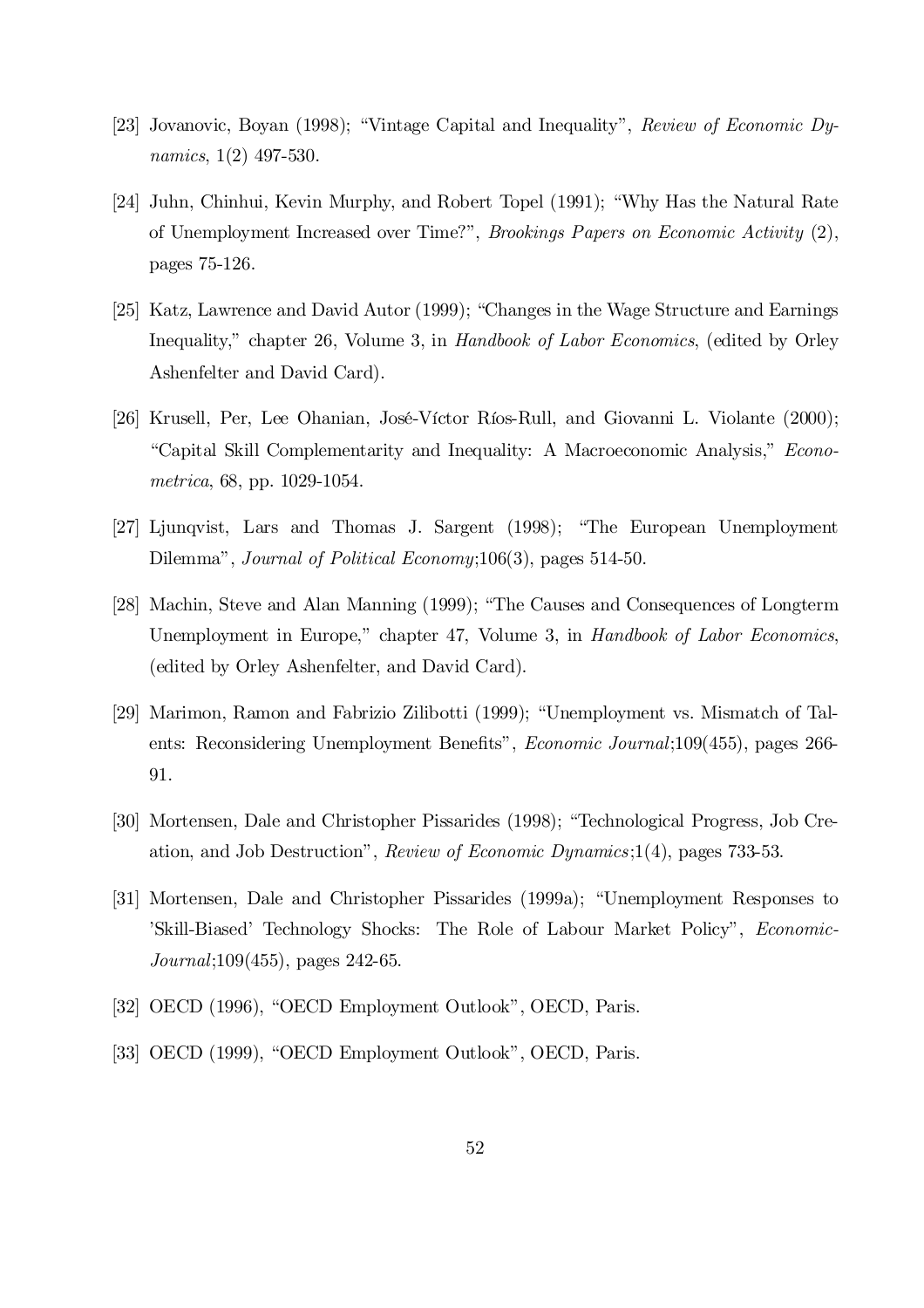- [23] Jovanovic, Boyan (1998); "Vintage Capital and Inequality", Review of Economic Dynamics, 1(2) 497-530.
- [24] Juhn, Chinhui, Kevin Murphy, and Robert Topel (1991); "Why Has the Natural Rate of Unemployment Increased over Time?", Brookings Papers on Economic Activity (2), pages 75-126.
- [25] Katz, Lawrence and David Autor (1999); "Changes in the Wage Structure and Earnings Inequality," chapter 26, Volume 3, in Handbook of Labor Economics, (edited by Orley Ashenfelter and David Card).
- [26] Krusell, Per, Lee Ohanian, José-Víctor Ríos-Rull, and Giovanni L. Violante (2000); "Capital Skill Complementarity and Inequality: A Macroeconomic Analysis," Econometrica, 68, pp. 1029-1054.
- [27] Ljunqvist, Lars and Thomas J. Sargent (1998); "The European Unemployment Dilemma", Journal of Political Economy;106(3), pages 514-50.
- [28] Machin, Steve and Alan Manning (1999); "The Causes and Consequences of Longterm Unemployment in Europe," chapter 47, Volume 3, in Handbook of Labor Economics, (edited by Orley Ashenfelter, and David Card).
- [29] Marimon, Ramon and Fabrizio Zilibotti (1999); "Unemployment vs. Mismatch of Talents: Reconsidering Unemployment Benefits", *Economic Journal*;109(455), pages 266-91.
- [30] Mortensen, Dale and Christopher Pissarides (1998); "Technological Progress, Job Creation, and Job Destruction", Review of Economic Dynamics;1(4), pages 733-53.
- [31] Mortensen, Dale and Christopher Pissarides (1999a); "Unemployment Responses to 'Skill-Biased' Technology Shocks: The Role of Labour Market Policy", Economic-Journal;109(455), pages 242-65.
- [32] OECD (1996), "OECD Employment Outlook", OECD, Paris.
- [33] OECD (1999), "OECD Employment Outlook", OECD, Paris.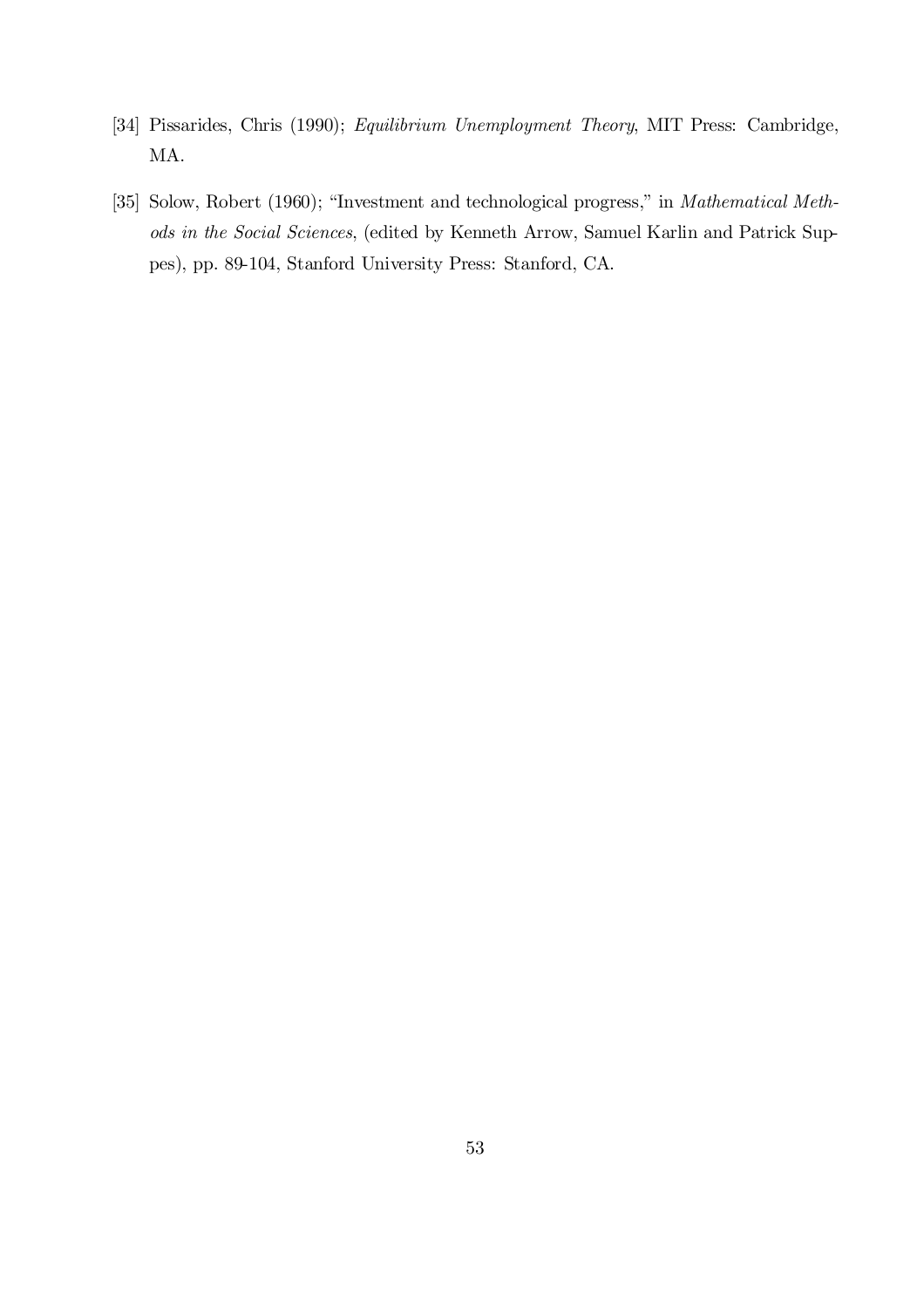- [34] Pissarides, Chris (1990); Equilibrium Unemployment Theory, MIT Press: Cambridge, MA.
- [35] Solow, Robert (1960); "Investment and technological progress," in Mathematical Methods in the Social Sciences, (edited by Kenneth Arrow, Samuel Karlin and Patrick Suppes), pp. 89-104, Stanford University Press: Stanford, CA.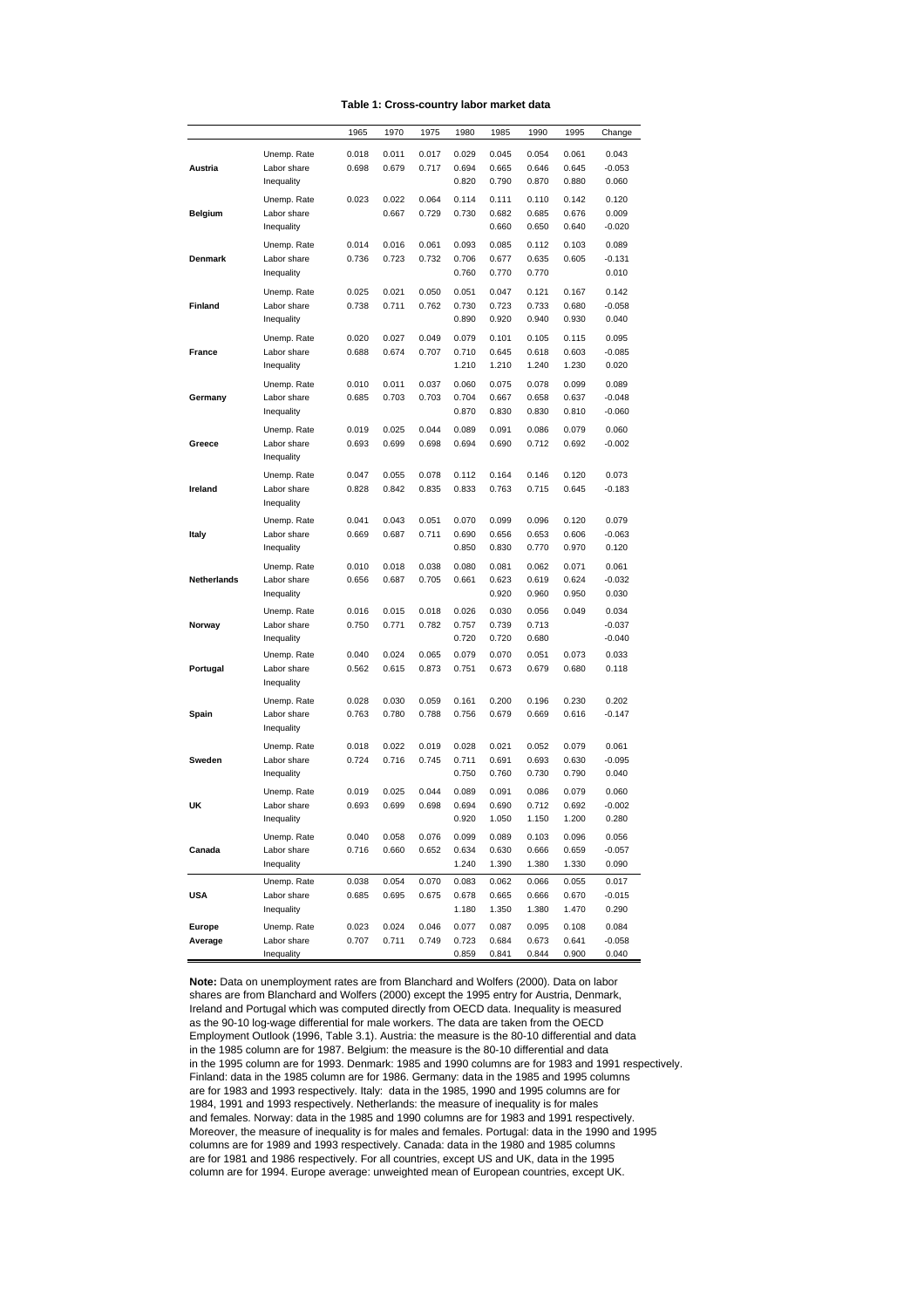|  | Table 1: Cross-country labor market data |  |  |  |
|--|------------------------------------------|--|--|--|
|--|------------------------------------------|--|--|--|

|                    |                           | 1965  | 1970  | 1975  | 1980           | 1985           | 1990           | 1995           | Change          |
|--------------------|---------------------------|-------|-------|-------|----------------|----------------|----------------|----------------|-----------------|
|                    | Unemp. Rate               | 0.018 | 0.011 | 0.017 | 0.029          | 0.045          | 0.054          | 0.061          | 0.043           |
| Austria            | Labor share               | 0.698 | 0.679 | 0.717 | 0.694          | 0.665          | 0.646          | 0.645          | -0.053          |
|                    | Inequality                |       |       |       | 0.820          | 0.790          | 0.870          | 0.880          | 0.060           |
|                    | Unemp. Rate               | 0.023 | 0.022 | 0.064 | 0.114          | 0.111          | 0.110          | 0.142          | 0.120           |
| <b>Belgium</b>     | Labor share               |       | 0.667 | 0.729 | 0.730          | 0.682          | 0.685          | 0.676          | 0.009           |
|                    | Inequality                |       |       |       |                | 0.660          | 0.650          | 0.640          | $-0.020$        |
|                    | Unemp. Rate               | 0.014 | 0.016 | 0.061 | 0.093          | 0.085          | 0.112          | 0.103          | 0.089           |
| Denmark            | Labor share               | 0.736 | 0.723 | 0.732 | 0.706          | 0.677          | 0.635          | 0.605          | $-0.131$        |
|                    | Inequality                |       |       |       | 0.760          | 0.770          | 0.770          |                | 0.010           |
|                    | Unemp. Rate               | 0.025 | 0.021 | 0.050 | 0.051          | 0.047          | 0.121          | 0.167          | 0.142           |
| Finland            | Labor share               | 0.738 | 0.711 | 0.762 | 0.730          | 0.723          | 0.733          | 0.680          | $-0.058$        |
|                    | Inequality                |       |       |       | 0.890          | 0.920          | 0.940          | 0.930          | 0.040           |
|                    |                           |       |       |       |                |                |                |                |                 |
|                    | Unemp. Rate               | 0.020 | 0.027 | 0.049 | 0.079          | 0.101          | 0.105          | 0.115          | 0.095           |
| France             | Labor share<br>Inequality | 0.688 | 0.674 | 0.707 | 0.710<br>1.210 | 0.645<br>1.210 | 0.618<br>1.240 | 0.603<br>1.230 | -0.085<br>0.020 |
|                    |                           |       |       |       |                |                |                |                |                 |
|                    | Unemp. Rate               | 0.010 | 0.011 | 0.037 | 0.060          | 0.075          | 0.078          | 0.099          | 0.089           |
| Germany            | Labor share               | 0.685 | 0.703 | 0.703 | 0.704          | 0.667          | 0.658          | 0.637          | $-0.048$        |
|                    | Inequality                |       |       |       | 0.870          | 0.830          | 0.830          | 0.810          | $-0.060$        |
|                    | Unemp. Rate               | 0.019 | 0.025 | 0.044 | 0.089          | 0.091          | 0.086          | 0.079          | 0.060           |
| Greece             | Labor share               | 0.693 | 0.699 | 0.698 | 0.694          | 0.690          | 0.712          | 0.692          | $-0.002$        |
|                    | Inequality                |       |       |       |                |                |                |                |                 |
|                    | Unemp. Rate               | 0.047 | 0.055 | 0.078 | 0.112          | 0.164          | 0.146          | 0.120          | 0.073           |
| Ireland            | Labor share               | 0.828 | 0.842 | 0.835 | 0.833          | 0.763          | 0.715          | 0.645          | $-0.183$        |
|                    | Inequality                |       |       |       |                |                |                |                |                 |
|                    | Unemp. Rate               | 0.041 | 0.043 | 0.051 | 0.070          | 0.099          | 0.096          | 0.120          | 0.079           |
| Italy              | Labor share               | 0.669 | 0.687 | 0.711 | 0.690          | 0.656          | 0.653          | 0.606          | $-0.063$        |
|                    | Inequality                |       |       |       | 0.850          | 0.830          | 0.770          | 0.970          | 0.120           |
|                    | Unemp. Rate               | 0.010 | 0.018 | 0.038 | 0.080          | 0.081          | 0.062          | 0.071          | 0.061           |
| <b>Netherlands</b> | Labor share               | 0.656 | 0.687 | 0.705 | 0.661          | 0.623          | 0.619          | 0.624          | $-0.032$        |
|                    | Inequality                |       |       |       |                | 0.920          | 0.960          | 0.950          | 0.030           |
|                    | Unemp. Rate               | 0.016 | 0.015 | 0.018 | 0.026          | 0.030          | 0.056          | 0.049          | 0.034           |
| Norway             | Labor share               | 0.750 | 0.771 | 0.782 | 0.757          | 0.739          | 0.713          |                | $-0.037$        |
|                    | Inequality                |       |       |       | 0.720          | 0.720          | 0.680          |                | $-0.040$        |
|                    | Unemp. Rate               | 0.040 | 0.024 | 0.065 | 0.079          | 0.070          | 0.051          | 0.073          | 0.033           |
| Portugal           | Labor share               | 0.562 | 0.615 | 0.873 | 0.751          | 0.673          | 0.679          | 0.680          | 0.118           |
|                    | Inequality                |       |       |       |                |                |                |                |                 |
|                    | Unemp. Rate               | 0.028 | 0.030 | 0.059 | 0.161          | 0.200          | 0.196          | 0.230          | 0.202           |
| Spain              | Labor share               | 0.763 | 0.780 | 0.788 | 0.756          | 0.679          | 0.669          | 0.616          | $-0.147$        |
|                    | Inequality                |       |       |       |                |                |                |                |                 |
|                    | Unemp. Rate               | 0.018 | 0.022 | 0.019 | 0.028          | 0.021          | 0.052          | 0.079          | 0.061           |
| Sweden             | Labor share               | 0.724 | 0.716 | 0.745 | 0.711          | 0.691          | 0.693          | 0.630          | $-0.095$        |
|                    | Inequality                |       |       |       | 0.750          | 0.760          | 0.730          | 0.790          | 0.040           |
|                    | Unemp. Rate               | 0.019 | 0.025 | 0.044 | 0.089          | 0.091          | 0.086          | 0.079          | 0.060           |
| UK                 | Labor share               | 0.693 | 0.699 | 0.698 | 0.694          | 0.690          | 0.712          | 0.692          | $-0.002$        |
|                    | Inequality                |       |       |       | 0.920          | 1.050          | 1.150          | 1.200          | 0.280           |
|                    | Unemp. Rate               | 0.040 | 0.058 | 0.076 | 0.099          | 0.089          | 0.103          | 0.096          | 0.056           |
| Canada             | Labor share               | 0.716 | 0.660 | 0.652 | 0.634          | 0.630          | 0.666          | 0.659          | $-0.057$        |
|                    | Inequality                |       |       |       | 1.240          | 1.390          | 1.380          | 1.330          | 0.090           |
|                    | Unemp. Rate               | 0.038 | 0.054 | 0.070 | 0.083          | 0.062          | 0.066          | 0.055          | 0.017           |
| <b>USA</b>         | Labor share               | 0.685 | 0.695 | 0.675 | 0.678          | 0.665          | 0.666          | 0.670          | $-0.015$        |
|                    | Inequality                |       |       |       | 1.180          | 1.350          | 1.380          | 1.470          | 0.290           |
| Europe             | Unemp. Rate               | 0.023 | 0.024 | 0.046 | 0.077          | 0.087          | 0.095          | 0.108          | 0.084           |
| Average            | Labor share               | 0.707 | 0.711 | 0.749 | 0.723          | 0.684          | 0.673          | 0.641          | $-0.058$        |
|                    | Inequality                |       |       |       | 0.859          | 0.841          | 0.844          | 0.900          | 0.040           |

**Note:** Data on unemployment rates are from Blanchard and Wolfers (2000). Data on labor shares are from Blanchard and Wolfers (2000) except the 1995 entry for Austria, Denmark, Ireland and Portugal which was computed directly from OECD data. Inequality is measured as the 90-10 log-wage differential for male workers. The data are taken from the OECD Employment Outlook (1996, Table 3.1). Austria: the measure is the 80-10 differential and data in the 1985 column are for 1987. Belgium: the measure is the 80-10 differential and data in the 1995 column are for 1993. Denmark: 1985 and 1990 columns are for 1983 and 1991 respectively. Finland: data in the 1985 column are for 1986. Germany: data in the 1985 and 1995 columns are for 1983 and 1993 respectively. Italy: data in the 1985, 1990 and 1995 columns are for 1984, 1991 and 1993 respectively. Netherlands: the measure of inequality is for males and females. Norway: data in the 1985 and 1990 columns are for 1983 and 1991 respectively. Moreover, the measure of inequality is for males and females. Portugal: data in the 1990 and 1995 columns are for 1989 and 1993 respectively. Canada: data in the 1980 and 1985 columns are for 1981 and 1986 respectively. For all countries, except US and UK, data in the 1995 column are for 1994. Europe average: unweighted mean of European countries, except UK.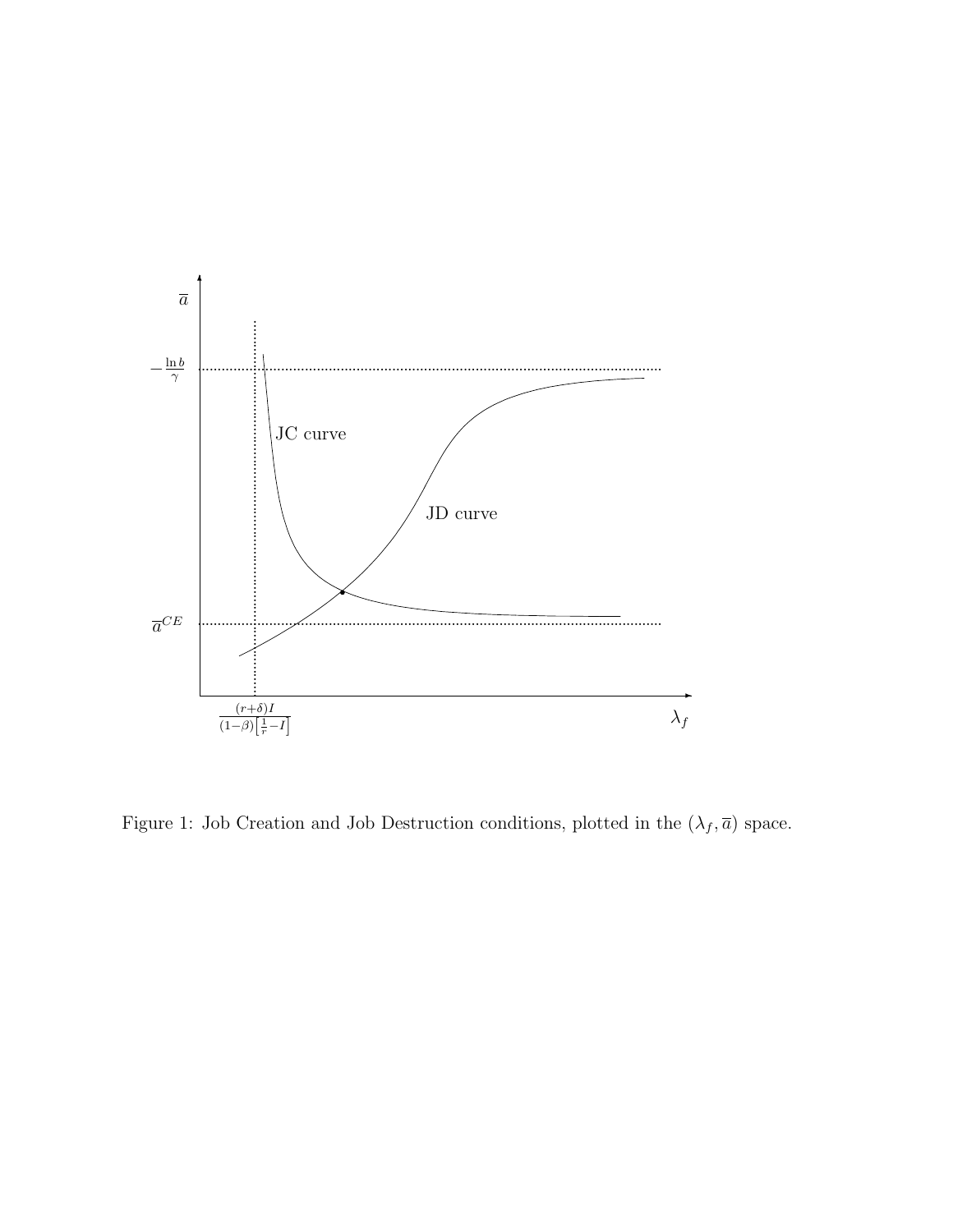

Figure 1: Job Creation and Job Destruction conditions, plotted in the  $(\lambda_f,\overline{a})$  space.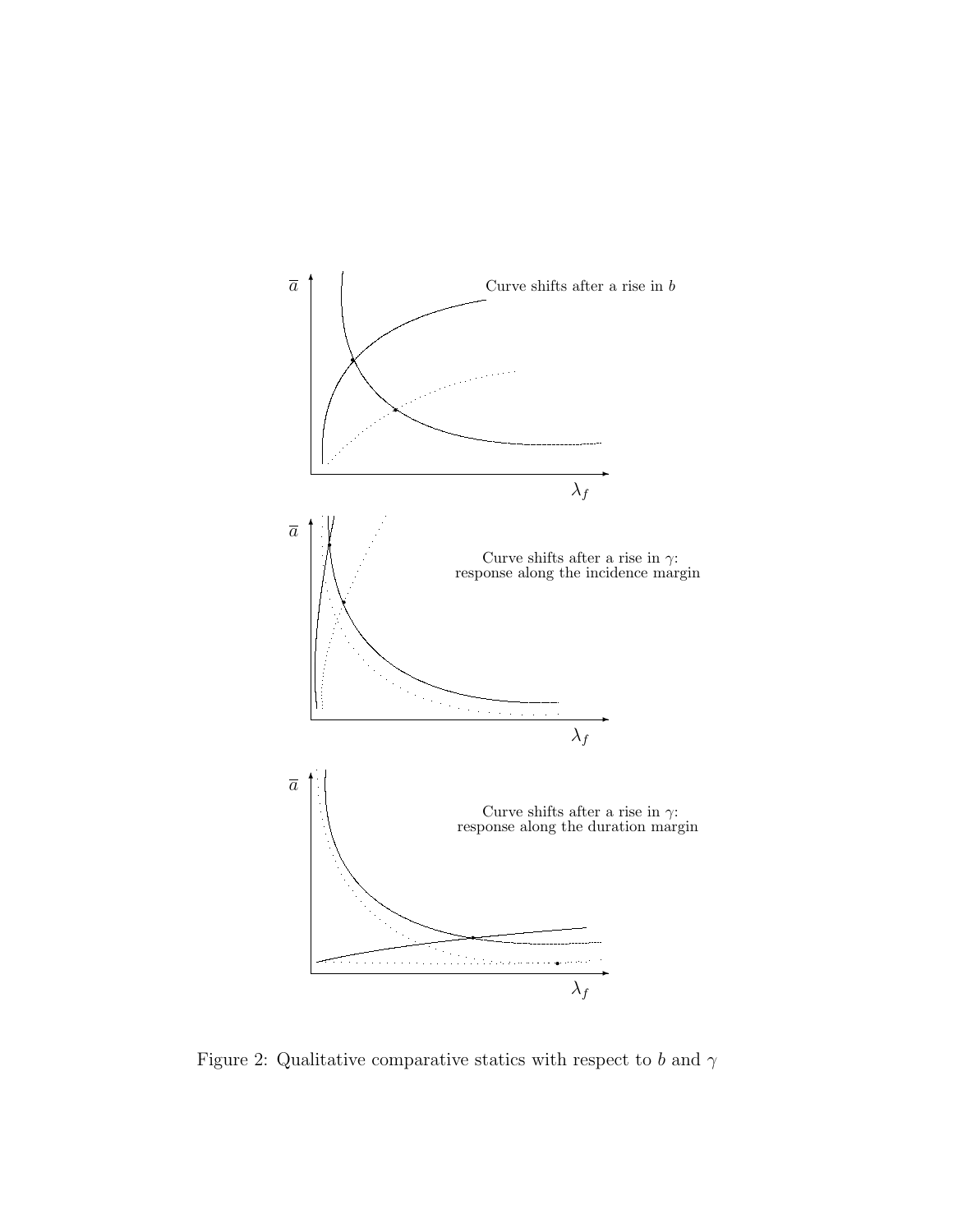

Figure 2: Qualitative comparative statics with respect to  $b$  and  $\gamma$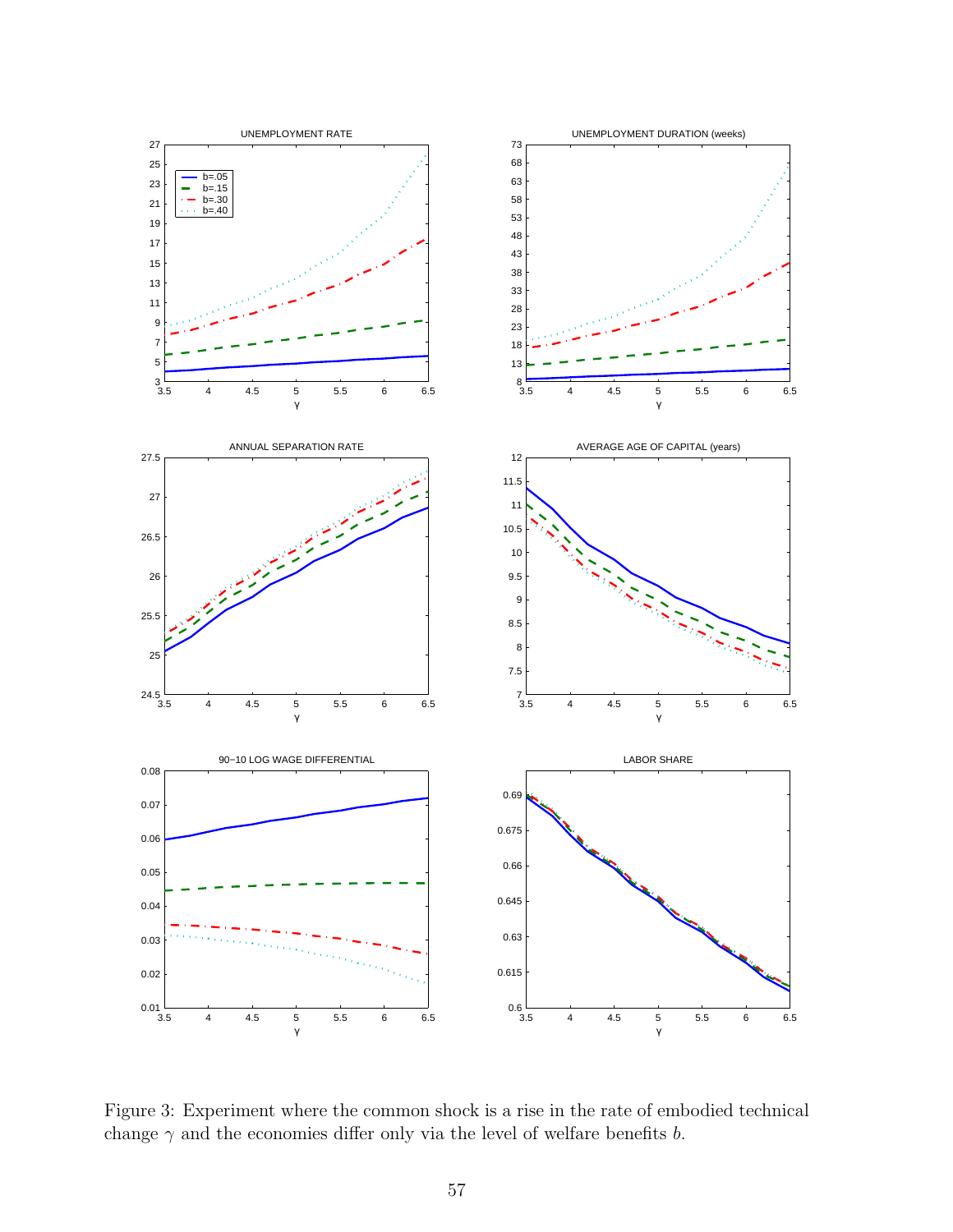

Figure 3: Experiment where the common shock is a rise in the rate of embodied technical change  $\gamma$  and the economies differ only via the level of welfare benefits b.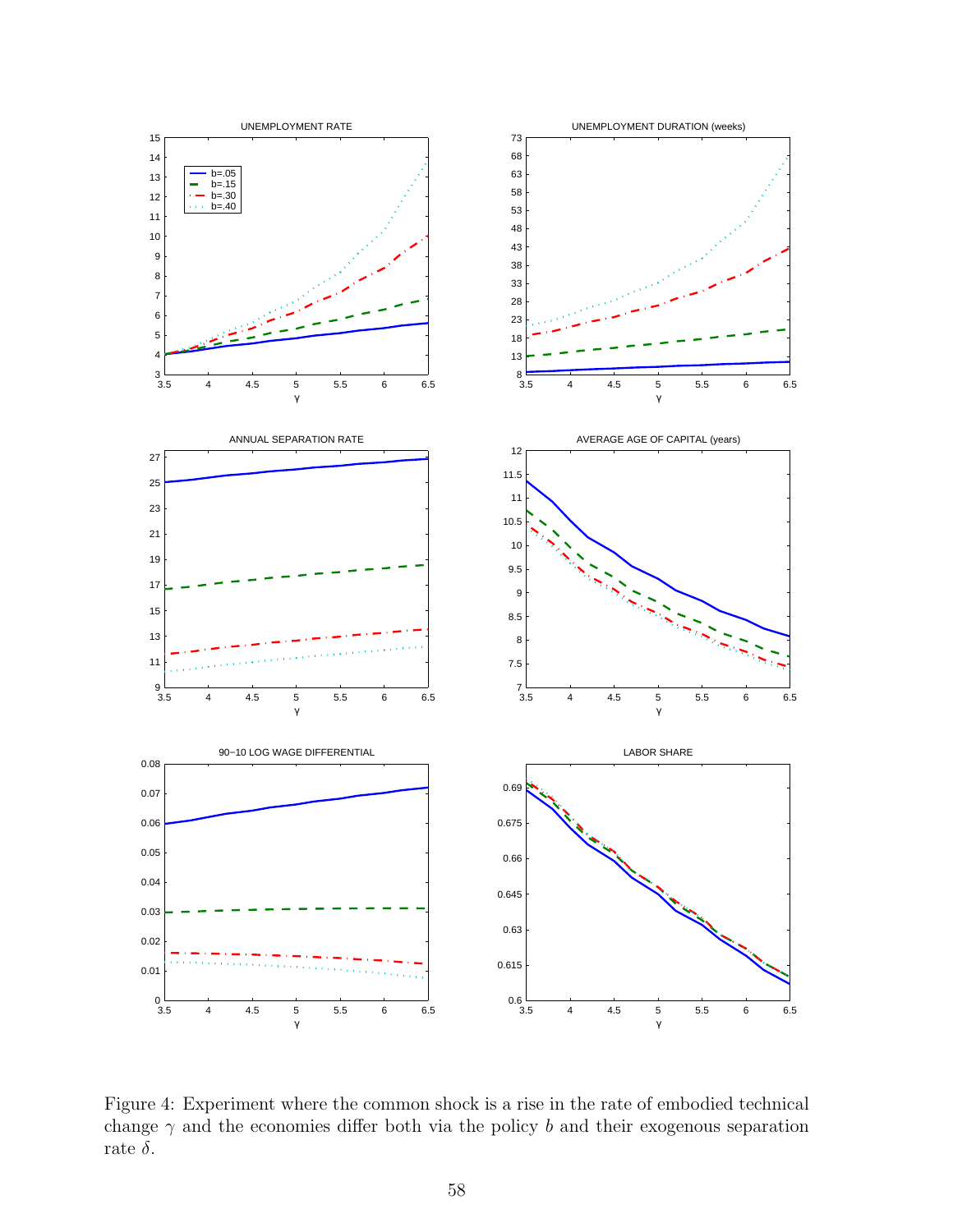

Figure 4: Experiment where the common shock is a rise in the rate of embodied technical change  $\gamma$  and the economies differ both via the policy b and their exogenous separation rate  $\delta$ .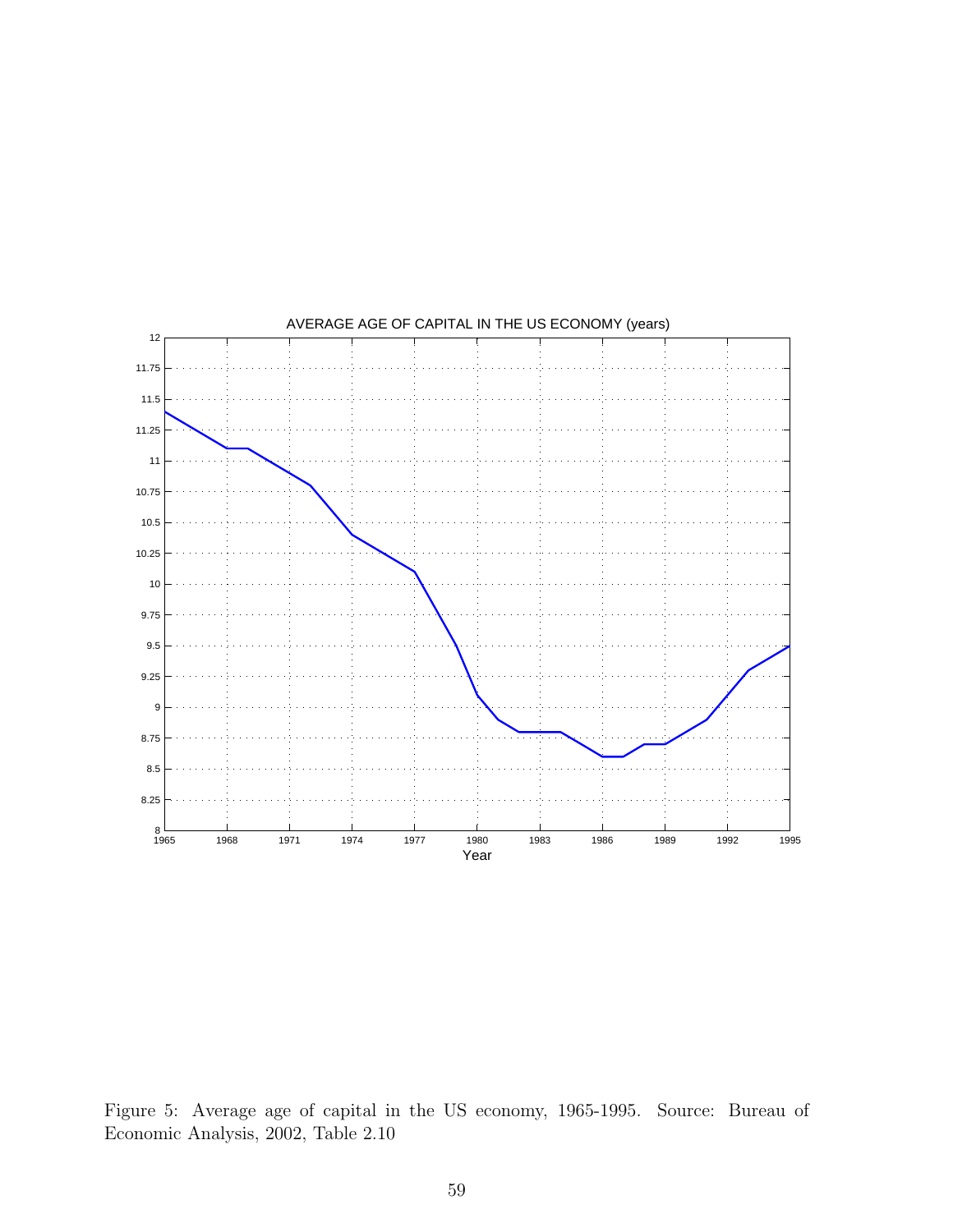

Figure 5: Average age of capital in the US economy, 1965-1995. Source: Bureau of Economic Analysis, 2002, Table 2.10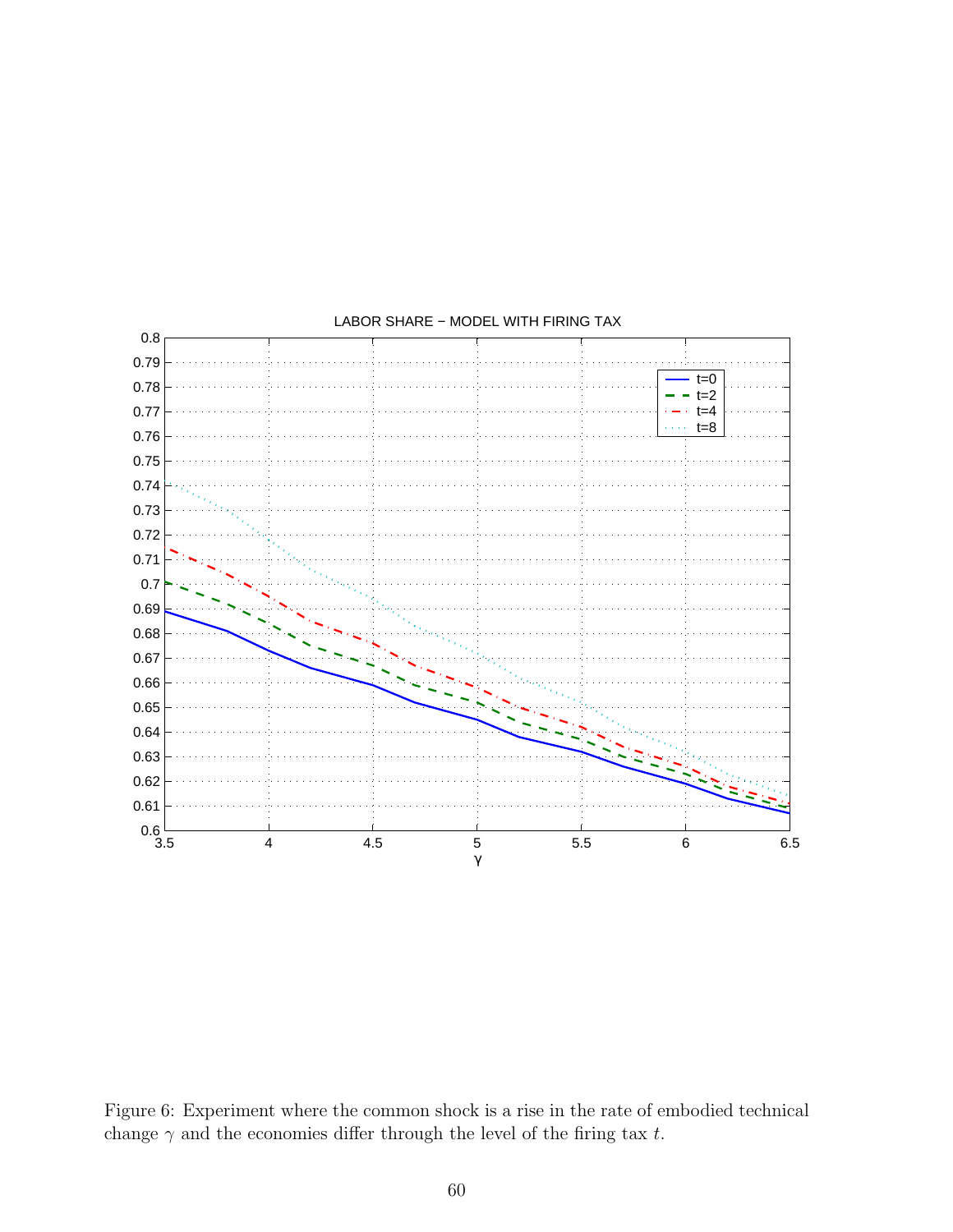

LABOR SHARE − MODEL WITH FIRING TAX

Figure 6: Experiment where the common shock is a rise in the rate of embodied technical change  $\gamma$  and the economies differ through the level of the firing tax t.